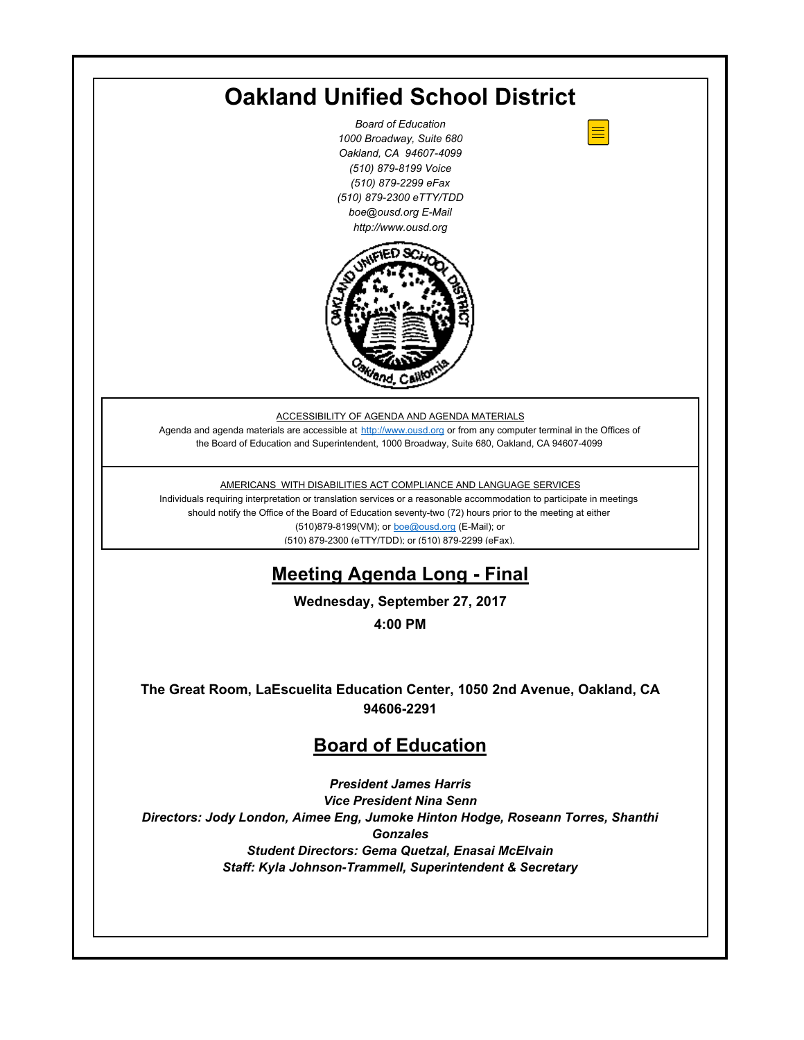| <b>Oakland Unified School District</b>                                                                                                                                                                                                                                                                                                                                                                                  |
|-------------------------------------------------------------------------------------------------------------------------------------------------------------------------------------------------------------------------------------------------------------------------------------------------------------------------------------------------------------------------------------------------------------------------|
| <b>Board of Education</b><br>1000 Broadway, Suite 680<br>Oakland, CA 94607-4099<br>(510) 879-8199 Voice<br>(510) 879-2299 eFax<br>(510) 879-2300 eTTY/TDD<br>boe@ousd.org E-Mail<br>http://www.ousd.org                                                                                                                                                                                                                 |
|                                                                                                                                                                                                                                                                                                                                                                                                                         |
| ACCESSIBILITY OF AGENDA AND AGENDA MATERIALS<br>Agenda and agenda materials are accessible at http://www.ousd.org or from any computer terminal in the Offices of<br>the Board of Education and Superintendent, 1000 Broadway, Suite 680, Oakland, CA 94607-4099                                                                                                                                                        |
| AMERICANS WITH DISABILITIES ACT COMPLIANCE AND LANGUAGE SERVICES<br>Individuals requiring interpretation or translation services or a reasonable accommodation to participate in meetings<br>should notify the Office of the Board of Education seventy-two (72) hours prior to the meeting at either<br>(510)879-8199(VM); or <b>boe@ousd.org</b> (E-Mail); or<br>(510) 879-2300 (eTTY/TDD); or (510) 879-2299 (eFax). |
| <b>Meeting Agenda Long - Final</b>                                                                                                                                                                                                                                                                                                                                                                                      |
| Wednesday, September 27, 2017                                                                                                                                                                                                                                                                                                                                                                                           |
| 4:00 PM                                                                                                                                                                                                                                                                                                                                                                                                                 |
| The Great Room, LaEscuelita Education Center, 1050 2nd Avenue, Oakland, CA<br>94606-2291                                                                                                                                                                                                                                                                                                                                |
| <b>Board of Education</b>                                                                                                                                                                                                                                                                                                                                                                                               |
| <b>President James Harris</b><br><b>Vice President Nina Senn</b><br>Directors: Jody London, Aimee Eng, Jumoke Hinton Hodge, Roseann Torres, Shanthi<br><b>Gonzales</b>                                                                                                                                                                                                                                                  |
| <b>Student Directors: Gema Quetzal, Enasai McElvain</b><br>Staff: Kyla Johnson-Trammell, Superintendent & Secretary                                                                                                                                                                                                                                                                                                     |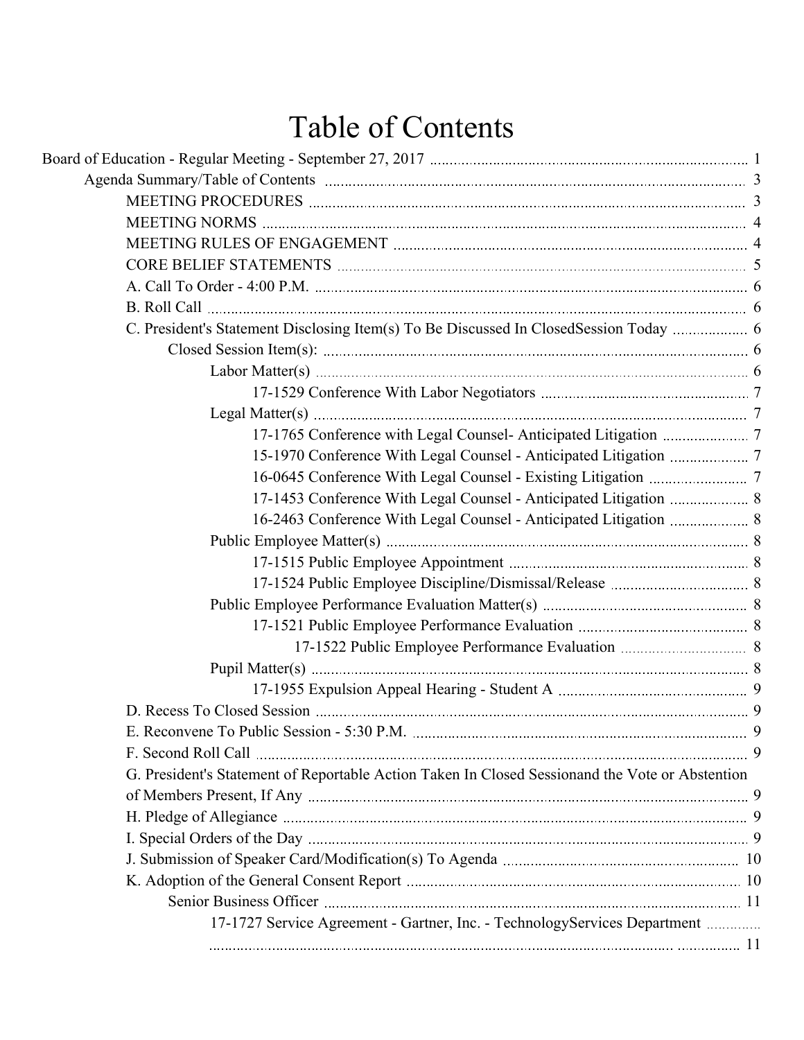# Table of Contents

| 17-1453 Conference With Legal Counsel - Anticipated Litigation  8                               |   |
|-------------------------------------------------------------------------------------------------|---|
| 16-2463 Conference With Legal Counsel - Anticipated Litigation  8                               |   |
|                                                                                                 |   |
|                                                                                                 |   |
|                                                                                                 |   |
|                                                                                                 |   |
|                                                                                                 |   |
|                                                                                                 |   |
|                                                                                                 |   |
|                                                                                                 |   |
|                                                                                                 |   |
| E. Reconvene To Public Session - 5:30 P.M.                                                      | 9 |
|                                                                                                 |   |
| G. President's Statement of Reportable Action Taken In Closed Sessionand the Vote or Abstention |   |
|                                                                                                 |   |
|                                                                                                 |   |
|                                                                                                 |   |
|                                                                                                 |   |
|                                                                                                 |   |
|                                                                                                 |   |
| 17-1727 Service Agreement - Gartner, Inc. - TechnologyServices Department                       |   |
|                                                                                                 |   |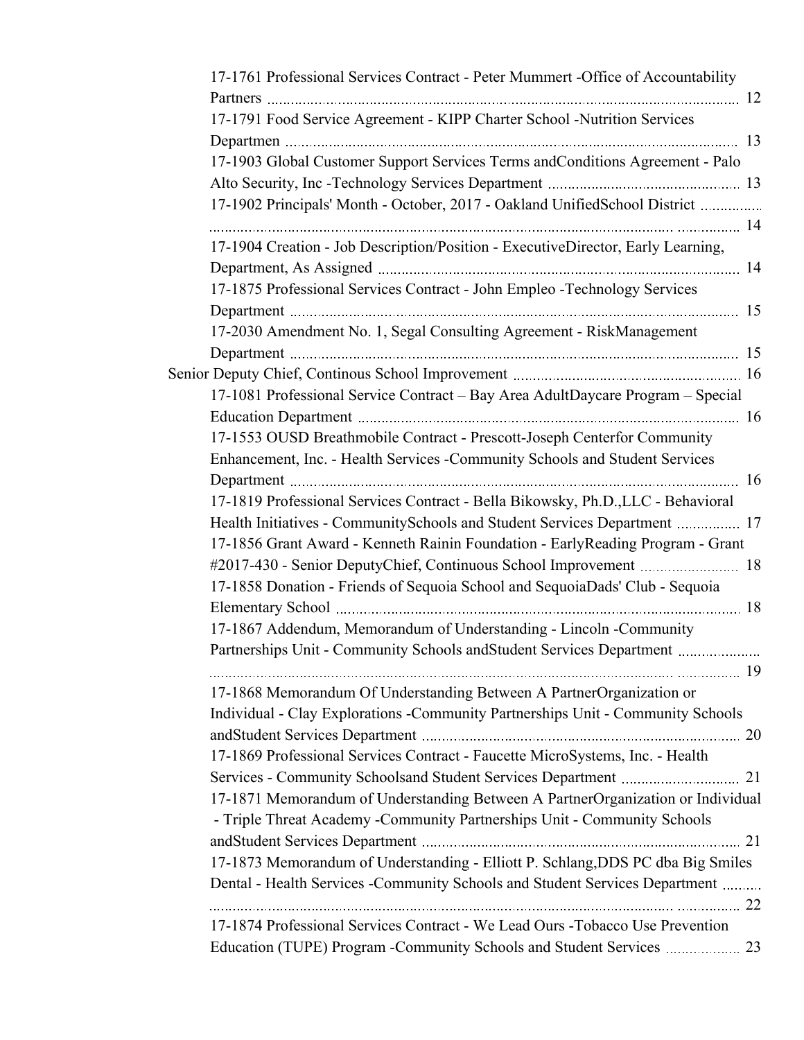| 17-1761 Professional Services Contract - Peter Mummert -Office of Accountability |  |
|----------------------------------------------------------------------------------|--|
|                                                                                  |  |
| 17-1791 Food Service Agreement - KIPP Charter School -Nutrition Services         |  |
|                                                                                  |  |
| 17-1903 Global Customer Support Services Terms and Conditions Agreement - Palo   |  |
|                                                                                  |  |
| 17-1902 Principals' Month - October, 2017 - Oakland UnifiedSchool District       |  |
| 17-1904 Creation - Job Description/Position - ExecutiveDirector, Early Learning, |  |
|                                                                                  |  |
| 17-1875 Professional Services Contract - John Empleo -Technology Services        |  |
|                                                                                  |  |
| 17-2030 Amendment No. 1, Segal Consulting Agreement - RiskManagement             |  |
|                                                                                  |  |
|                                                                                  |  |
| 17-1081 Professional Service Contract - Bay Area AdultDaycare Program - Special  |  |
|                                                                                  |  |
| 17-1553 OUSD Breathmobile Contract - Prescott-Joseph Centerfor Community         |  |
| Enhancement, Inc. - Health Services -Community Schools and Student Services      |  |
|                                                                                  |  |
| 17-1819 Professional Services Contract - Bella Bikowsky, Ph.D., LLC - Behavioral |  |
| Health Initiatives - CommunitySchools and Student Services Department  17        |  |
| 17-1856 Grant Award - Kenneth Rainin Foundation - EarlyReading Program - Grant   |  |
|                                                                                  |  |
| 17-1858 Donation - Friends of Sequoia School and SequoiaDads' Club - Sequoia     |  |
|                                                                                  |  |
| 17-1867 Addendum, Memorandum of Understanding - Lincoln -Community               |  |
| Partnerships Unit - Community Schools and Student Services Department            |  |
|                                                                                  |  |
| 17-1868 Memorandum Of Understanding Between A PartnerOrganization or             |  |
| Individual - Clay Explorations - Community Partnerships Unit - Community Schools |  |
|                                                                                  |  |
| 17-1869 Professional Services Contract - Faucette MicroSystems, Inc. - Health    |  |
|                                                                                  |  |
| 17-1871 Memorandum of Understanding Between A PartnerOrganization or Individual  |  |
| - Triple Threat Academy -Community Partnerships Unit - Community Schools         |  |
|                                                                                  |  |
| 17-1873 Memorandum of Understanding - Elliott P. Schlang, DDS PC dba Big Smiles  |  |
|                                                                                  |  |
| Dental - Health Services - Community Schools and Student Services Department     |  |
|                                                                                  |  |
| 17-1874 Professional Services Contract - We Lead Ours - Tobacco Use Prevention   |  |
|                                                                                  |  |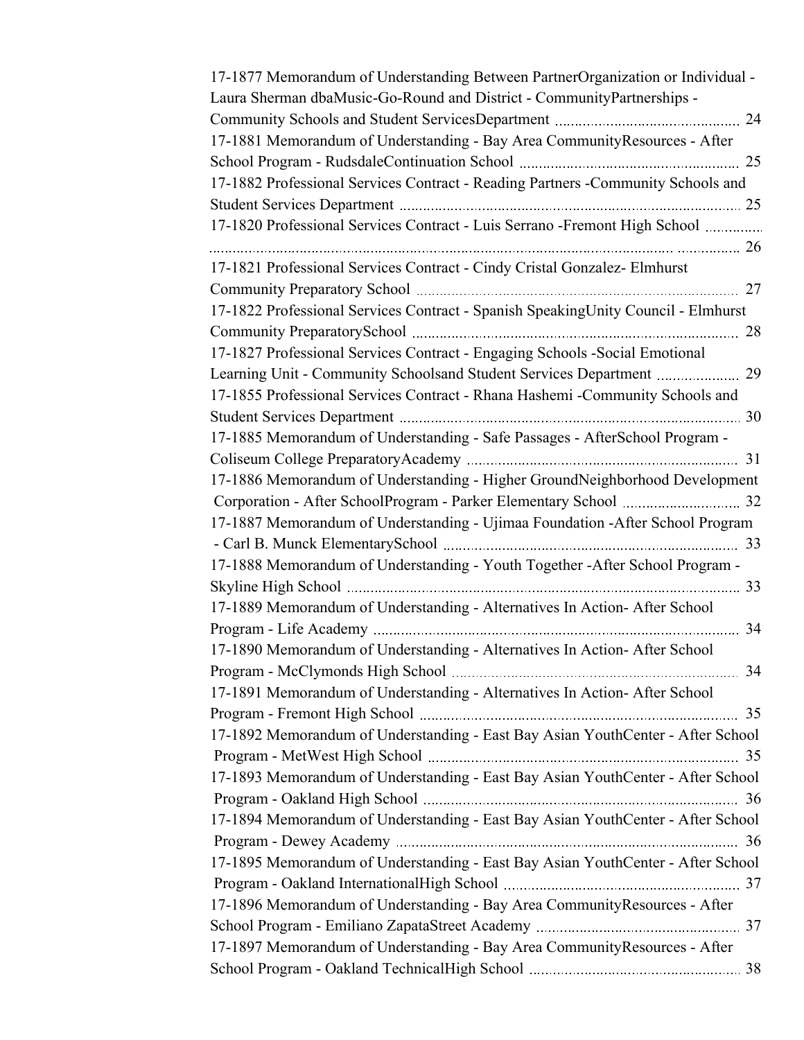| 17-1877 Memorandum of Understanding Between PartnerOrganization or Individual -   |  |
|-----------------------------------------------------------------------------------|--|
| Laura Sherman dbaMusic-Go-Round and District - CommunityPartnerships -            |  |
|                                                                                   |  |
| 17-1881 Memorandum of Understanding - Bay Area Community Resources - After        |  |
|                                                                                   |  |
| 17-1882 Professional Services Contract - Reading Partners -Community Schools and  |  |
|                                                                                   |  |
| 17-1820 Professional Services Contract - Luis Serrano -Fremont High School        |  |
| 17-1821 Professional Services Contract - Cindy Cristal Gonzalez- Elmhurst         |  |
|                                                                                   |  |
| 17-1822 Professional Services Contract - Spanish SpeakingUnity Council - Elmhurst |  |
|                                                                                   |  |
| 17-1827 Professional Services Contract - Engaging Schools -Social Emotional       |  |
| Learning Unit - Community Schoolsand Student Services Department  29              |  |
| 17-1855 Professional Services Contract - Rhana Hashemi -Community Schools and     |  |
|                                                                                   |  |
| 17-1885 Memorandum of Understanding - Safe Passages - AfterSchool Program -       |  |
|                                                                                   |  |
| 17-1886 Memorandum of Understanding - Higher GroundNeighborhood Development       |  |
| Corporation - After SchoolProgram - Parker Elementary School  32                  |  |
| 17-1887 Memorandum of Understanding - Ujimaa Foundation -After School Program     |  |
|                                                                                   |  |
| 17-1888 Memorandum of Understanding - Youth Together -After School Program -      |  |
|                                                                                   |  |
|                                                                                   |  |
| 17-1889 Memorandum of Understanding - Alternatives In Action-After School         |  |
| 17-1890 Memorandum of Understanding - Alternatives In Action-After School         |  |
|                                                                                   |  |
|                                                                                   |  |
| 17-1891 Memorandum of Understanding - Alternatives In Action-After School         |  |
|                                                                                   |  |
| 17-1892 Memorandum of Understanding - East Bay Asian YouthCenter - After School   |  |
|                                                                                   |  |
| 17-1893 Memorandum of Understanding - East Bay Asian YouthCenter - After School   |  |
|                                                                                   |  |
| 17-1894 Memorandum of Understanding - East Bay Asian YouthCenter - After School   |  |
|                                                                                   |  |
| 17-1895 Memorandum of Understanding - East Bay Asian YouthCenter - After School   |  |
|                                                                                   |  |
| 17-1896 Memorandum of Understanding - Bay Area Community Resources - After        |  |
|                                                                                   |  |
| 17-1897 Memorandum of Understanding - Bay Area Community Resources - After        |  |
|                                                                                   |  |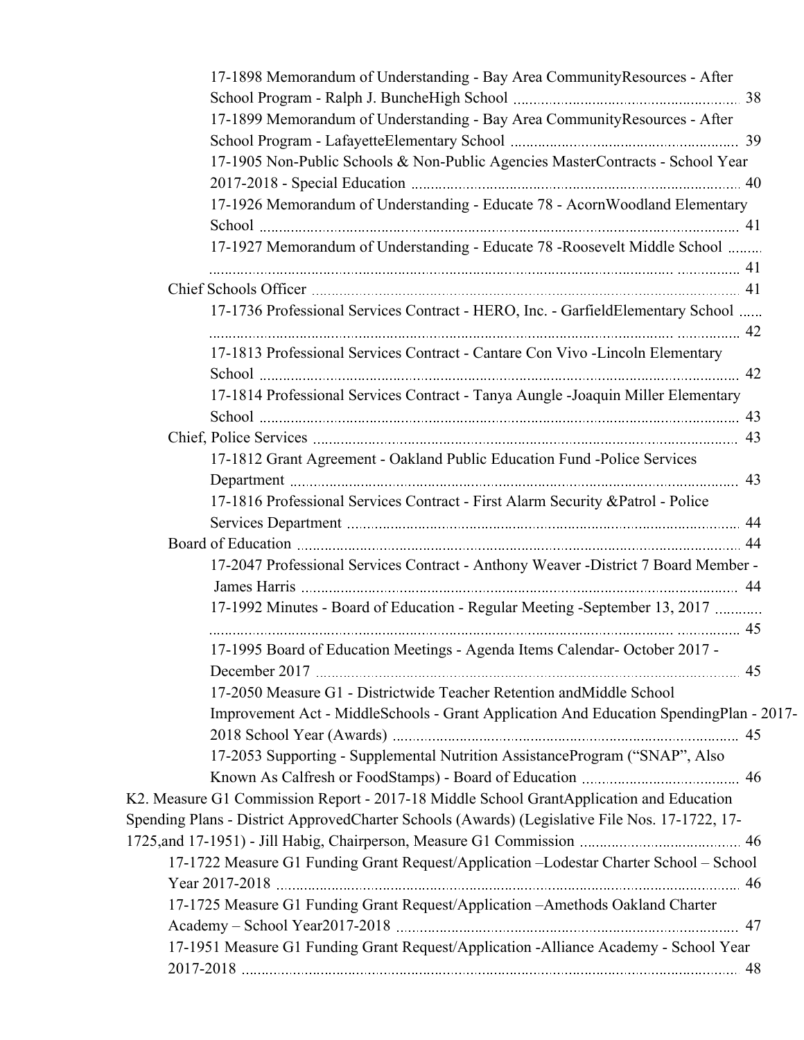| 17-1898 Memorandum of Understanding - Bay Area Community Resources - After                     |  |
|------------------------------------------------------------------------------------------------|--|
|                                                                                                |  |
| 17-1899 Memorandum of Understanding - Bay Area CommunityResources - After                      |  |
|                                                                                                |  |
| 17-1905 Non-Public Schools & Non-Public Agencies MasterContracts - School Year                 |  |
|                                                                                                |  |
| 17-1926 Memorandum of Understanding - Educate 78 - Acorn Woodland Elementary                   |  |
|                                                                                                |  |
| 17-1927 Memorandum of Understanding - Educate 78 - Roosevelt Middle School                     |  |
|                                                                                                |  |
|                                                                                                |  |
| 17-1736 Professional Services Contract - HERO, Inc. - GarfieldElementary School                |  |
|                                                                                                |  |
| 17-1813 Professional Services Contract - Cantare Con Vivo - Lincoln Elementary                 |  |
|                                                                                                |  |
| 17-1814 Professional Services Contract - Tanya Aungle -Joaquin Miller Elementary               |  |
|                                                                                                |  |
|                                                                                                |  |
| 17-1812 Grant Agreement - Oakland Public Education Fund -Police Services                       |  |
|                                                                                                |  |
| 17-1816 Professional Services Contract - First Alarm Security & Patrol - Police                |  |
|                                                                                                |  |
|                                                                                                |  |
| 17-2047 Professional Services Contract - Anthony Weaver - District 7 Board Member -            |  |
| 17-1992 Minutes - Board of Education - Regular Meeting -September 13, 2017                     |  |
|                                                                                                |  |
| 17-1995 Board of Education Meetings - Agenda Items Calendar- October 2017 -                    |  |
|                                                                                                |  |
| 17-2050 Measure G1 - Districtwide Teacher Retention and Middle School                          |  |
| Improvement Act - MiddleSchools - Grant Application And Education SpendingPlan - 2017-         |  |
|                                                                                                |  |
| 17-2053 Supporting - Supplemental Nutrition AssistanceProgram ("SNAP", Also                    |  |
|                                                                                                |  |
| K2. Measure G1 Commission Report - 2017-18 Middle School GrantApplication and Education        |  |
| Spending Plans - District ApprovedCharter Schools (Awards) (Legislative File Nos. 17-1722, 17- |  |
|                                                                                                |  |
| 17-1722 Measure G1 Funding Grant Request/Application -Lodestar Charter School - School         |  |
|                                                                                                |  |
| 17-1725 Measure G1 Funding Grant Request/Application -Amethods Oakland Charter                 |  |
|                                                                                                |  |
| 17-1951 Measure G1 Funding Grant Request/Application -Alliance Academy - School Year           |  |
|                                                                                                |  |
|                                                                                                |  |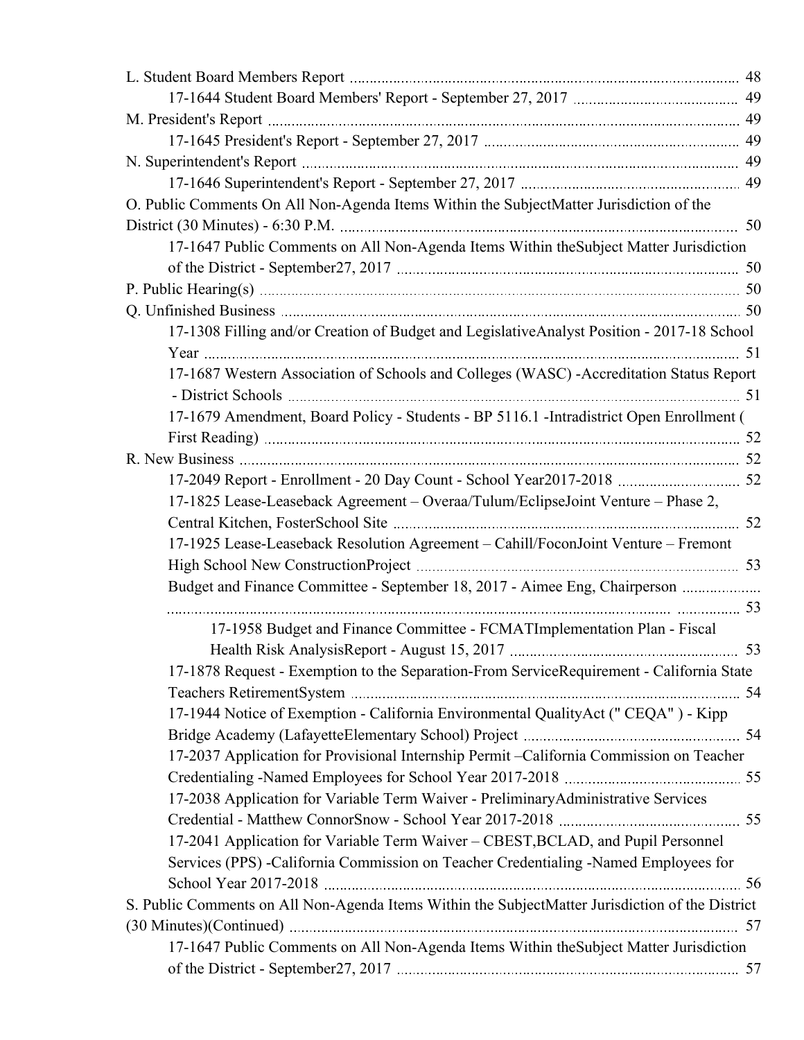| O. Public Comments On All Non-Agenda Items Within the SubjectMatter Jurisdiction of the          |
|--------------------------------------------------------------------------------------------------|
| 50                                                                                               |
| 17-1647 Public Comments on All Non-Agenda Items Within the Subject Matter Jurisdiction           |
|                                                                                                  |
|                                                                                                  |
|                                                                                                  |
| 17-1308 Filling and/or Creation of Budget and LegislativeAnalyst Position - 2017-18 School       |
|                                                                                                  |
| 17-1687 Western Association of Schools and Colleges (WASC) - Accreditation Status Report         |
|                                                                                                  |
| 17-1679 Amendment, Board Policy - Students - BP 5116.1 - Intradistrict Open Enrollment (         |
|                                                                                                  |
|                                                                                                  |
|                                                                                                  |
| 17-1825 Lease-Leaseback Agreement - Overaa/Tulum/EclipseJoint Venture - Phase 2,                 |
|                                                                                                  |
| 17-1925 Lease-Leaseback Resolution Agreement - Cahill/FoconJoint Venture - Fremont               |
|                                                                                                  |
| Budget and Finance Committee - September 18, 2017 - Aimee Eng, Chairperson                       |
|                                                                                                  |
| 17-1958 Budget and Finance Committee - FCMATImplementation Plan - Fiscal                         |
| 53                                                                                               |
| 17-1878 Request - Exemption to the Separation-From ServiceRequirement - California State         |
|                                                                                                  |
| 17-1944 Notice of Exemption - California Environmental QualityAct ("CEQA") - Kipp                |
|                                                                                                  |
| 17-2037 Application for Provisional Internship Permit -California Commission on Teacher          |
|                                                                                                  |
| 17-2038 Application for Variable Term Waiver - PreliminaryAdministrative Services                |
|                                                                                                  |
| 17-2041 Application for Variable Term Waiver - CBEST, BCLAD, and Pupil Personnel                 |
| Services (PPS) - California Commission on Teacher Credentialing - Named Employees for            |
|                                                                                                  |
| S. Public Comments on All Non-Agenda Items Within the SubjectMatter Jurisdiction of the District |
|                                                                                                  |
| 17-1647 Public Comments on All Non-Agenda Items Within the Subject Matter Jurisdiction           |
|                                                                                                  |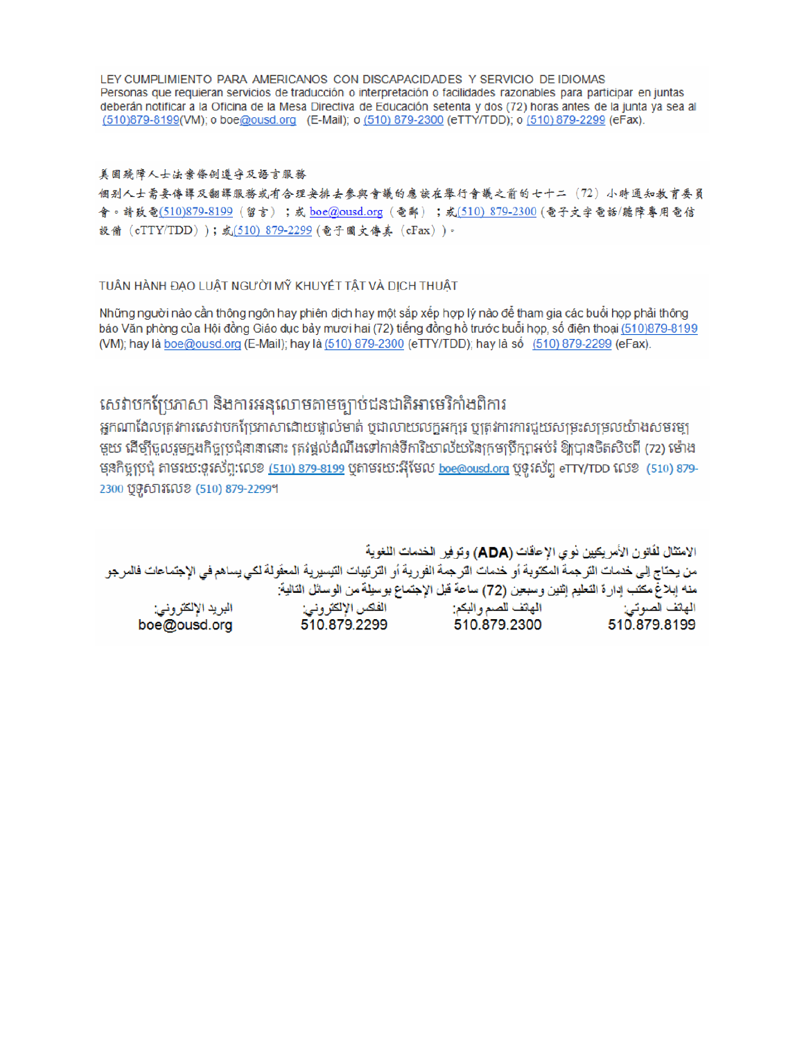LEY CUMPLIMIENTO PARA AMERICANOS CON DISCAPACIDADES Y SERVICIO DE IDIOMAS Personas que requieran servicios de traducción o interpretación o facilidades razonables para participar en juntas deberán notificar a la Oficina de la Mesa Directiva de Educación setenta y dos (72) horas antes de la junta ya sea al (510)879-8199(VM); o boe@ousd.org (E-Mail); o (510) 879-2300 (eTTY/TDD); o (510) 879-2299 (eFax).

#### 美国残障人士法案條例遵守及語言服務

個别人士需要傳譯及翻譯服務或有合理安排去參與會議的應該在舉行會議之前的七十二(72)小時通知教育委員 會。請致電(510)879-8199(留言);或 boe@ousd.org (電郵) ;或(510) 879-2300 (電子文字電話/聽障專用電信 設備 (eTTY/TDD));或(510) 879-2299 (電子圖文傳真 (eFax))。

### TUẦN HÀNH ĐẠO LUẬT NGƯỜI MỸ KHUYẾT TẤT VÀ DỊCH THUẬT

Những người nào cần thông ngôn hay phiên dịch hay một sắp xếp hợp lý nào để tham gia các buổi họp phải thông báo Văn phòng của Hội đồng Giáo dục bảy mươi hai (72) tiếng đồng hồ trước buổi họp, số điện thoại (510)879-8199 (VM); hay là boe@ousd.org (E-Mail); hay là (510) 879-2300 (eTTY/TDD); hay là số (510) 879-2299 (eFax).

# សេវាបកប្រែភាសា និងការអនុលោមតាមច្បាប់ជនជាតិអាមេរិកាំងពិការ

អកណាដែលត្រូវការសេវាបកប្រែភាសាដោយផ្ទាល់មាត់ ឬជាលាយលក្ខអក្សរ ឬត្រូវការការជួយសម្រះសម្រលយ៉ាងសមរម្យ មួយ ដើម្បីចូលរួមក្នុងកិច្ចប្រជុំនានានោះ ត្រវង្គល់ដំណឹងទៅកាន់ទីការិយាល័យនៃក្រមប្រឹក្សាអប់រំ ឱ្យបានចិតសិបពី (72) ម៉ោង មុនកិច្ចប្រជុំ តាមរយៈទូរស័ព្ទ:លេខ <u>(510) 879-8199</u> បុតាមរយៈអ៊ីមែល <u>boe@ousd.org</u> បុទូរស័ព្ទ eTTY/TDD លេខ (510) 879-2300 ប៊ូទូសារលេខ (510) 879-2299។

الامتثال لقانون الأمريكيين نو ي الإعاقات (ADA) وتوفير الخدمات اللغوية من يحتاج إلى خدمات الترجمة المكتوبة أو خدمات الترجمة الفورية أو الترتيبات التيسيرية المعفّولة لكي يساهم في الإجتماعات فالمرجو منه إبلاغ مكتب إدارة التعليم إثنين وسبعين (72) ساعة قبل الإجتماع بوسيلة من الوسائل التالية: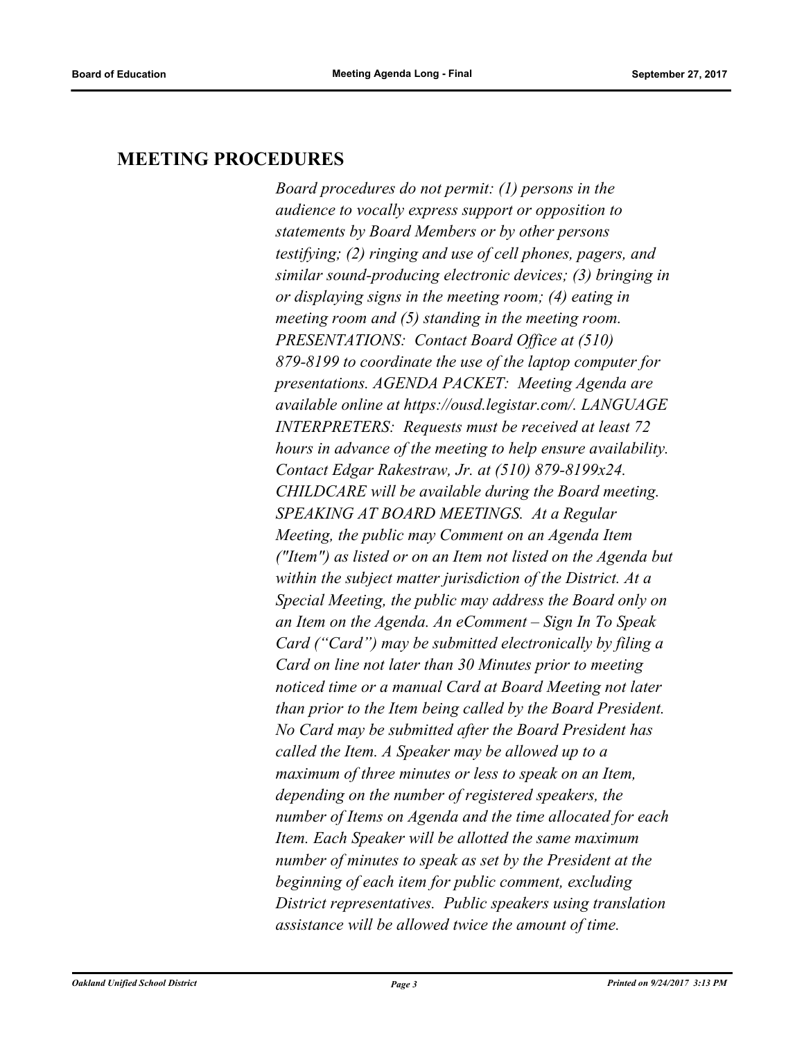# **MEETING PROCEDURES**

*Board procedures do not permit: (1) persons in the audience to vocally express support or opposition to statements by Board Members or by other persons testifying; (2) ringing and use of cell phones, pagers, and similar sound-producing electronic devices; (3) bringing in or displaying signs in the meeting room; (4) eating in meeting room and (5) standing in the meeting room. PRESENTATIONS: Contact Board Office at (510) 879-8199 to coordinate the use of the laptop computer for presentations. AGENDA PACKET: Meeting Agenda are available online at https://ousd.legistar.com/. LANGUAGE INTERPRETERS: Requests must be received at least 72 hours in advance of the meeting to help ensure availability. Contact Edgar Rakestraw, Jr. at (510) 879-8199x24. CHILDCARE will be available during the Board meeting. SPEAKING AT BOARD MEETINGS. At a Regular Meeting, the public may Comment on an Agenda Item ("Item") as listed or on an Item not listed on the Agenda but within the subject matter jurisdiction of the District. At a Special Meeting, the public may address the Board only on an Item on the Agenda. An eComment – Sign In To Speak Card ("Card") may be submitted electronically by filing a Card on line not later than 30 Minutes prior to meeting noticed time or a manual Card at Board Meeting not later than prior to the Item being called by the Board President. No Card may be submitted after the Board President has called the Item. A Speaker may be allowed up to a maximum of three minutes or less to speak on an Item, depending on the number of registered speakers, the number of Items on Agenda and the time allocated for each Item. Each Speaker will be allotted the same maximum number of minutes to speak as set by the President at the beginning of each item for public comment, excluding District representatives. Public speakers using translation assistance will be allowed twice the amount of time.*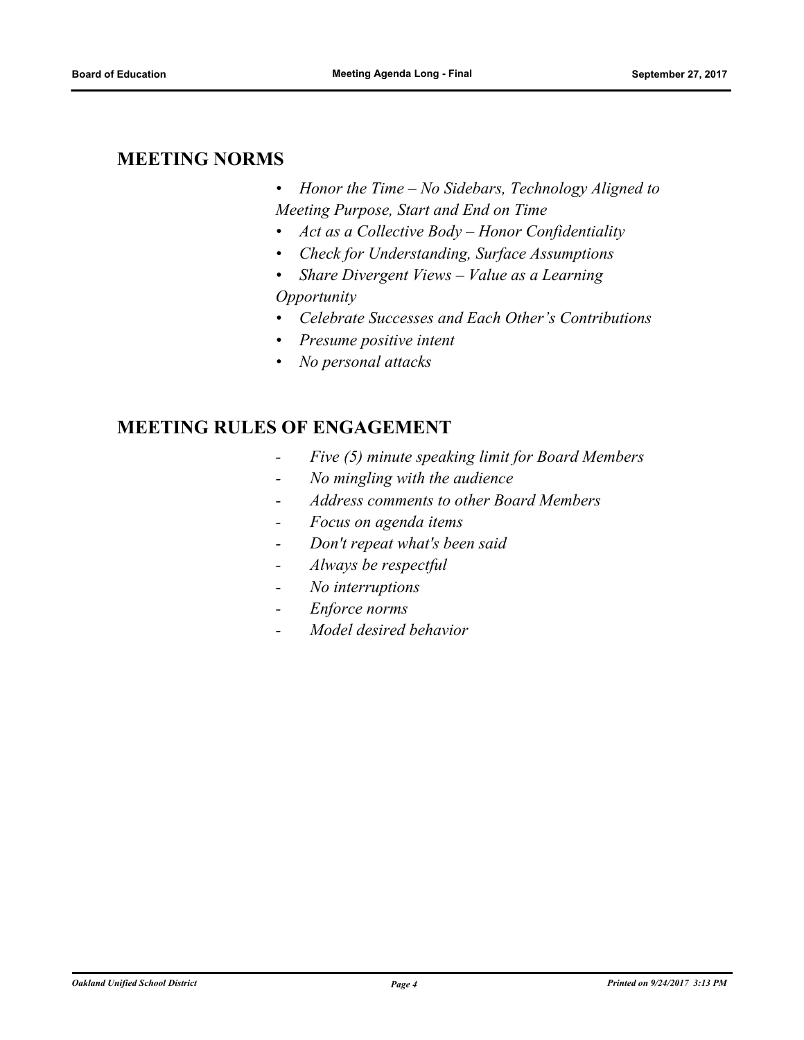# **MEETING NORMS**

- *• Honor the Time No Sidebars, Technology Aligned to Meeting Purpose, Start and End on Time*
- *• Act as a Collective Body Honor Confidentiality*
- *• Check for Understanding, Surface Assumptions*
- *• Share Divergent Views Value as a Learning Opportunity*
- *• Celebrate Successes and Each Other's Contributions*
- *• Presume positive intent*
- *• No personal attacks*

# **MEETING RULES OF ENGAGEMENT**

- *Five (5) minute speaking limit for Board Members*
- *No mingling with the audience*
- *Address comments to other Board Members*
- *Focus on agenda items*
- *Don't repeat what's been said*
- *Always be respectful*
- *No interruptions*
- *Enforce norms*
- *Model desired behavior*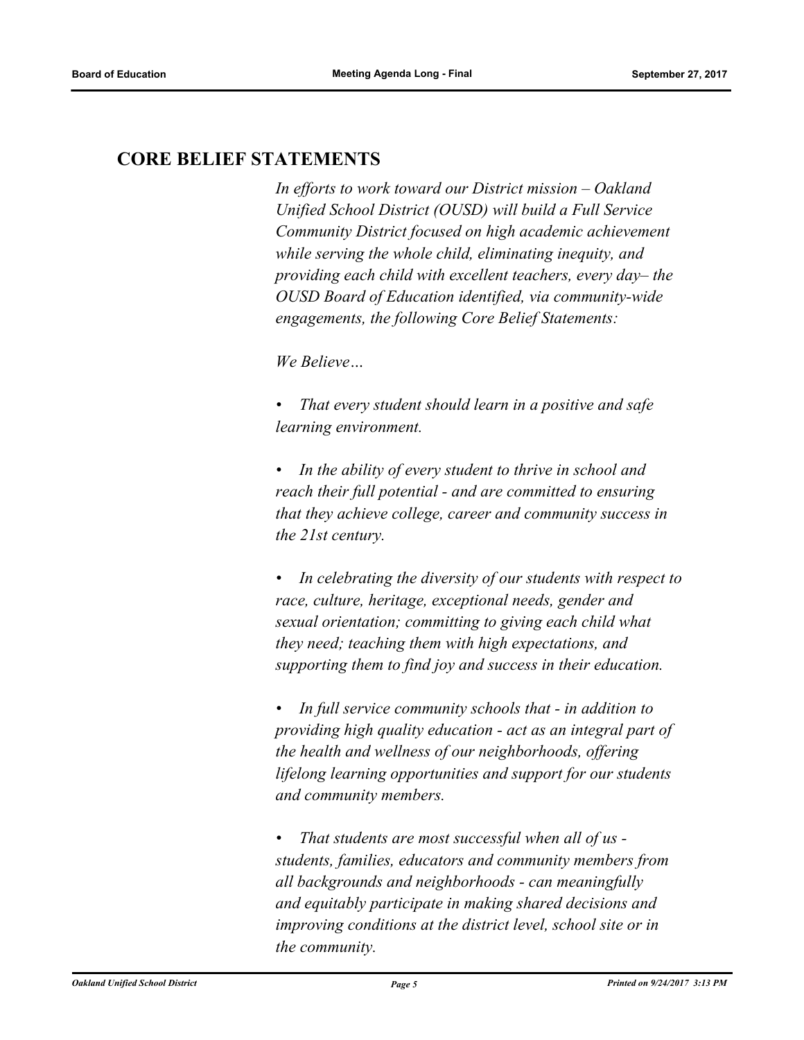# **CORE BELIEF STATEMENTS**

*In efforts to work toward our District mission – Oakland Unified School District (OUSD) will build a Full Service Community District focused on high academic achievement while serving the whole child, eliminating inequity, and providing each child with excellent teachers, every day– the OUSD Board of Education identified, via community-wide engagements, the following Core Belief Statements:* 

*We Believe…*

*• That every student should learn in a positive and safe learning environment.*

*• In the ability of every student to thrive in school and reach their full potential - and are committed to ensuring that they achieve college, career and community success in the 21st century.* 

*• In celebrating the diversity of our students with respect to race, culture, heritage, exceptional needs, gender and sexual orientation; committing to giving each child what they need; teaching them with high expectations, and supporting them to find joy and success in their education.* 

*• In full service community schools that - in addition to providing high quality education - act as an integral part of the health and wellness of our neighborhoods, offering lifelong learning opportunities and support for our students and community members.*

*• That students are most successful when all of us students, families, educators and community members from all backgrounds and neighborhoods - can meaningfully and equitably participate in making shared decisions and improving conditions at the district level, school site or in the community.*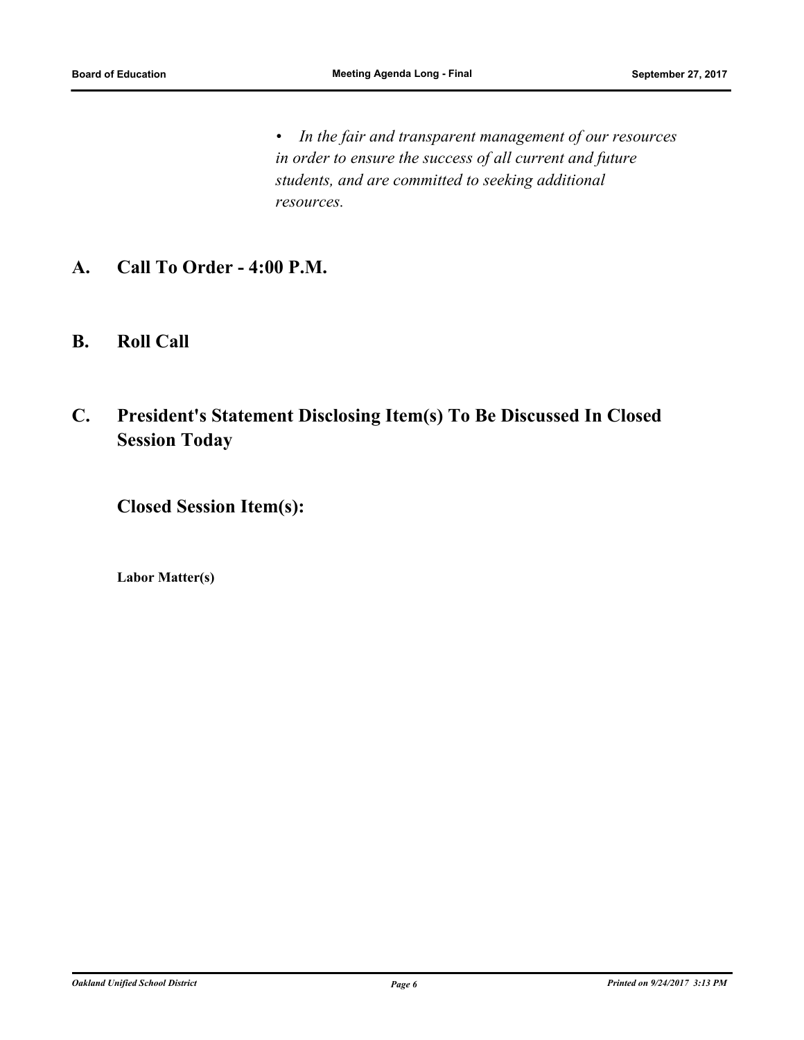*• In the fair and transparent management of our resources in order to ensure the success of all current and future students, and are committed to seeking additional resources.*

- **A. Call To Order 4:00 P.M.**
- **B. Roll Call**
- **C. President's Statement Disclosing Item(s) To Be Discussed In Closed Session Today**

**Closed Session Item(s):**

**Labor Matter(s)**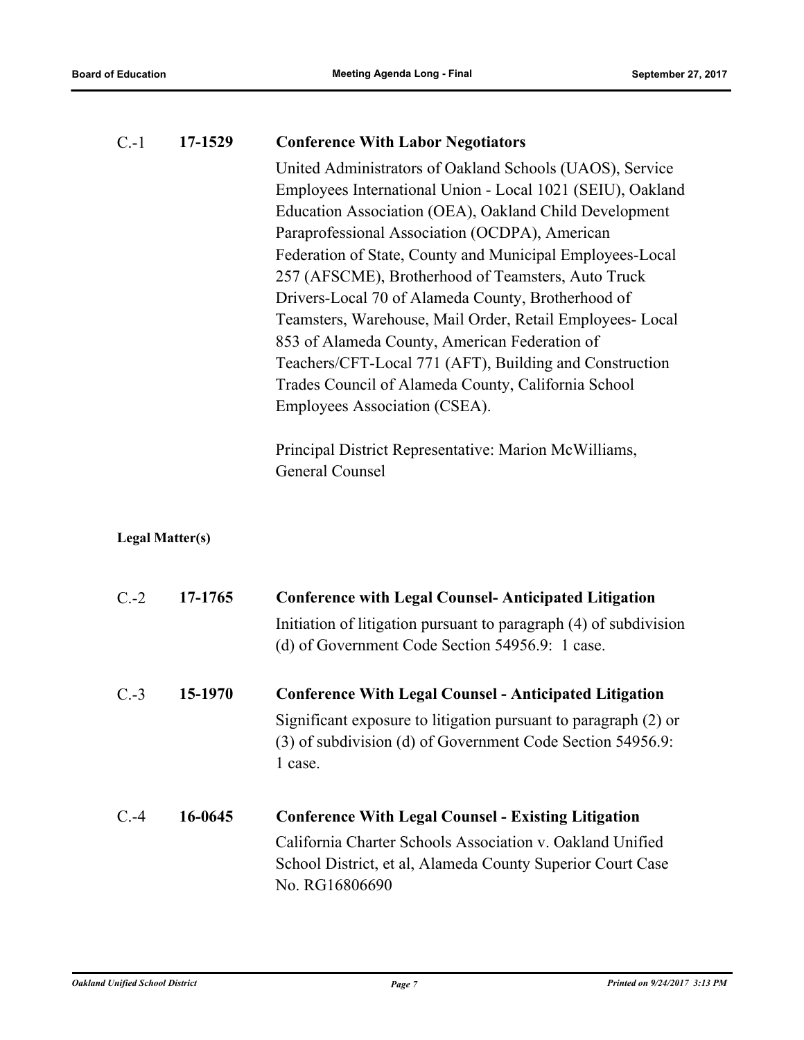| $C.-1$ | 17-1529                | <b>Conference With Labor Negotiators</b>                                                                                                                                                                                                                                                                                                                                                                                                                                                                                                                                                                                                                                                                                              |
|--------|------------------------|---------------------------------------------------------------------------------------------------------------------------------------------------------------------------------------------------------------------------------------------------------------------------------------------------------------------------------------------------------------------------------------------------------------------------------------------------------------------------------------------------------------------------------------------------------------------------------------------------------------------------------------------------------------------------------------------------------------------------------------|
|        |                        | United Administrators of Oakland Schools (UAOS), Service<br>Employees International Union - Local 1021 (SEIU), Oakland<br>Education Association (OEA), Oakland Child Development<br>Paraprofessional Association (OCDPA), American<br>Federation of State, County and Municipal Employees-Local<br>257 (AFSCME), Brotherhood of Teamsters, Auto Truck<br>Drivers-Local 70 of Alameda County, Brotherhood of<br>Teamsters, Warehouse, Mail Order, Retail Employees- Local<br>853 of Alameda County, American Federation of<br>Teachers/CFT-Local 771 (AFT), Building and Construction<br>Trades Council of Alameda County, California School<br>Employees Association (CSEA).<br>Principal District Representative: Marion McWilliams, |
|        |                        | General Counsel                                                                                                                                                                                                                                                                                                                                                                                                                                                                                                                                                                                                                                                                                                                       |
|        | <b>Legal Matter(s)</b> |                                                                                                                                                                                                                                                                                                                                                                                                                                                                                                                                                                                                                                                                                                                                       |
| $C.-2$ | 17-1765                | <b>Conference with Legal Counsel-Anticipated Litigation</b>                                                                                                                                                                                                                                                                                                                                                                                                                                                                                                                                                                                                                                                                           |
|        |                        | Initiation of litigation pursuant to paragraph (4) of subdivision<br>(d) of Government Code Section 54956.9: 1 case.                                                                                                                                                                                                                                                                                                                                                                                                                                                                                                                                                                                                                  |
| $C.-3$ | 15-1970                | <b>Conference With Legal Counsel - Anticipated Litigation</b>                                                                                                                                                                                                                                                                                                                                                                                                                                                                                                                                                                                                                                                                         |
|        |                        | Significant exposure to litigation pursuant to paragraph (2) or<br>(3) of subdivision (d) of Government Code Section 54956.9:<br>1 case.                                                                                                                                                                                                                                                                                                                                                                                                                                                                                                                                                                                              |
| $C.-4$ | 16-0645                | <b>Conference With Legal Counsel - Existing Litigation</b>                                                                                                                                                                                                                                                                                                                                                                                                                                                                                                                                                                                                                                                                            |
|        |                        | California Charter Schools Association v. Oakland Unified<br>School District, et al, Alameda County Superior Court Case<br>No. RG16806690                                                                                                                                                                                                                                                                                                                                                                                                                                                                                                                                                                                             |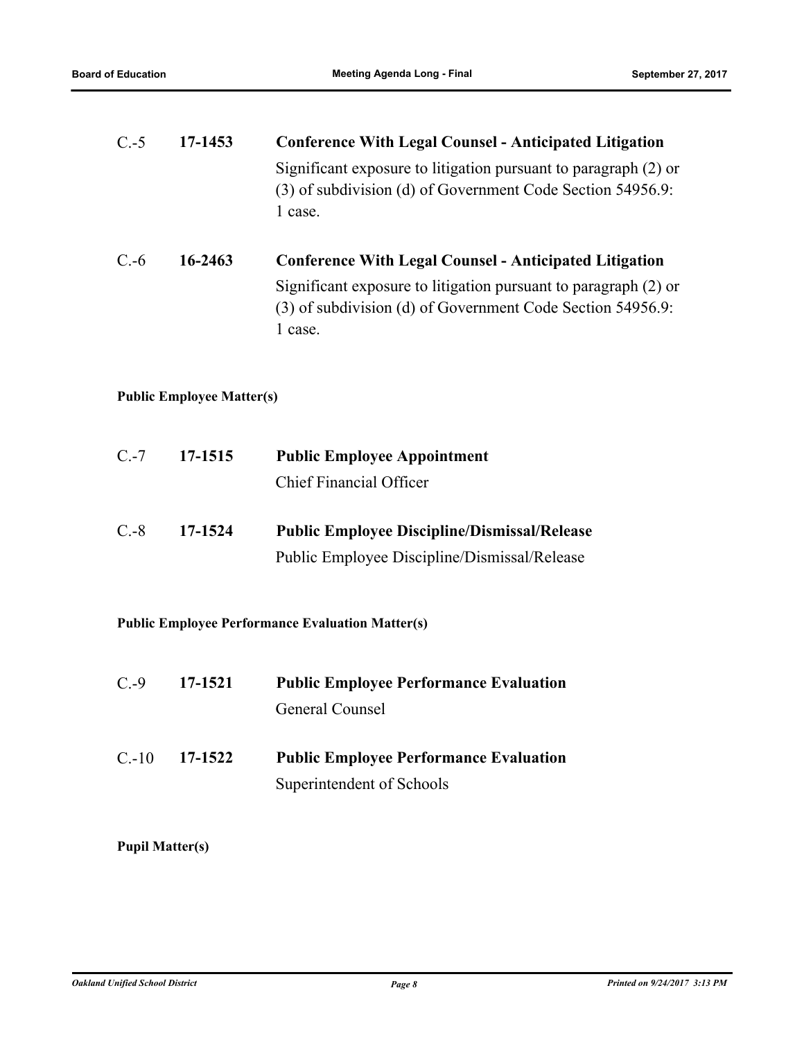| $C.-5$                                                  | 17-1453                          | <b>Conference With Legal Counsel - Anticipated Litigation</b>                                                                                                                                             |  |
|---------------------------------------------------------|----------------------------------|-----------------------------------------------------------------------------------------------------------------------------------------------------------------------------------------------------------|--|
|                                                         |                                  | Significant exposure to litigation pursuant to paragraph (2) or<br>(3) of subdivision (d) of Government Code Section 54956.9:<br>1 case.                                                                  |  |
| $C.-6$                                                  | 16-2463                          | <b>Conference With Legal Counsel - Anticipated Litigation</b><br>Significant exposure to litigation pursuant to paragraph (2) or<br>(3) of subdivision (d) of Government Code Section 54956.9:<br>1 case. |  |
|                                                         | <b>Public Employee Matter(s)</b> |                                                                                                                                                                                                           |  |
| $C.-7$                                                  | 17-1515                          | <b>Public Employee Appointment</b>                                                                                                                                                                        |  |
|                                                         |                                  | <b>Chief Financial Officer</b>                                                                                                                                                                            |  |
| $C.-8$                                                  | 17-1524                          | <b>Public Employee Discipline/Dismissal/Release</b>                                                                                                                                                       |  |
|                                                         |                                  | Public Employee Discipline/Dismissal/Release                                                                                                                                                              |  |
| <b>Public Employee Performance Evaluation Matter(s)</b> |                                  |                                                                                                                                                                                                           |  |
| $C.-9$                                                  | 17-1521                          | <b>Public Employee Performance Evaluation</b>                                                                                                                                                             |  |
|                                                         |                                  | General Counsel                                                                                                                                                                                           |  |
| $C.-10$                                                 | 17-1522                          | <b>Public Employee Performance Evaluation</b>                                                                                                                                                             |  |
|                                                         |                                  | Superintendent of Schools                                                                                                                                                                                 |  |

**Pupil Matter(s)**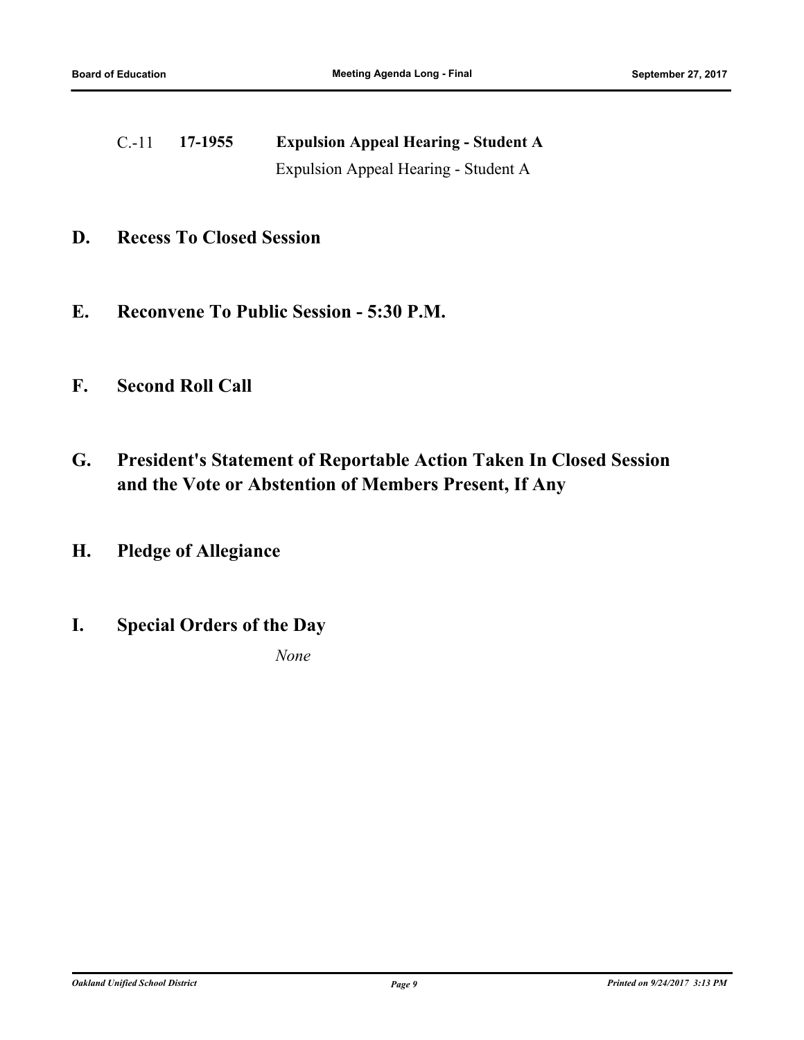C.-11 **17-1955 Expulsion Appeal Hearing - Student A** Expulsion Appeal Hearing - Student A

- **D. Recess To Closed Session**
- **E. Reconvene To Public Session 5:30 P.M.**
- **F. Second Roll Call**
- **G. President's Statement of Reportable Action Taken In Closed Session and the Vote or Abstention of Members Present, If Any**
- **H. Pledge of Allegiance**
- **I. Special Orders of the Day**

*None*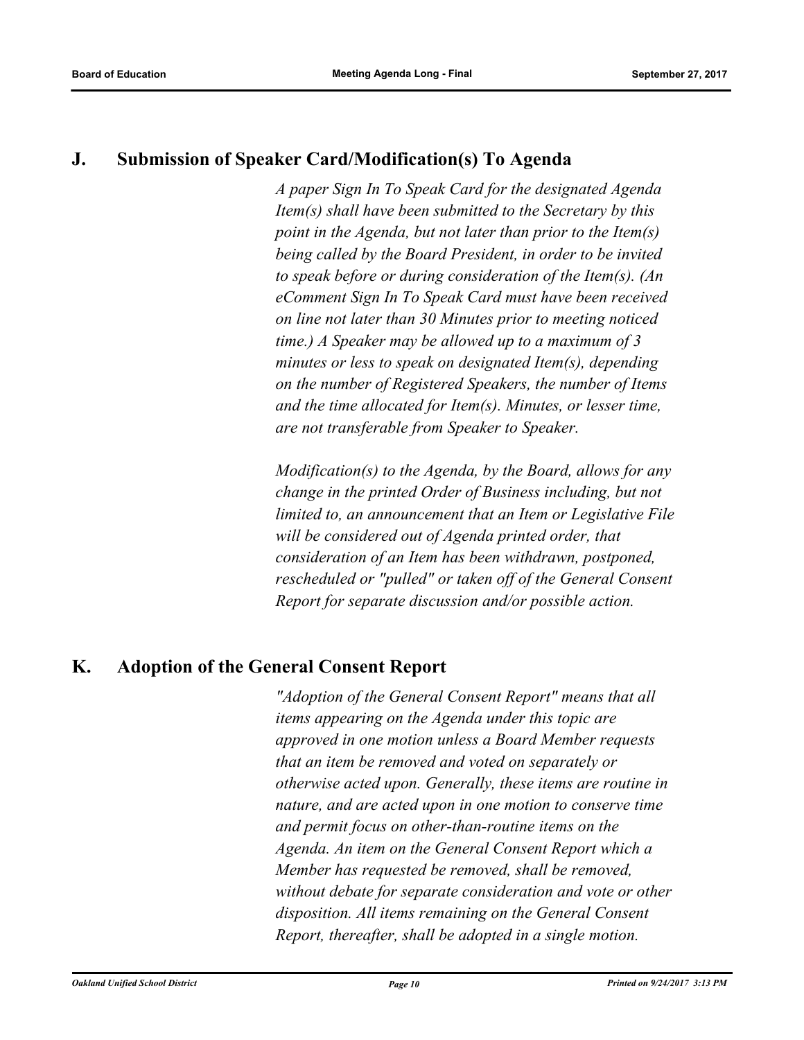# **J. Submission of Speaker Card/Modification(s) To Agenda**

*A paper Sign In To Speak Card for the designated Agenda Item(s) shall have been submitted to the Secretary by this point in the Agenda, but not later than prior to the Item(s) being called by the Board President, in order to be invited to speak before or during consideration of the Item(s). (An eComment Sign In To Speak Card must have been received on line not later than 30 Minutes prior to meeting noticed time.) A Speaker may be allowed up to a maximum of 3 minutes or less to speak on designated Item(s), depending on the number of Registered Speakers, the number of Items and the time allocated for Item(s). Minutes, or lesser time, are not transferable from Speaker to Speaker.* 

*Modification(s) to the Agenda, by the Board, allows for any change in the printed Order of Business including, but not limited to, an announcement that an Item or Legislative File will be considered out of Agenda printed order, that consideration of an Item has been withdrawn, postponed, rescheduled or "pulled" or taken off of the General Consent Report for separate discussion and/or possible action.*

# **K. Adoption of the General Consent Report**

*"Adoption of the General Consent Report" means that all items appearing on the Agenda under this topic are approved in one motion unless a Board Member requests that an item be removed and voted on separately or otherwise acted upon. Generally, these items are routine in nature, and are acted upon in one motion to conserve time and permit focus on other‑than‑routine items on the Agenda. An item on the General Consent Report which a Member has requested be removed, shall be removed, without debate for separate consideration and vote or other disposition. All items remaining on the General Consent Report, thereafter, shall be adopted in a single motion.*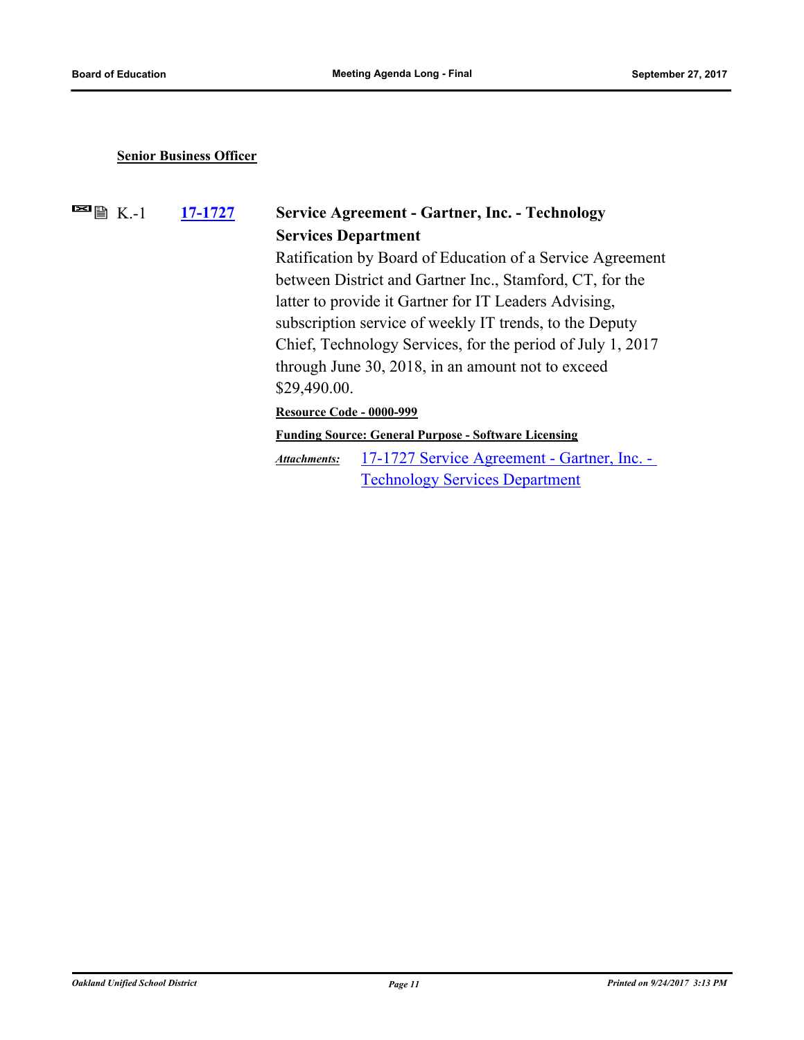#### **Senior Business Officer**

 $\blacksquare$   $\blacksquare$  K.-1

# **[17-1727](http://ousd.legistar.com/gateway.aspx?m=l&id=/matter.aspx?key=41220) Service Agreement - Gartner, Inc. - Technology Services Department**

Ratification by Board of Education of a Service Agreement between District and Gartner Inc., Stamford, CT, for the latter to provide it Gartner for IT Leaders Advising, subscription service of weekly IT trends, to the Deputy Chief, Technology Services, for the period of July 1, 2017 through June 30, 2018, in an amount not to exceed \$29,490.00.

**Resource Code - 0000-999**

**Funding Source: General Purpose - Software Licensing**

[17-1727 Service Agreement - Gartner, Inc. -](http://ousd.legistar.com/gateway.aspx?M=F&ID=86235.pdf)  Technology Services Department *Attachments:*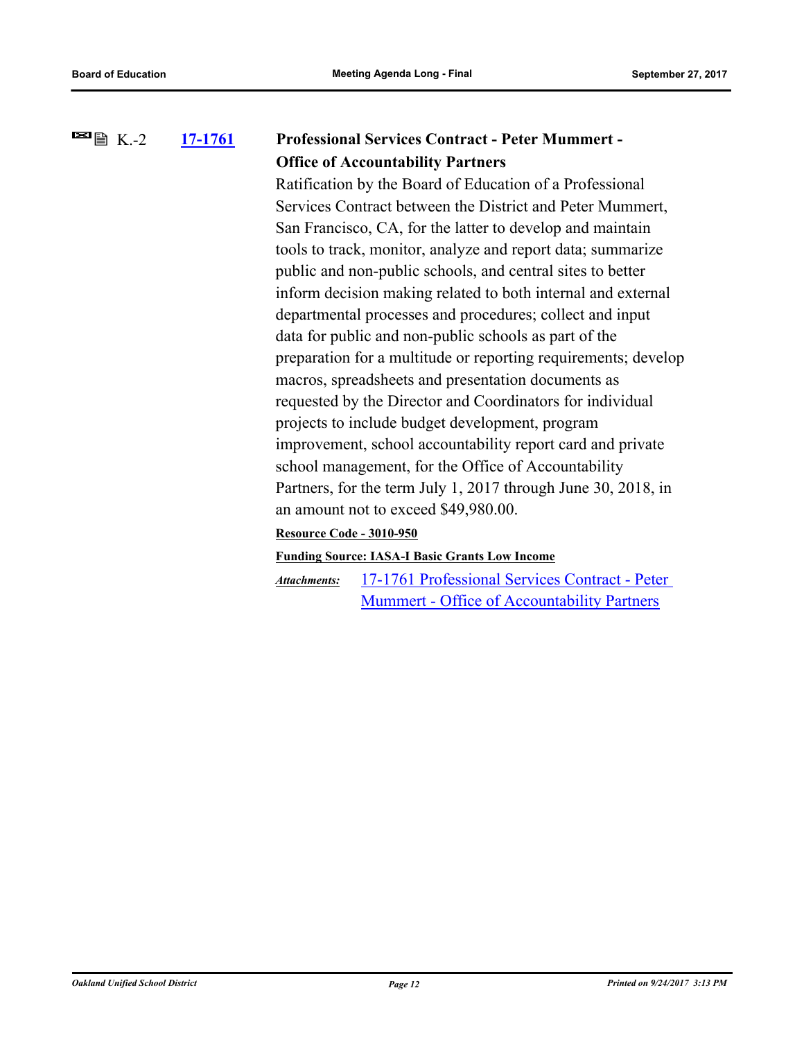#### **[17-1761](http://ousd.legistar.com/gateway.aspx?m=l&id=/matter.aspx?key=41254) Professional Services Contract - Peter Mummert - Office of Accountability Partners**  $\blacksquare$   $\blacksquare$   $\blacksquare$  K.-2

Ratification by the Board of Education of a Professional Services Contract between the District and Peter Mummert, San Francisco, CA, for the latter to develop and maintain tools to track, monitor, analyze and report data; summarize public and non-public schools, and central sites to better inform decision making related to both internal and external departmental processes and procedures; collect and input data for public and non-public schools as part of the preparation for a multitude or reporting requirements; develop macros, spreadsheets and presentation documents as requested by the Director and Coordinators for individual projects to include budget development, program improvement, school accountability report card and private school management, for the Office of Accountability Partners, for the term July 1, 2017 through June 30, 2018, in an amount not to exceed \$49,980.00.

### **Resource Code - 3010-950**

### **Funding Source: IASA-I Basic Grants Low Income**

[17-1761 Professional Services Contract - Peter](http://ousd.legistar.com/gateway.aspx?M=F&ID=86101.pdf)  Mummert - Office of Accountability Partners *Attachments:*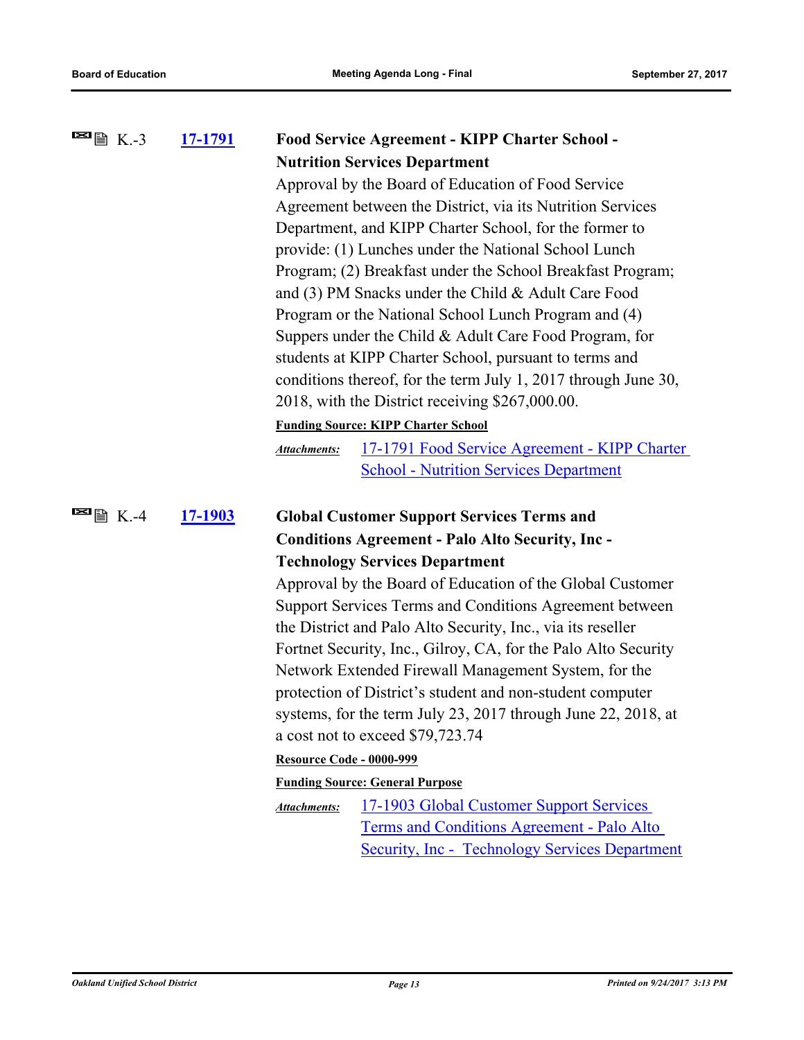| $\blacksquare$ $\blacksquare$ $\blacksquare$ K.-3 | 17-1791 |                                                            | <b>Food Service Agreement - KIPP Charter School -</b>          |  |
|---------------------------------------------------|---------|------------------------------------------------------------|----------------------------------------------------------------|--|
|                                                   |         |                                                            | <b>Nutrition Services Department</b>                           |  |
|                                                   |         | Approval by the Board of Education of Food Service         |                                                                |  |
|                                                   |         | Agreement between the District, via its Nutrition Services |                                                                |  |
|                                                   |         | Department, and KIPP Charter School, for the former to     |                                                                |  |
|                                                   |         | provide: (1) Lunches under the National School Lunch       |                                                                |  |
|                                                   |         | Program; (2) Breakfast under the School Breakfast Program; |                                                                |  |
|                                                   |         | and (3) PM Snacks under the Child & Adult Care Food        |                                                                |  |
|                                                   |         | Program or the National School Lunch Program and (4)       |                                                                |  |
|                                                   |         | Suppers under the Child & Adult Care Food Program, for     |                                                                |  |
|                                                   |         | students at KIPP Charter School, pursuant to terms and     |                                                                |  |
|                                                   |         |                                                            | conditions thereof, for the term July 1, 2017 through June 30, |  |
|                                                   |         |                                                            | 2018, with the District receiving \$267,000.00.                |  |
|                                                   |         |                                                            | <b>Funding Source: KIPP Charter School</b>                     |  |
|                                                   |         | <b>Attachments:</b>                                        | 17-1791 Food Service Agreement - KIPP Charter                  |  |
|                                                   |         |                                                            | <b>School - Nutrition Services Department</b>                  |  |
| $\blacksquare$ 图 K.-4                             | 17-1903 |                                                            | <b>Global Customer Support Services Terms and</b>              |  |
|                                                   |         |                                                            | <b>Conditions Agreement - Palo Alto Security, Inc-</b>         |  |
|                                                   |         |                                                            | <b>Technology Services Department</b>                          |  |
|                                                   |         |                                                            | Approval by the Board of Education of the Global Customer      |  |
|                                                   |         |                                                            | Support Services Terms and Conditions Agreement between        |  |
|                                                   |         |                                                            | the District and Palo Alto Security, Inc., via its reseller    |  |
|                                                   |         |                                                            | Fortnet Security, Inc., Gilroy, CA, for the Palo Alto Security |  |
|                                                   |         |                                                            | Network Extended Firewall Management System, for the           |  |
|                                                   |         |                                                            | protection of District's student and non-student computer      |  |
|                                                   |         |                                                            | systems, for the term July 23, 2017 through June 22, 2018, at  |  |
|                                                   |         |                                                            | a cost not to exceed \$79,723.74                               |  |
|                                                   |         | <b>Resource Code - 0000-999</b>                            |                                                                |  |
|                                                   |         |                                                            | <b>Funding Source: General Purpose</b>                         |  |
|                                                   |         | <b>Attachments:</b>                                        | <u>17-1903 Global Customer Support Services</u>                |  |
|                                                   |         |                                                            | Terms and Conditions Agreement - Palo Alto                     |  |
|                                                   |         |                                                            | <b>Security, Inc - Technology Services Department</b>          |  |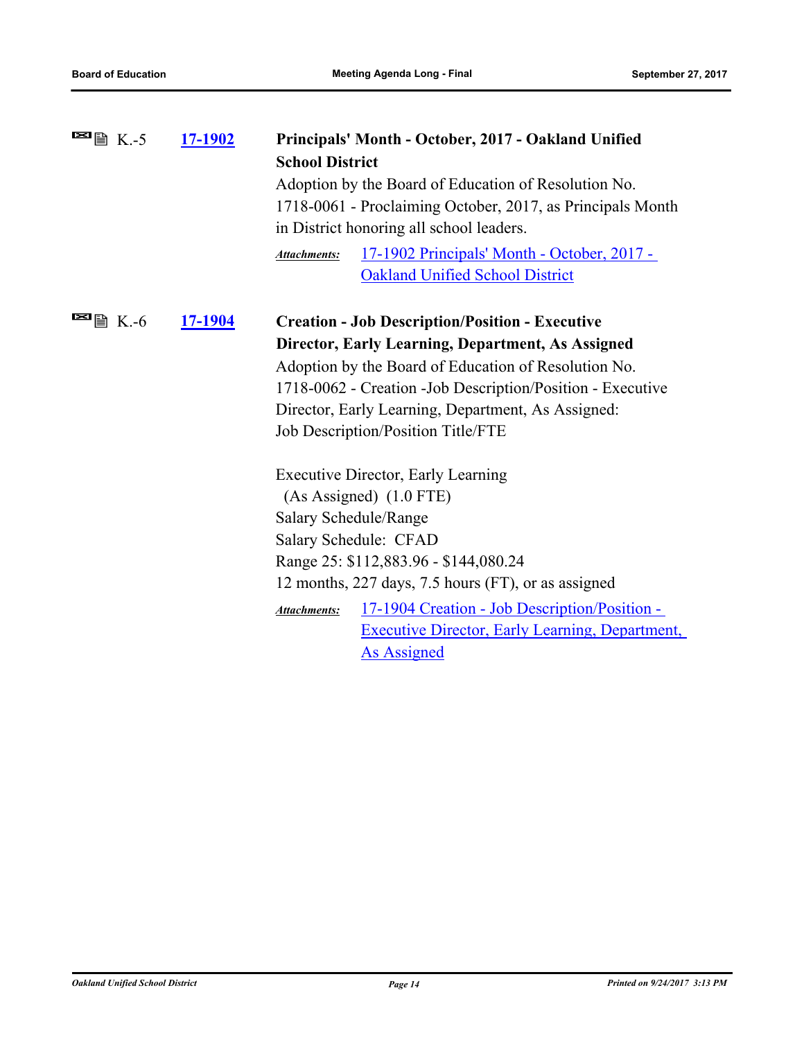| $\blacksquare$ $\blacksquare$ $\blacksquare$ K.-5 | <u>17-1902</u> | Principals' Month - October, 2017 - Oakland Unified                          |  |
|---------------------------------------------------|----------------|------------------------------------------------------------------------------|--|
|                                                   |                | <b>School District</b>                                                       |  |
|                                                   |                | Adoption by the Board of Education of Resolution No.                         |  |
|                                                   |                | 1718-0061 - Proclaiming October, 2017, as Principals Month                   |  |
|                                                   |                | in District honoring all school leaders.                                     |  |
|                                                   |                | <u> 17-1902 Principals' Month - October, 2017 -</u><br><b>Attachments:</b>   |  |
|                                                   |                | <b>Oakland Unified School District</b>                                       |  |
| E                                                 |                |                                                                              |  |
| <b>■ K.-6</b>                                     | <u>17-1904</u> | <b>Creation - Job Description/Position - Executive</b>                       |  |
|                                                   |                | Director, Early Learning, Department, As Assigned                            |  |
|                                                   |                | Adoption by the Board of Education of Resolution No.                         |  |
|                                                   |                | 1718-0062 - Creation - Job Description/Position - Executive                  |  |
|                                                   |                | Director, Early Learning, Department, As Assigned:                           |  |
|                                                   |                | Job Description/Position Title/FTE                                           |  |
|                                                   |                | <b>Executive Director, Early Learning</b>                                    |  |
|                                                   |                | $(As$ Assigned $)$ $(1.0$ FTE)                                               |  |
|                                                   |                | Salary Schedule/Range                                                        |  |
|                                                   |                | Salary Schedule: CFAD                                                        |  |
|                                                   |                | Range 25: \$112,883.96 - \$144,080.24                                        |  |
|                                                   |                | 12 months, 227 days, 7.5 hours (FT), or as assigned                          |  |
|                                                   |                | <u> 17-1904 Creation - Job Description/Position -</u><br><b>Attachments:</b> |  |
|                                                   |                | <b>Executive Director, Early Learning, Department,</b>                       |  |
|                                                   |                | As Assigned                                                                  |  |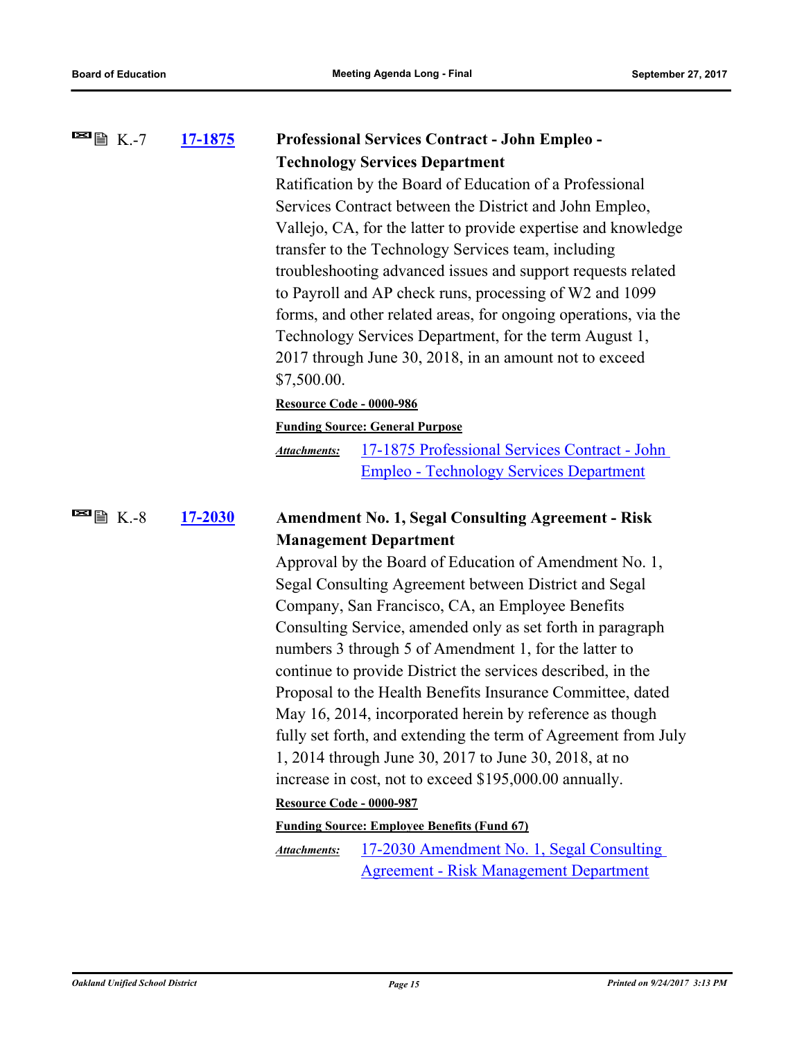| $\blacksquare$ $\blacksquare$ $\blacksquare$ $\blacksquare$ $\blacksquare$ $\blacksquare$ $\blacksquare$ $\blacksquare$ $\blacksquare$ $\blacksquare$ $\blacksquare$ $\blacksquare$ $\blacksquare$ $\blacksquare$ $\blacksquare$ $\blacksquare$ $\blacksquare$ $\blacksquare$ $\blacksquare$ $\blacksquare$ $\blacksquare$ $\blacksquare$ $\blacksquare$ $\blacksquare$ $\blacksquare$ $\blacksquare$ $\blacksquare$ $\blacksquare$ $\blacksquare$ $\blacksquare$ $\blacksquare$ $\blacks$ | 17-1875        | <b>Professional Services Contract - John Empleo -</b>                |
|--------------------------------------------------------------------------------------------------------------------------------------------------------------------------------------------------------------------------------------------------------------------------------------------------------------------------------------------------------------------------------------------------------------------------------------------------------------------------------------------|----------------|----------------------------------------------------------------------|
|                                                                                                                                                                                                                                                                                                                                                                                                                                                                                            |                | <b>Technology Services Department</b>                                |
|                                                                                                                                                                                                                                                                                                                                                                                                                                                                                            |                | Ratification by the Board of Education of a Professional             |
|                                                                                                                                                                                                                                                                                                                                                                                                                                                                                            |                | Services Contract between the District and John Empleo,              |
|                                                                                                                                                                                                                                                                                                                                                                                                                                                                                            |                | Vallejo, CA, for the latter to provide expertise and knowledge       |
|                                                                                                                                                                                                                                                                                                                                                                                                                                                                                            |                | transfer to the Technology Services team, including                  |
|                                                                                                                                                                                                                                                                                                                                                                                                                                                                                            |                | troubleshooting advanced issues and support requests related         |
|                                                                                                                                                                                                                                                                                                                                                                                                                                                                                            |                | to Payroll and AP check runs, processing of W2 and 1099              |
|                                                                                                                                                                                                                                                                                                                                                                                                                                                                                            |                | forms, and other related areas, for ongoing operations, via the      |
|                                                                                                                                                                                                                                                                                                                                                                                                                                                                                            |                | Technology Services Department, for the term August 1,               |
|                                                                                                                                                                                                                                                                                                                                                                                                                                                                                            |                | 2017 through June 30, 2018, in an amount not to exceed               |
|                                                                                                                                                                                                                                                                                                                                                                                                                                                                                            |                | \$7,500.00.                                                          |
|                                                                                                                                                                                                                                                                                                                                                                                                                                                                                            |                | Resource Code - 0000-986                                             |
|                                                                                                                                                                                                                                                                                                                                                                                                                                                                                            |                | <b>Funding Source: General Purpose</b>                               |
|                                                                                                                                                                                                                                                                                                                                                                                                                                                                                            |                | 17-1875 Professional Services Contract - John<br><b>Attachments:</b> |
|                                                                                                                                                                                                                                                                                                                                                                                                                                                                                            |                | <b>Empleo - Technology Services Department</b>                       |
| $\blacksquare$ $\blacksquare$ $\blacksquare$ K.-8                                                                                                                                                                                                                                                                                                                                                                                                                                          | <b>17-2030</b> | <b>Amendment No. 1, Segal Consulting Agreement - Risk</b>            |
|                                                                                                                                                                                                                                                                                                                                                                                                                                                                                            |                | <b>Management Department</b>                                         |
|                                                                                                                                                                                                                                                                                                                                                                                                                                                                                            |                | Approval by the Board of Education of Amendment No. 1,               |
|                                                                                                                                                                                                                                                                                                                                                                                                                                                                                            |                | Segal Consulting Agreement between District and Segal                |
|                                                                                                                                                                                                                                                                                                                                                                                                                                                                                            |                | Company, San Francisco, CA, an Employee Benefits                     |
|                                                                                                                                                                                                                                                                                                                                                                                                                                                                                            |                | Consulting Service, amended only as set forth in paragraph           |
|                                                                                                                                                                                                                                                                                                                                                                                                                                                                                            |                | numbers 3 through 5 of Amendment 1, for the latter to                |
|                                                                                                                                                                                                                                                                                                                                                                                                                                                                                            |                | continue to provide District the services described, in the          |
|                                                                                                                                                                                                                                                                                                                                                                                                                                                                                            |                | Proposal to the Health Benefits Insurance Committee, dated           |
|                                                                                                                                                                                                                                                                                                                                                                                                                                                                                            |                | May 16, 2014, incorporated herein by reference as though             |
|                                                                                                                                                                                                                                                                                                                                                                                                                                                                                            |                | fully set forth, and extending the term of Agreement from July       |
|                                                                                                                                                                                                                                                                                                                                                                                                                                                                                            |                | 1, 2014 through June 30, 2017 to June 30, 2018, at no                |
|                                                                                                                                                                                                                                                                                                                                                                                                                                                                                            |                | increase in cost, not to exceed \$195,000.00 annually.               |
|                                                                                                                                                                                                                                                                                                                                                                                                                                                                                            |                | Resource Code - 0000-987                                             |
|                                                                                                                                                                                                                                                                                                                                                                                                                                                                                            |                | <b>Funding Source: Employee Benefits (Fund 67)</b>                   |
|                                                                                                                                                                                                                                                                                                                                                                                                                                                                                            |                | 17-2030 Amendment No. 1, Segal Consulting<br>Attachments:            |

Agreement - Risk Management Department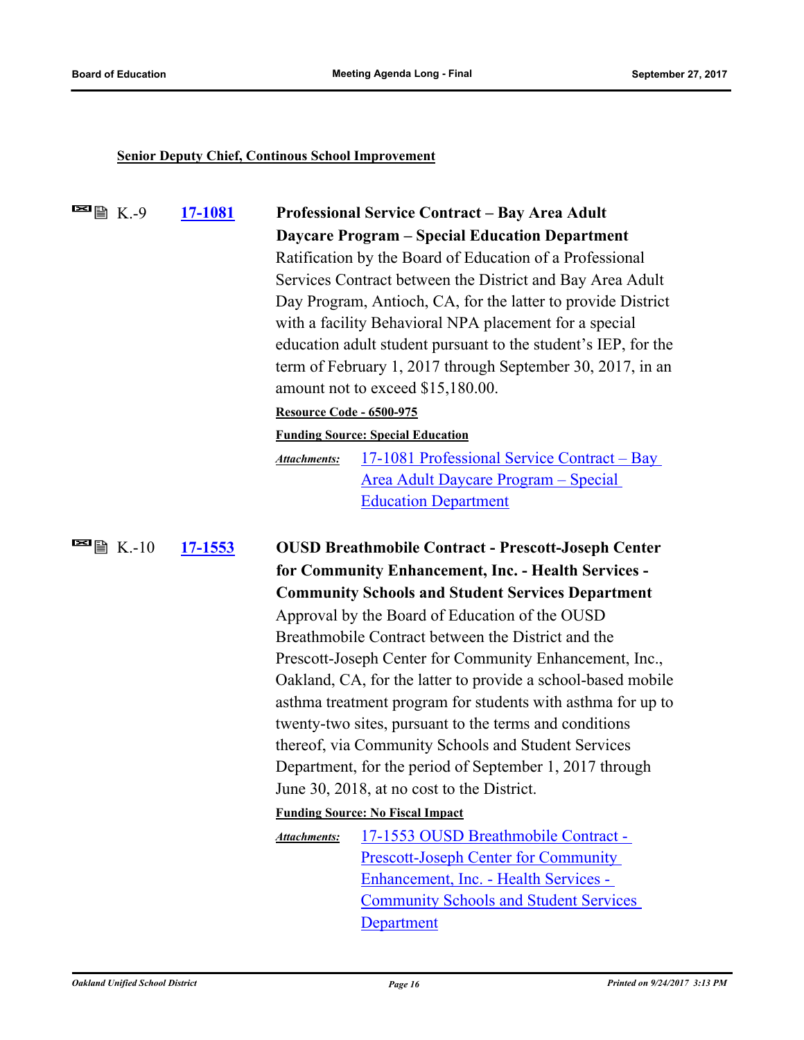# **Senior Deputy Chief, Continous School Improvement**

| $\blacksquare$ $\blacksquare$ $\blacksquare$ K.-9 | 17-1081                                                |                                                                                                                                                                   | <b>Professional Service Contract - Bay Area Adult</b>        |  |
|---------------------------------------------------|--------------------------------------------------------|-------------------------------------------------------------------------------------------------------------------------------------------------------------------|--------------------------------------------------------------|--|
|                                                   |                                                        |                                                                                                                                                                   | <b>Daycare Program - Special Education Department</b>        |  |
|                                                   |                                                        | Ratification by the Board of Education of a Professional                                                                                                          |                                                              |  |
|                                                   |                                                        | Services Contract between the District and Bay Area Adult                                                                                                         |                                                              |  |
|                                                   |                                                        |                                                                                                                                                                   | Day Program, Antioch, CA, for the latter to provide District |  |
|                                                   | with a facility Behavioral NPA placement for a special |                                                                                                                                                                   |                                                              |  |
|                                                   |                                                        | education adult student pursuant to the student's IEP, for the<br>term of February 1, 2017 through September 30, 2017, in an<br>amount not to exceed \$15,180.00. |                                                              |  |
|                                                   |                                                        |                                                                                                                                                                   |                                                              |  |
|                                                   |                                                        |                                                                                                                                                                   |                                                              |  |
|                                                   |                                                        | <b>Resource Code - 6500-975</b>                                                                                                                                   |                                                              |  |
|                                                   |                                                        |                                                                                                                                                                   | <b>Funding Source: Special Education</b>                     |  |
|                                                   |                                                        | <b>Attachments:</b>                                                                                                                                               | 17-1081 Professional Service Contract - Bay                  |  |
|                                                   |                                                        |                                                                                                                                                                   | Area Adult Daycare Program - Special                         |  |
|                                                   |                                                        |                                                                                                                                                                   | <b>Education Department</b>                                  |  |
|                                                   |                                                        |                                                                                                                                                                   |                                                              |  |
| $\blacksquare$ $\blacksquare$ K.-10               | 17-1553                                                |                                                                                                                                                                   | <b>OUSD Breathmobile Contract - Prescott-Joseph Center</b>   |  |
|                                                   |                                                        |                                                                                                                                                                   | for Community Enhancement, Inc. - Health Services -          |  |
|                                                   |                                                        |                                                                                                                                                                   | <b>Community Schools and Student Services Department</b>     |  |
|                                                   |                                                        |                                                                                                                                                                   | Approval by the Board of Education of the OUSD               |  |
|                                                   |                                                        | Breathmobile Contract between the District and the<br>Prescott-Joseph Center for Community Enhancement, Inc.,                                                     |                                                              |  |
|                                                   |                                                        |                                                                                                                                                                   |                                                              |  |
|                                                   |                                                        | Oakland, CA, for the latter to provide a school-based mobile                                                                                                      |                                                              |  |
|                                                   |                                                        | asthma treatment program for students with asthma for up to<br>twenty-two sites, pursuant to the terms and conditions                                             |                                                              |  |
|                                                   |                                                        |                                                                                                                                                                   |                                                              |  |
|                                                   |                                                        | thereof, via Community Schools and Student Services                                                                                                               |                                                              |  |
|                                                   |                                                        | Department, for the period of September 1, 2017 through                                                                                                           |                                                              |  |
|                                                   |                                                        | June 30, 2018, at no cost to the District.                                                                                                                        |                                                              |  |
|                                                   |                                                        |                                                                                                                                                                   | <b>Funding Source: No Fiscal Impact</b>                      |  |
|                                                   |                                                        | <b>Attachments:</b>                                                                                                                                               | 17-1553 OUSD Breathmobile Contract -                         |  |
|                                                   |                                                        |                                                                                                                                                                   | <b>Prescott-Joseph Center for Community</b>                  |  |
|                                                   |                                                        |                                                                                                                                                                   | Enhancement, Inc. - Health Services -                        |  |
|                                                   |                                                        |                                                                                                                                                                   | <b>Community Schools and Student Services</b>                |  |
|                                                   |                                                        |                                                                                                                                                                   | Department                                                   |  |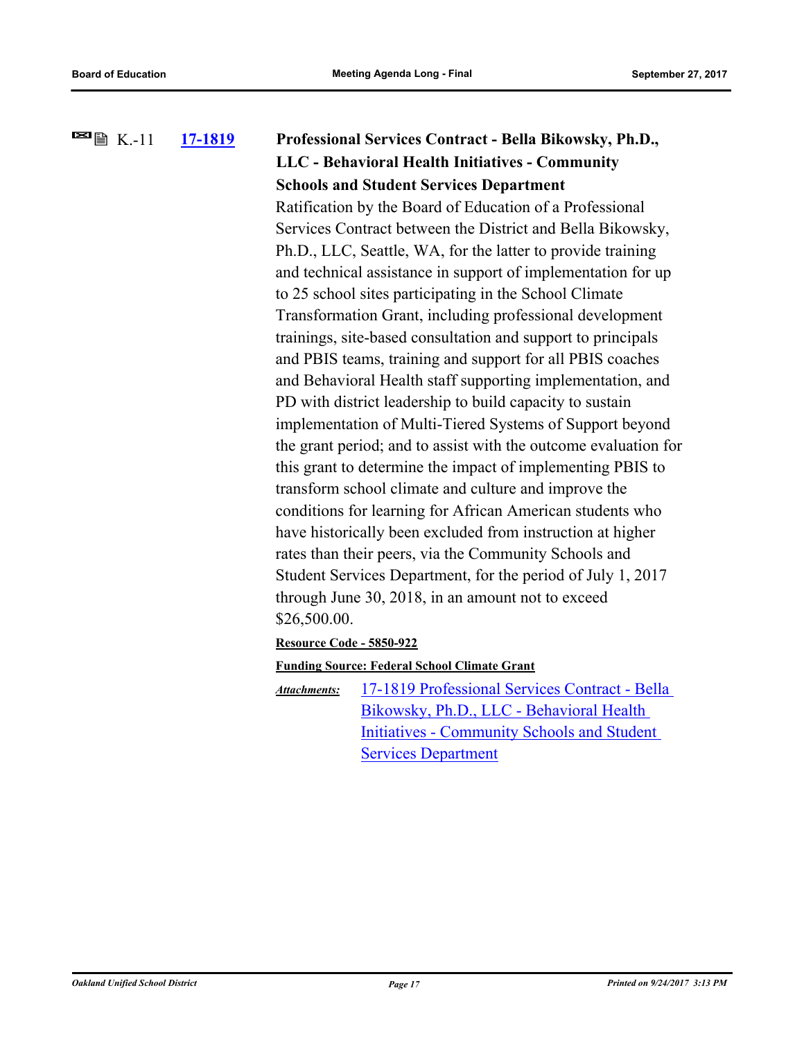# **[17-1819](http://ousd.legistar.com/gateway.aspx?m=l&id=/matter.aspx?key=41312) Professional Services Contract - Bella Bikowsky, Ph.D., LLC - Behavioral Health Initiatives - Community Schools and Student Services Department**  $\blacksquare$   $\blacksquare$   $\blacksquare$  K.-11 Ratification by the Board of Education of a Professional

Services Contract between the District and Bella Bikowsky, Ph.D., LLC, Seattle, WA, for the latter to provide training and technical assistance in support of implementation for up to 25 school sites participating in the School Climate Transformation Grant, including professional development trainings, site-based consultation and support to principals and PBIS teams, training and support for all PBIS coaches and Behavioral Health staff supporting implementation, and PD with district leadership to build capacity to sustain implementation of Multi-Tiered Systems of Support beyond the grant period; and to assist with the outcome evaluation for this grant to determine the impact of implementing PBIS to transform school climate and culture and improve the conditions for learning for African American students who have historically been excluded from instruction at higher rates than their peers, via the Community Schools and Student Services Department, for the period of July 1, 2017 through June 30, 2018, in an amount not to exceed \$26,500.00.

**Resource Code - 5850-922**

**Funding Source: Federal School Climate Grant**

[17-1819 Professional Services Contract - Bella](http://ousd.legistar.com/gateway.aspx?M=F&ID=86221.pdf)  Bikowsky, Ph.D., LLC - Behavioral Health Initiatives - Community Schools and Student Services Department *Attachments:*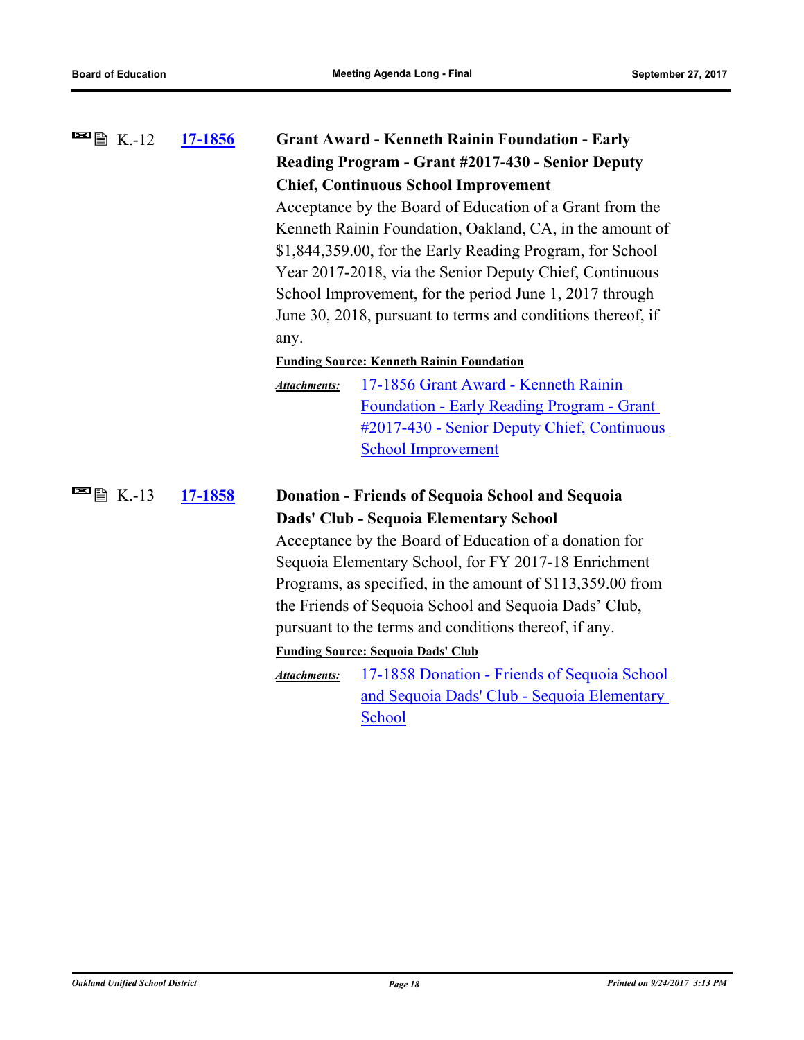| <sup>■</sup> 圖 K.-12                               | 17-1856 |                                                         | <b>Grant Award - Kenneth Rainin Foundation - Early</b>      |  |
|----------------------------------------------------|---------|---------------------------------------------------------|-------------------------------------------------------------|--|
|                                                    |         |                                                         | Reading Program - Grant #2017-430 - Senior Deputy           |  |
|                                                    |         |                                                         | <b>Chief, Continuous School Improvement</b>                 |  |
|                                                    |         |                                                         | Acceptance by the Board of Education of a Grant from the    |  |
|                                                    |         |                                                         | Kenneth Rainin Foundation, Oakland, CA, in the amount of    |  |
|                                                    |         |                                                         | \$1,844,359.00, for the Early Reading Program, for School   |  |
|                                                    |         | Year 2017-2018, via the Senior Deputy Chief, Continuous |                                                             |  |
|                                                    |         |                                                         | School Improvement, for the period June 1, 2017 through     |  |
|                                                    |         |                                                         | June 30, 2018, pursuant to terms and conditions thereof, if |  |
|                                                    |         | any.                                                    |                                                             |  |
|                                                    |         |                                                         | <b>Funding Source: Kenneth Rainin Foundation</b>            |  |
|                                                    |         | Attachments:                                            | 17-1856 Grant Award - Kenneth Rainin                        |  |
|                                                    |         |                                                         | <b>Foundation - Early Reading Program - Grant</b>           |  |
|                                                    |         |                                                         | #2017-430 - Senior Deputy Chief, Continuous                 |  |
|                                                    |         |                                                         | <b>School Improvement</b>                                   |  |
|                                                    |         |                                                         |                                                             |  |
| $\blacksquare$ $\blacksquare$ $\blacksquare$ K.-13 | 17-1858 |                                                         | <b>Donation - Friends of Sequoia School and Sequoia</b>     |  |
|                                                    |         |                                                         | Dads' Club - Sequoia Elementary School                      |  |
|                                                    |         |                                                         | Acceptance by the Board of Education of a donation for      |  |
|                                                    |         |                                                         | Sequoia Elementary School, for FY 2017-18 Enrichment        |  |
|                                                    |         |                                                         | Programs, as specified, in the amount of \$113,359.00 from  |  |
|                                                    |         |                                                         | the Friends of Sequoia School and Sequoia Dads' Club,       |  |
|                                                    |         |                                                         | pursuant to the terms and conditions thereof, if any.       |  |
|                                                    |         |                                                         | <b>Funding Source: Sequoia Dads' Club</b>                   |  |
|                                                    |         | <b>Attachments:</b>                                     | 17-1858 Donation - Friends of Sequoia School                |  |
|                                                    |         |                                                         | and Sequoia Dads' Club - Sequoia Elementary                 |  |
|                                                    |         |                                                         | School                                                      |  |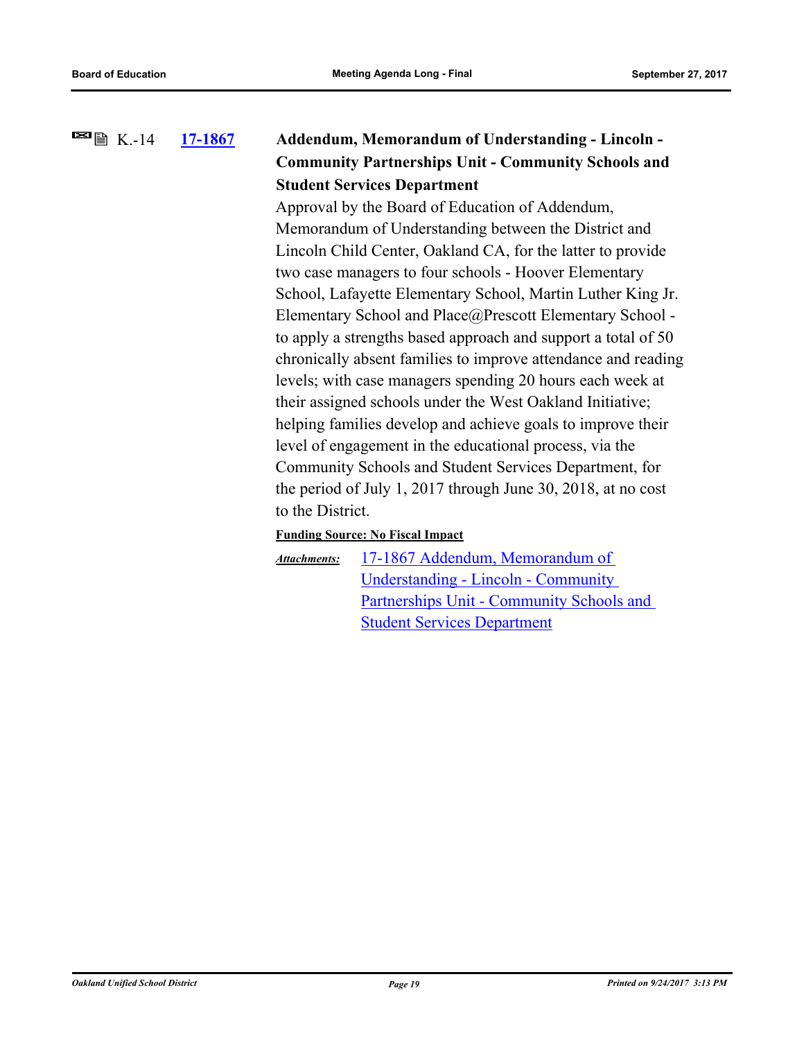### **[17-1867](http://ousd.legistar.com/gateway.aspx?m=l&id=/matter.aspx?key=41360) Addendum, Memorandum of Understanding - Lincoln - Community Partnerships Unit - Community Schools and Student Services Department**  $\blacksquare$   $\blacksquare$   $\blacksquare$  K.-14

Approval by the Board of Education of Addendum, Memorandum of Understanding between the District and Lincoln Child Center, Oakland CA, for the latter to provide two case managers to four schools - Hoover Elementary School, Lafayette Elementary School, Martin Luther King Jr. Elementary School and Place@Prescott Elementary School to apply a strengths based approach and support a total of 50 chronically absent families to improve attendance and reading levels; with case managers spending 20 hours each week at their assigned schools under the West Oakland Initiative; helping families develop and achieve goals to improve their level of engagement in the educational process, via the Community Schools and Student Services Department, for the period of July 1, 2017 through June 30, 2018, at no cost to the District.

### **Funding Source: No Fiscal Impact**

17-1867 Addendum, Memorandum of Understanding - Lincoln - Community [Partnerships Unit - Community Schools and](http://ousd.legistar.com/gateway.aspx?M=F&ID=86197.pdf)  Student Services Department *Attachments:*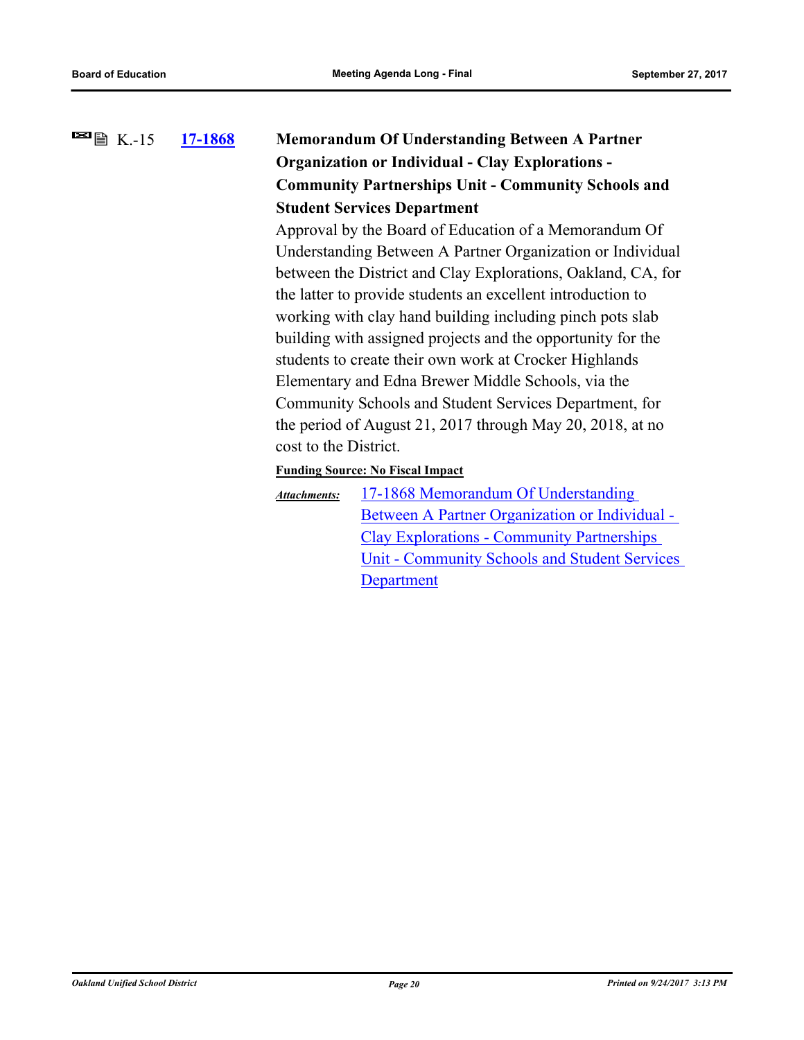### **[17-1868](http://ousd.legistar.com/gateway.aspx?m=l&id=/matter.aspx?key=41361) Memorandum Of Understanding Between A Partner Organization or Individual - Clay Explorations - Community Partnerships Unit - Community Schools and Student Services Department**  $\blacksquare$   $\blacksquare$   $\blacksquare$  K.-15

Approval by the Board of Education of a Memorandum Of Understanding Between A Partner Organization or Individual between the District and Clay Explorations, Oakland, CA, for the latter to provide students an excellent introduction to working with clay hand building including pinch pots slab building with assigned projects and the opportunity for the students to create their own work at Crocker Highlands Elementary and Edna Brewer Middle Schools, via the Community Schools and Student Services Department, for the period of August 21, 2017 through May 20, 2018, at no cost to the District.

# **Funding Source: No Fiscal Impact**

17-1868 Memorandum Of Understanding Between A Partner Organization or Individual - Clay Explorations - Community Partnerships [Unit - Community Schools and Student Services](http://ousd.legistar.com/gateway.aspx?M=F&ID=86198.pdf)  **Department** *Attachments:*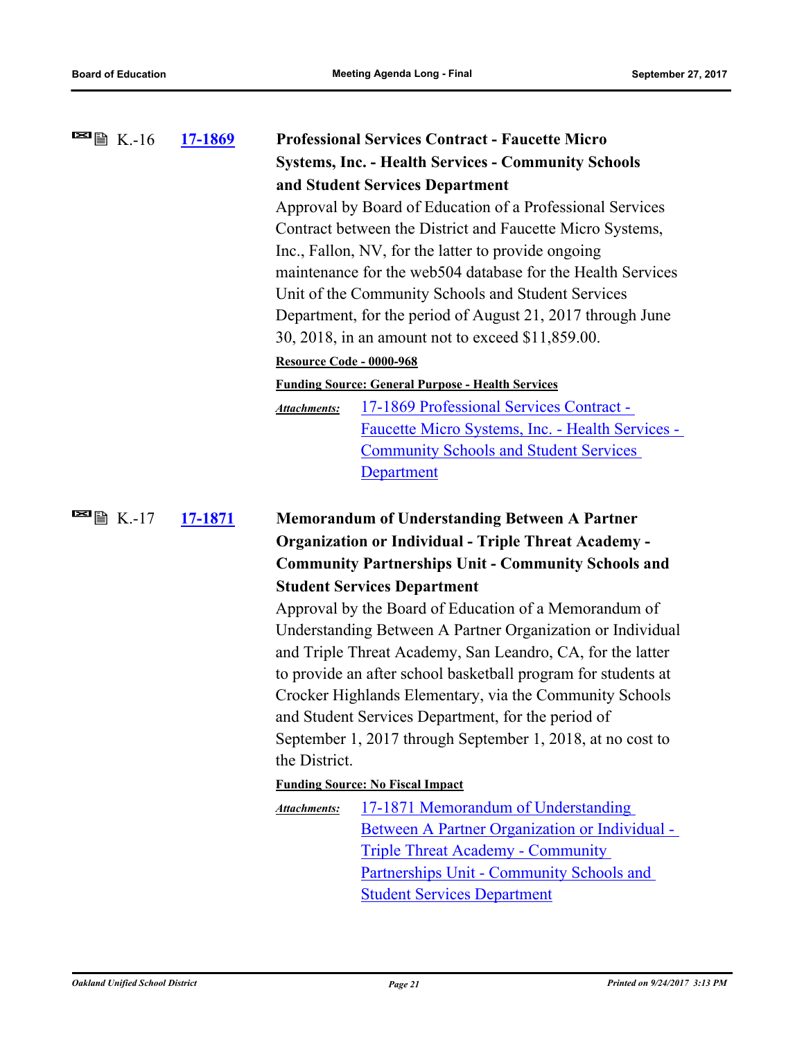| $\blacksquare$ 图 K.-16                             | <u>17-1869</u> | <b>Professional Services Contract - Faucette Micro</b>                                                           |  |  |
|----------------------------------------------------|----------------|------------------------------------------------------------------------------------------------------------------|--|--|
|                                                    |                | <b>Systems, Inc. - Health Services - Community Schools</b>                                                       |  |  |
|                                                    |                | and Student Services Department                                                                                  |  |  |
|                                                    |                | Approval by Board of Education of a Professional Services                                                        |  |  |
|                                                    |                | Contract between the District and Faucette Micro Systems,                                                        |  |  |
|                                                    |                | Inc., Fallon, NV, for the latter to provide ongoing                                                              |  |  |
|                                                    |                | maintenance for the web 504 database for the Health Services                                                     |  |  |
|                                                    |                | Unit of the Community Schools and Student Services                                                               |  |  |
|                                                    |                | Department, for the period of August 21, 2017 through June                                                       |  |  |
|                                                    |                | 30, 2018, in an amount not to exceed \$11,859.00.                                                                |  |  |
|                                                    |                | Resource Code - 0000-968                                                                                         |  |  |
|                                                    |                | <b>Funding Source: General Purpose - Health Services</b>                                                         |  |  |
|                                                    |                | 17-1869 Professional Services Contract -<br><b>Attachments:</b>                                                  |  |  |
|                                                    |                | Faucette Micro Systems, Inc. - Health Services -                                                                 |  |  |
|                                                    |                | <b>Community Schools and Student Services</b>                                                                    |  |  |
|                                                    |                | <b>Department</b>                                                                                                |  |  |
|                                                    |                |                                                                                                                  |  |  |
| $\blacksquare$ $\blacksquare$ $\blacksquare$ K.-17 | 17-1871        | <b>Memorandum of Understanding Between A Partner</b>                                                             |  |  |
|                                                    |                | <b>Organization or Individual - Triple Threat Academy -</b>                                                      |  |  |
|                                                    |                | <b>Community Partnerships Unit - Community Schools and</b>                                                       |  |  |
|                                                    |                |                                                                                                                  |  |  |
|                                                    |                |                                                                                                                  |  |  |
|                                                    |                | <b>Student Services Department</b>                                                                               |  |  |
|                                                    |                | Approval by the Board of Education of a Memorandum of                                                            |  |  |
|                                                    |                | Understanding Between A Partner Organization or Individual                                                       |  |  |
|                                                    |                | and Triple Threat Academy, San Leandro, CA, for the latter                                                       |  |  |
|                                                    |                | to provide an after school basketball program for students at                                                    |  |  |
|                                                    |                | Crocker Highlands Elementary, via the Community Schools                                                          |  |  |
|                                                    |                | and Student Services Department, for the period of<br>September 1, 2017 through September 1, 2018, at no cost to |  |  |
|                                                    |                | the District.                                                                                                    |  |  |
|                                                    |                | <b>Funding Source: No Fiscal Impact</b>                                                                          |  |  |
|                                                    |                | <b>Attachments:</b>                                                                                              |  |  |
|                                                    |                | 17-1871 Memorandum of Understanding<br>Between A Partner Organization or Individual -                            |  |  |
|                                                    |                | <b>Triple Threat Academy - Community</b>                                                                         |  |  |
|                                                    |                | Partnerships Unit - Community Schools and                                                                        |  |  |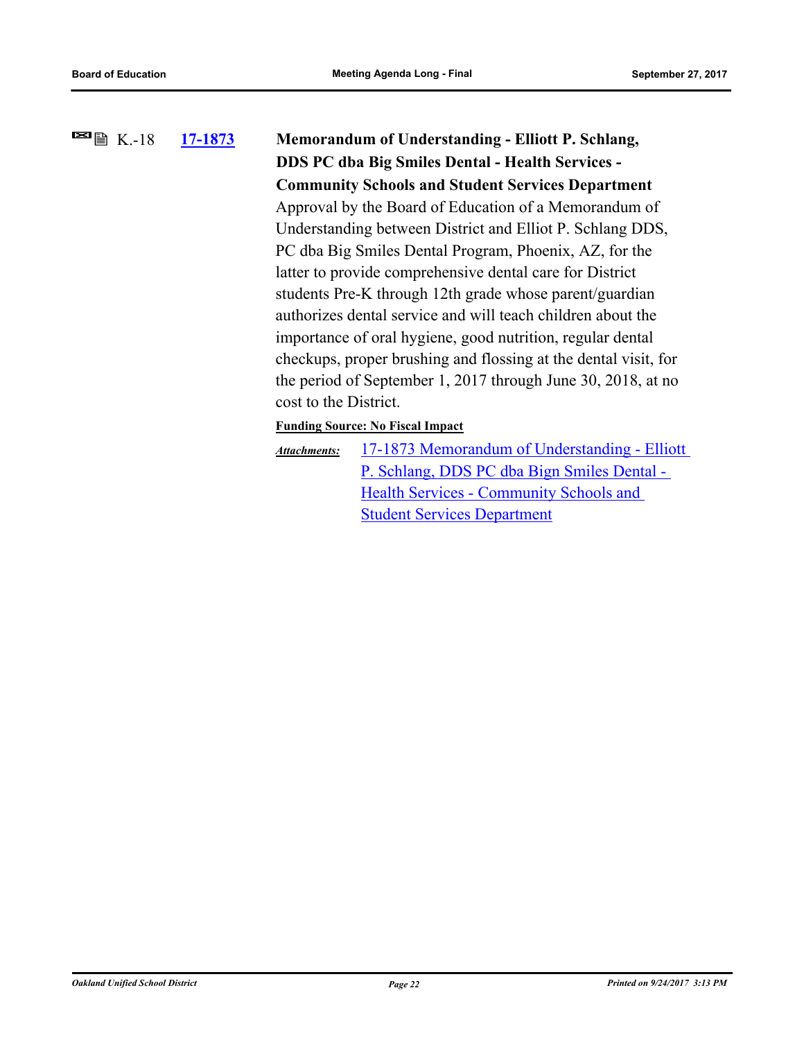# **[17-1873](http://ousd.legistar.com/gateway.aspx?m=l&id=/matter.aspx?key=41366) Memorandum of Understanding - Elliott P. Schlang, DDS PC dba Big Smiles Dental - Health Services - Community Schools and Student Services Department**  $\blacksquare$   $\blacksquare$   $\blacksquare$  K.-18 Approval by the Board of Education of a Memorandum of Understanding between District and Elliot P. Schlang DDS, PC dba Big Smiles Dental Program, Phoenix, AZ, for the latter to provide comprehensive dental care for District students Pre-K through 12th grade whose parent/guardian authorizes dental service and will teach children about the importance of oral hygiene, good nutrition, regular dental checkups, proper brushing and flossing at the dental visit, for the period of September 1, 2017 through June 30, 2018, at no cost to the District. **Funding Source: No Fiscal Impact** [17-1873 Memorandum of Understanding - Elliott](http://ousd.legistar.com/gateway.aspx?M=F&ID=86201.pdf)  *Attachments:*

P. Schlang, DDS PC dba Bign Smiles Dental - Health Services - Community Schools and Student Services Department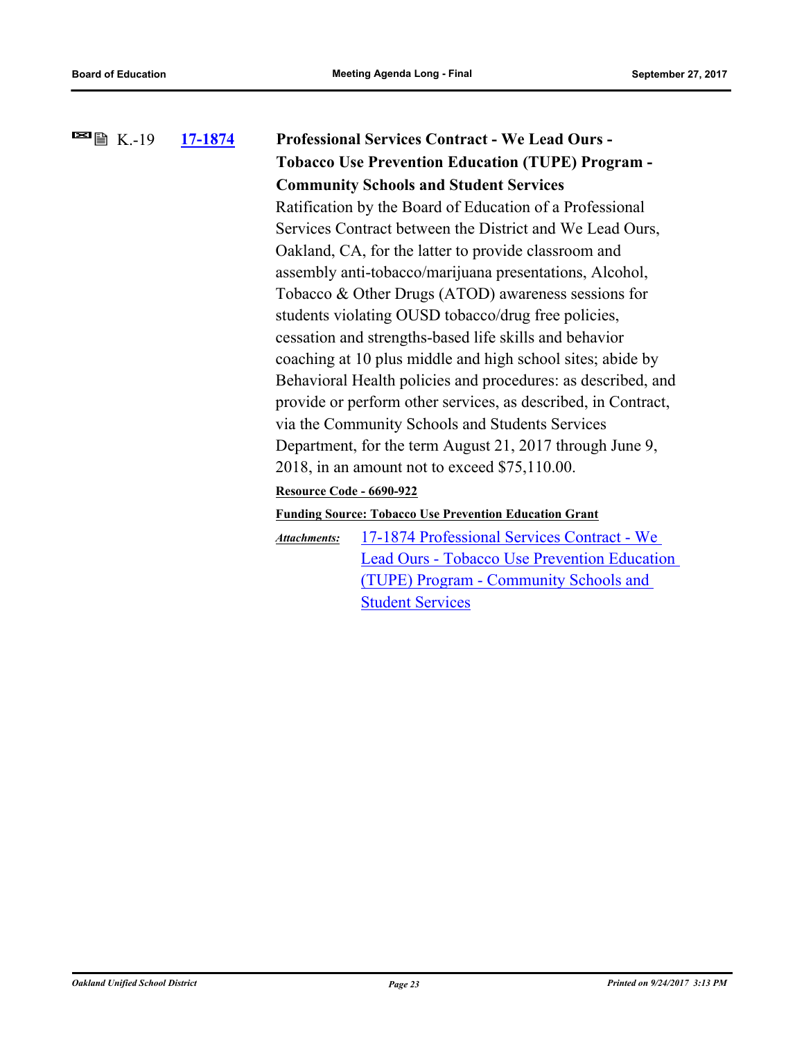| 17-1874 |                                                                                                                               | <b>Professional Services Contract - We Lead Ours -</b>        |
|---------|-------------------------------------------------------------------------------------------------------------------------------|---------------------------------------------------------------|
|         |                                                                                                                               | <b>Tobacco Use Prevention Education (TUPE) Program -</b>      |
|         |                                                                                                                               | <b>Community Schools and Student Services</b>                 |
|         |                                                                                                                               | Ratification by the Board of Education of a Professional      |
|         | Services Contract between the District and We Lead Ours,                                                                      |                                                               |
|         | Oakland, CA, for the latter to provide classroom and                                                                          |                                                               |
|         |                                                                                                                               | assembly anti-tobacco/marijuana presentations, Alcohol,       |
|         |                                                                                                                               | Tobacco & Other Drugs (ATOD) awareness sessions for           |
|         |                                                                                                                               | students violating OUSD tobacco/drug free policies,           |
|         |                                                                                                                               | cessation and strengths-based life skills and behavior        |
|         |                                                                                                                               | coaching at 10 plus middle and high school sites; abide by    |
|         | Behavioral Health policies and procedures: as described, and<br>provide or perform other services, as described, in Contract, |                                                               |
|         |                                                                                                                               |                                                               |
|         |                                                                                                                               | via the Community Schools and Students Services               |
|         |                                                                                                                               | Department, for the term August 21, 2017 through June 9,      |
|         |                                                                                                                               | 2018, in an amount not to exceed $$75,110.00$ .               |
|         | Resource Code - 6690-922                                                                                                      |                                                               |
|         |                                                                                                                               | <b>Funding Source: Tobacco Use Prevention Education Grant</b> |
|         | <b>Attachments:</b>                                                                                                           | 17-1874 Professional Services Contract - We                   |
|         |                                                                                                                               | <b>Lead Ours - Tobacco Use Prevention Education</b>           |
|         |                                                                                                                               | (TUPE) Program - Community Schools and                        |
|         |                                                                                                                               | <b>Student Services</b>                                       |
|         |                                                                                                                               |                                                               |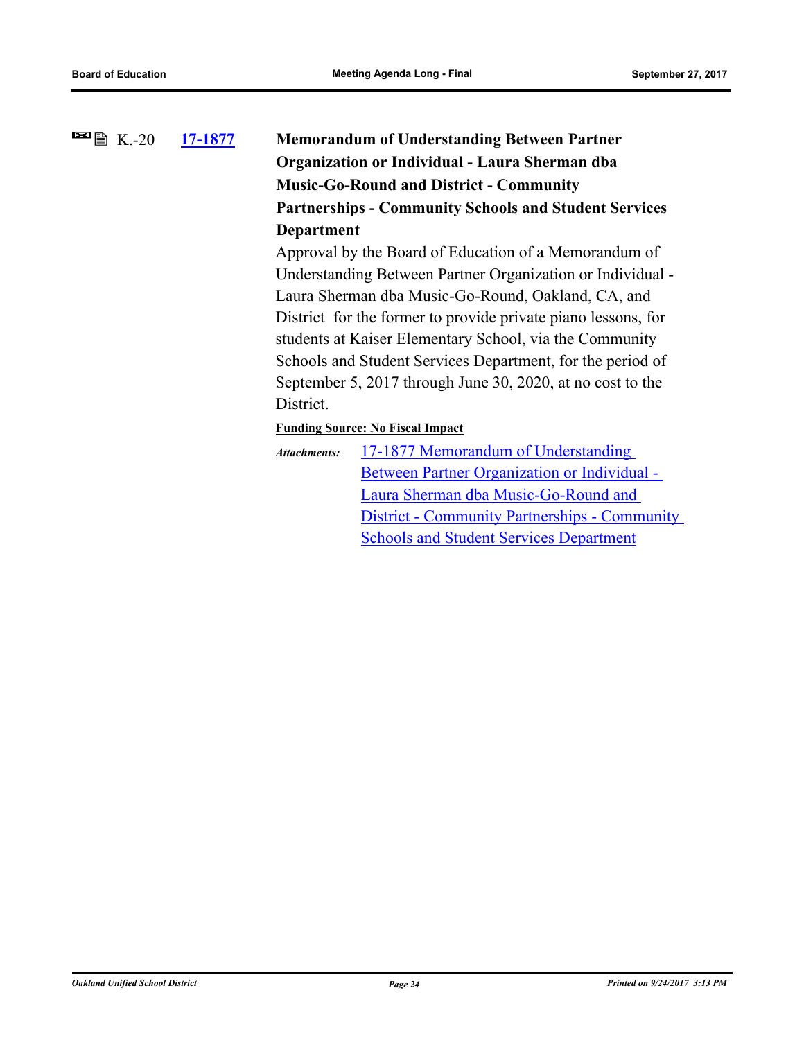# **[17-1877](http://ousd.legistar.com/gateway.aspx?m=l&id=/matter.aspx?key=41370) Memorandum of Understanding Between Partner Organization or Individual - Laura Sherman dba Music-Go-Round and District - Community Partnerships - Community Schools and Student Services Department**  $\blacksquare$   $\blacksquare$   $\blacksquare$  K.-20

Approval by the Board of Education of a Memorandum of Understanding Between Partner Organization or Individual - Laura Sherman dba Music-Go-Round, Oakland, CA, and District for the former to provide private piano lessons, for students at Kaiser Elementary School, via the Community Schools and Student Services Department, for the period of September 5, 2017 through June 30, 2020, at no cost to the District.

**Funding Source: No Fiscal Impact**

17-1877 Memorandum of Understanding Between Partner Organization or Individual - Laura Sherman dba Music-Go-Round and [District - Community Partnerships - Community](http://ousd.legistar.com/gateway.aspx?M=F&ID=86202.pdf)  Schools and Student Services Department *Attachments:*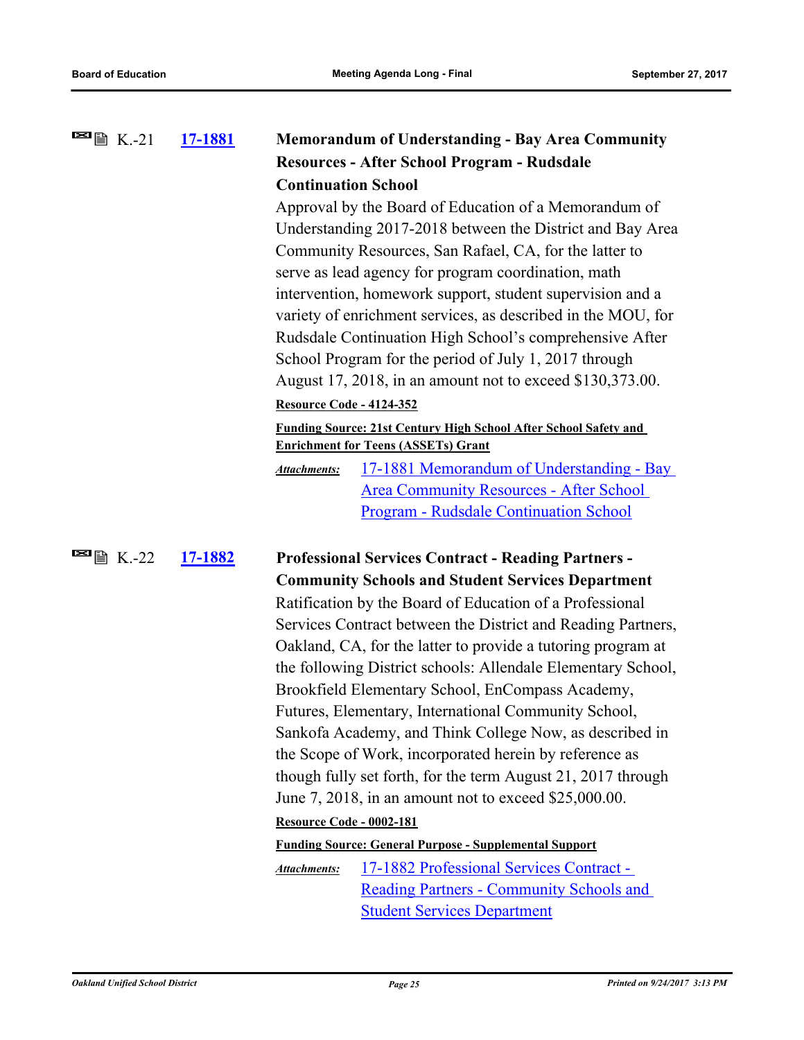| $\blacksquare$ $\blacksquare$ $\blacksquare$ $\blacksquare$ $\blacksquare$ $\blacksquare$ $\blacksquare$ $\blacksquare$ $\blacksquare$ $\blacksquare$ $\blacksquare$ $\blacksquare$ $\blacksquare$ $\blacksquare$ $\blacksquare$ $\blacksquare$ $\blacksquare$ $\blacksquare$ $\blacksquare$ $\blacksquare$ $\blacksquare$ $\blacksquare$ $\blacksquare$ $\blacksquare$ $\blacksquare$ $\blacksquare$ $\blacksquare$ $\blacksquare$ $\blacksquare$ $\blacksquare$ $\blacksquare$ $\blacks$ | 17-1881        | <b>Memorandum of Understanding - Bay Area Community</b>                                                                                                                                                                                                                                                                                                                                                                                                                                                                                                                                                                                                                                                                                                                                                                      |
|--------------------------------------------------------------------------------------------------------------------------------------------------------------------------------------------------------------------------------------------------------------------------------------------------------------------------------------------------------------------------------------------------------------------------------------------------------------------------------------------|----------------|------------------------------------------------------------------------------------------------------------------------------------------------------------------------------------------------------------------------------------------------------------------------------------------------------------------------------------------------------------------------------------------------------------------------------------------------------------------------------------------------------------------------------------------------------------------------------------------------------------------------------------------------------------------------------------------------------------------------------------------------------------------------------------------------------------------------------|
|                                                                                                                                                                                                                                                                                                                                                                                                                                                                                            |                | Resources - After School Program - Rudsdale                                                                                                                                                                                                                                                                                                                                                                                                                                                                                                                                                                                                                                                                                                                                                                                  |
|                                                                                                                                                                                                                                                                                                                                                                                                                                                                                            |                | <b>Continuation School</b>                                                                                                                                                                                                                                                                                                                                                                                                                                                                                                                                                                                                                                                                                                                                                                                                   |
|                                                                                                                                                                                                                                                                                                                                                                                                                                                                                            |                | Approval by the Board of Education of a Memorandum of<br>Understanding 2017-2018 between the District and Bay Area<br>Community Resources, San Rafael, CA, for the latter to<br>serve as lead agency for program coordination, math<br>intervention, homework support, student supervision and a<br>variety of enrichment services, as described in the MOU, for<br>Rudsdale Continuation High School's comprehensive After<br>School Program for the period of July 1, 2017 through<br>August 17, 2018, in an amount not to exceed \$130,373.00.<br><b>Resource Code - 4124-352</b><br>Funding Source: 21st Century High School After School Safety and<br><b>Enrichment for Teens (ASSETs) Grant</b><br>17-1881 Memorandum of Understanding - Bay<br><b>Attachments:</b><br><b>Area Community Resources - After School</b> |
|                                                                                                                                                                                                                                                                                                                                                                                                                                                                                            |                | Program - Rudsdale Continuation School                                                                                                                                                                                                                                                                                                                                                                                                                                                                                                                                                                                                                                                                                                                                                                                       |
| $\blacksquare$ $\blacksquare$ $\blacksquare$ K.-22                                                                                                                                                                                                                                                                                                                                                                                                                                         | <u>17-1882</u> | <b>Professional Services Contract - Reading Partners -</b>                                                                                                                                                                                                                                                                                                                                                                                                                                                                                                                                                                                                                                                                                                                                                                   |
|                                                                                                                                                                                                                                                                                                                                                                                                                                                                                            |                | <b>Community Schools and Student Services Department</b>                                                                                                                                                                                                                                                                                                                                                                                                                                                                                                                                                                                                                                                                                                                                                                     |
|                                                                                                                                                                                                                                                                                                                                                                                                                                                                                            |                | Ratification by the Board of Education of a Professional                                                                                                                                                                                                                                                                                                                                                                                                                                                                                                                                                                                                                                                                                                                                                                     |
|                                                                                                                                                                                                                                                                                                                                                                                                                                                                                            |                | Services Contract between the District and Reading Partners,<br>Oakland, CA, for the latter to provide a tutoring program at<br>the following District schools: Allendale Elementary School,<br>Brookfield Elementary School, EnCompass Academy,<br>Futures, Elementary, International Community School,<br>Sankofa Academy, and Think College Now, as described in<br>the Scope of Work, incorporated herein by reference as<br>though fully set forth, for the term August 21, 2017 through<br>June 7, 2018, in an amount not to exceed \$25,000.00.<br>Resource Code - 0002-181<br><b>Funding Source: General Purpose - Supplemental Support</b><br>17-1882 Professional Services Contract -<br>Attachments:<br><b>Reading Partners - Community Schools and</b>                                                           |
|                                                                                                                                                                                                                                                                                                                                                                                                                                                                                            |                | <b>Student Services Department</b>                                                                                                                                                                                                                                                                                                                                                                                                                                                                                                                                                                                                                                                                                                                                                                                           |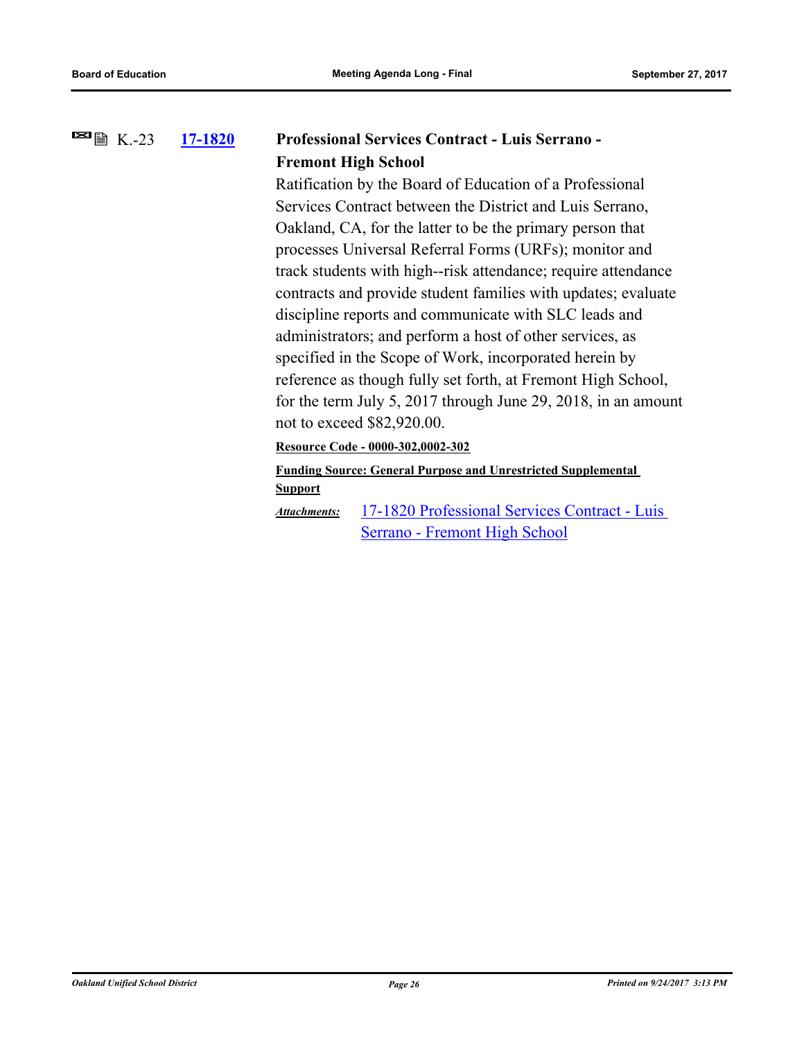#### **[17-1820](http://ousd.legistar.com/gateway.aspx?m=l&id=/matter.aspx?key=41313) Professional Services Contract - Luis Serrano - Fremont High School**  $\blacksquare$   $\blacksquare$   $\blacksquare$  K.-23

Ratification by the Board of Education of a Professional Services Contract between the District and Luis Serrano, Oakland, CA, for the latter to be the primary person that processes Universal Referral Forms (URFs); monitor and track students with high--risk attendance; require attendance contracts and provide student families with updates; evaluate discipline reports and communicate with SLC leads and administrators; and perform a host of other services, as specified in the Scope of Work, incorporated herein by reference as though fully set forth, at Fremont High School, for the term July 5, 2017 through June 29, 2018, in an amount not to exceed \$82,920.00.

**Resource Code - 0000-302,0002-302**

**Funding Source: General Purpose and Unrestricted Supplemental Support**

[17-1820 Professional Services Contract - Luis](http://ousd.legistar.com/gateway.aspx?M=F&ID=86222.pdf)  Serrano - Fremont High School *Attachments:*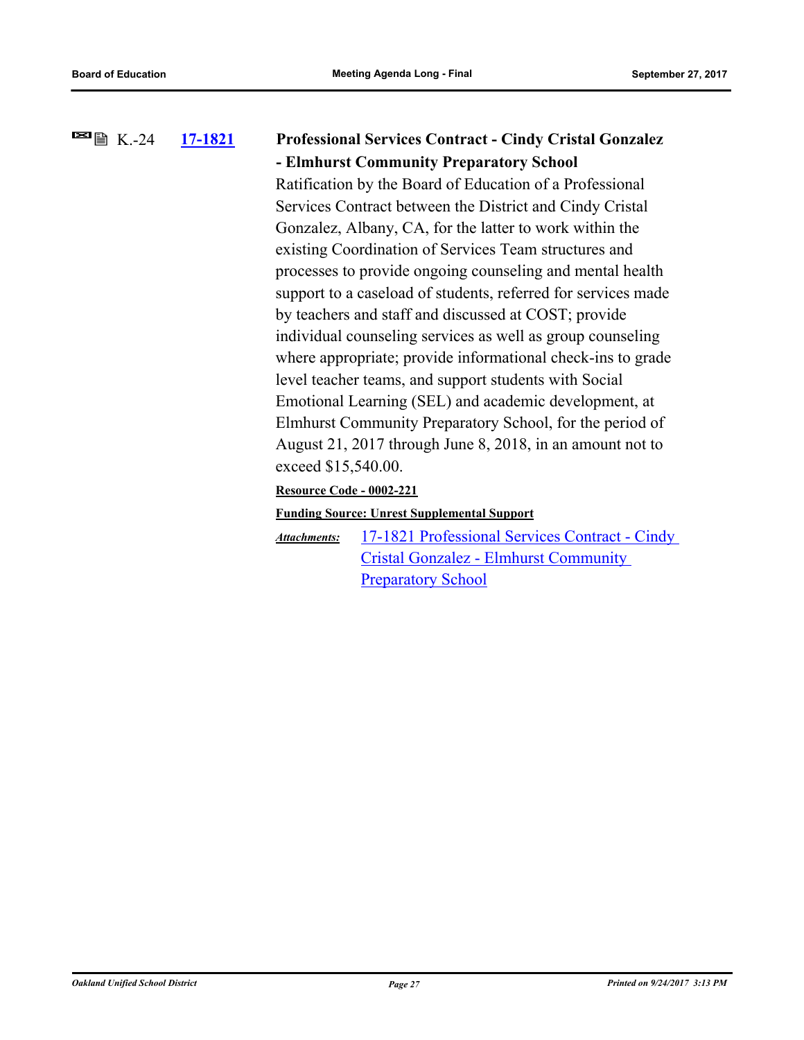### **[17-1821](http://ousd.legistar.com/gateway.aspx?m=l&id=/matter.aspx?key=41314) Professional Services Contract - Cindy Cristal Gonzalez - Elmhurst Community Preparatory School**  $\blacksquare$   $\blacksquare$   $\blacksquare$  K.-24

Ratification by the Board of Education of a Professional Services Contract between the District and Cindy Cristal Gonzalez, Albany, CA, for the latter to work within the existing Coordination of Services Team structures and processes to provide ongoing counseling and mental health support to a caseload of students, referred for services made by teachers and staff and discussed at COST; provide individual counseling services as well as group counseling where appropriate; provide informational check-ins to grade level teacher teams, and support students with Social Emotional Learning (SEL) and academic development, at Elmhurst Community Preparatory School, for the period of August 21, 2017 through June 8, 2018, in an amount not to exceed \$15,540.00.

### **Resource Code - 0002-221**

### **Funding Source: Unrest Supplemental Support**

[17-1821 Professional Services Contract - Cindy](http://ousd.legistar.com/gateway.aspx?M=F&ID=86223.pdf)  Cristal Gonzalez - Elmhurst Community Preparatory School *Attachments:*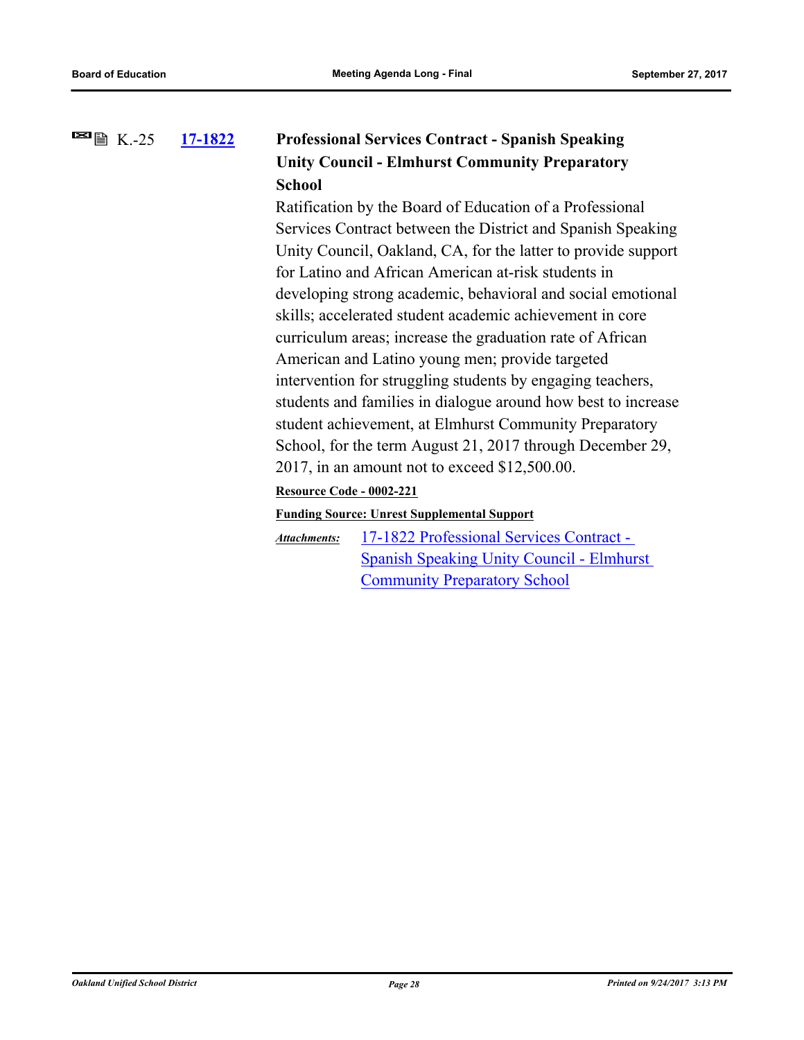### **[17-1822](http://ousd.legistar.com/gateway.aspx?m=l&id=/matter.aspx?key=41315) Professional Services Contract - Spanish Speaking Unity Council - Elmhurst Community Preparatory School**  $\blacksquare$   $\blacksquare$   $\blacksquare$   $\blacksquare$   $\blacksquare$   $\blacksquare$   $\blacksquare$   $\blacksquare$   $\blacksquare$   $\blacksquare$   $\blacksquare$   $\blacksquare$   $\blacksquare$   $\blacksquare$   $\blacksquare$   $\blacksquare$   $\blacksquare$   $\blacksquare$   $\blacksquare$   $\blacksquare$   $\blacksquare$   $\blacksquare$   $\blacksquare$   $\blacksquare$   $\blacksquare$   $\blacksquare$   $\blacksquare$   $\blacksquare$   $\blacksquare$   $\blacksquare$   $\blacksquare$   $\blacks$

Ratification by the Board of Education of a Professional Services Contract between the District and Spanish Speaking Unity Council, Oakland, CA, for the latter to provide support for Latino and African American at-risk students in developing strong academic, behavioral and social emotional skills; accelerated student academic achievement in core curriculum areas; increase the graduation rate of African American and Latino young men; provide targeted intervention for struggling students by engaging teachers, students and families in dialogue around how best to increase student achievement, at Elmhurst Community Preparatory School, for the term August 21, 2017 through December 29, 2017, in an amount not to exceed \$12,500.00.

### **Resource Code - 0002-221**

### **Funding Source: Unrest Supplemental Support**

17-1822 Professional Services Contract - [Spanish Speaking Unity Council - Elmhurst](http://ousd.legistar.com/gateway.aspx?M=F&ID=86224.pdf)  Community Preparatory School *Attachments:*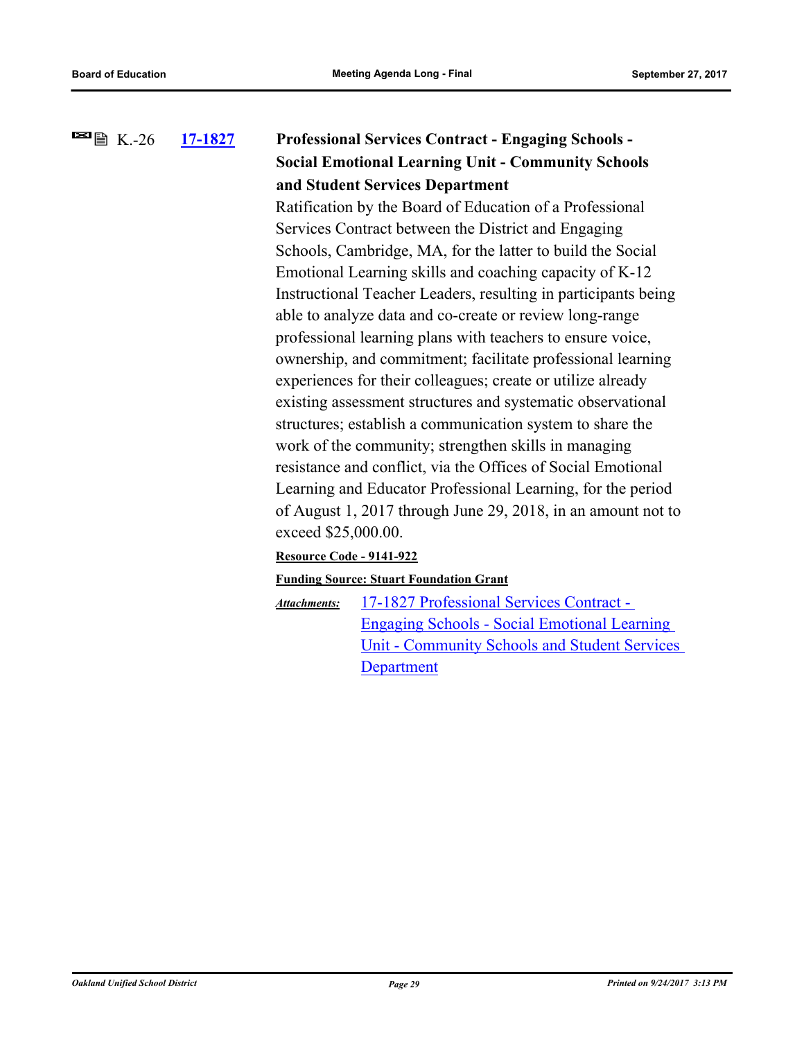### **[17-1827](http://ousd.legistar.com/gateway.aspx?m=l&id=/matter.aspx?key=41320) Professional Services Contract - Engaging Schools - Social Emotional Learning Unit - Community Schools and Student Services Department**  $\blacksquare$   $\blacksquare$   $\blacksquare$  K.-26

Ratification by the Board of Education of a Professional Services Contract between the District and Engaging Schools, Cambridge, MA, for the latter to build the Social Emotional Learning skills and coaching capacity of K-12 Instructional Teacher Leaders, resulting in participants being able to analyze data and co-create or review long-range professional learning plans with teachers to ensure voice, ownership, and commitment; facilitate professional learning experiences for their colleagues; create or utilize already existing assessment structures and systematic observational structures; establish a communication system to share the work of the community; strengthen skills in managing resistance and conflict, via the Offices of Social Emotional Learning and Educator Professional Learning, for the period of August 1, 2017 through June 29, 2018, in an amount not to exceed \$25,000.00.

### **Resource Code - 9141-922**

### **Funding Source: Stuart Foundation Grant**

17-1827 Professional Services Contract - Engaging Schools - Social Emotional Learning [Unit - Community Schools and Student Services](http://ousd.legistar.com/gateway.aspx?M=F&ID=86225.pdf)  **Department** *Attachments:*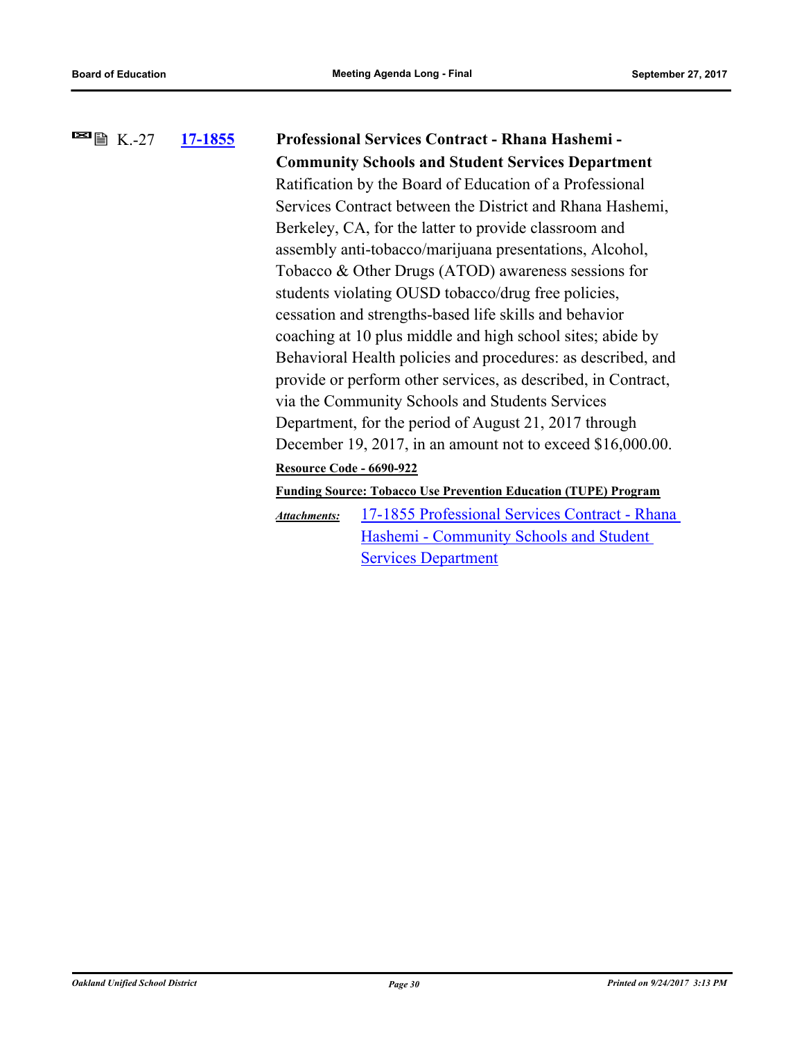# **[17-1855](http://ousd.legistar.com/gateway.aspx?m=l&id=/matter.aspx?key=41348) Professional Services Contract - Rhana Hashemi - Community Schools and Student Services Department**  $\blacksquare$   $\blacksquare$   $\blacksquare$   $\blacksquare$   $\blacksquare$   $\blacksquare$   $\blacksquare$   $\blacksquare$   $\blacksquare$   $\blacksquare$   $\blacksquare$   $\blacksquare$   $\blacksquare$   $\blacksquare$   $\blacksquare$   $\blacksquare$   $\blacksquare$   $\blacksquare$   $\blacksquare$   $\blacksquare$   $\blacksquare$   $\blacksquare$   $\blacksquare$   $\blacksquare$   $\blacksquare$   $\blacksquare$   $\blacksquare$   $\blacksquare$   $\blacksquare$   $\blacksquare$   $\blacksquare$   $\blacks$ Ratification by the Board of Education of a Professional Services Contract between the District and Rhana Hashemi, Berkeley, CA, for the latter to provide classroom and assembly anti-tobacco/marijuana presentations, Alcohol, Tobacco & Other Drugs (ATOD) awareness sessions for students violating OUSD tobacco/drug free policies, cessation and strengths-based life skills and behavior coaching at 10 plus middle and high school sites; abide by Behavioral Health policies and procedures: as described, and provide or perform other services, as described, in Contract, via the Community Schools and Students Services Department, for the period of August 21, 2017 through December 19, 2017, in an amount not to exceed \$16,000.00. **Resource Code - 6690-922 Funding Source: Tobacco Use Prevention Education (TUPE) Program** [17-1855 Professional Services Contract - Rhana](http://ousd.legistar.com/gateway.aspx?M=F&ID=86226.pdf)  Hashemi - Community Schools and Student Services Department *Attachments:*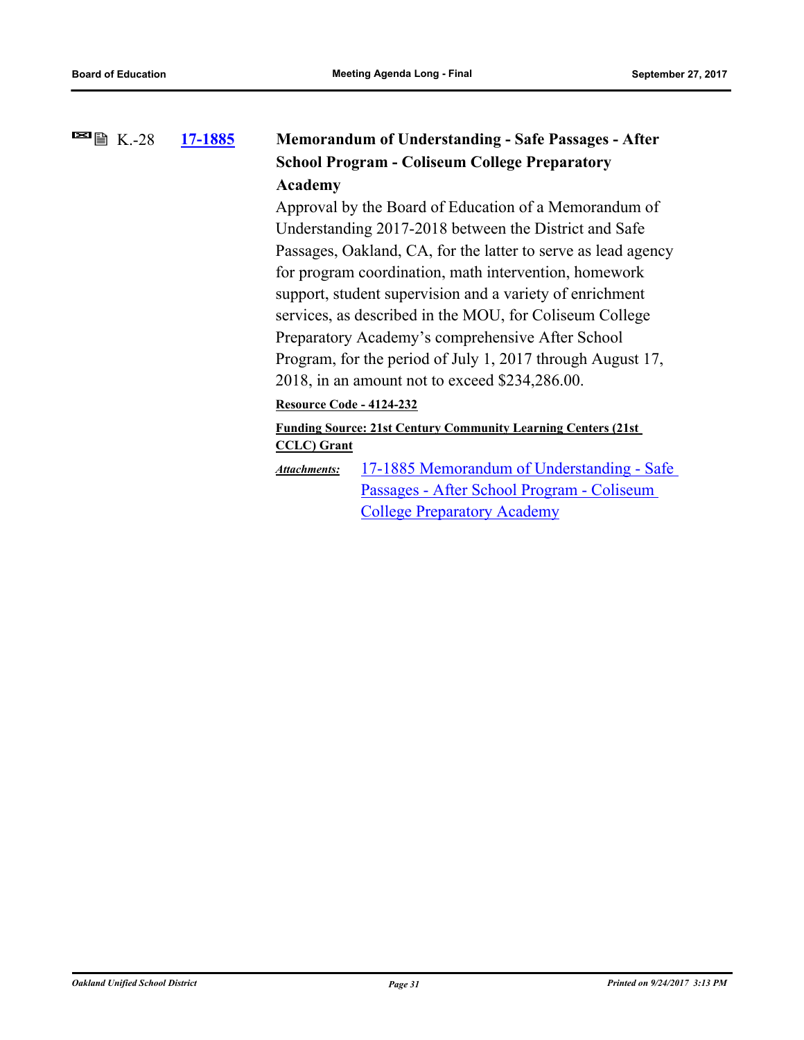### **[17-1885](http://ousd.legistar.com/gateway.aspx?m=l&id=/matter.aspx?key=41378) Memorandum of Understanding - Safe Passages - After School Program - Coliseum College Preparatory Academy**  $\blacksquare$   $\blacksquare$   $\blacksquare$  K.-28

Approval by the Board of Education of a Memorandum of Understanding 2017-2018 between the District and Safe Passages, Oakland, CA, for the latter to serve as lead agency for program coordination, math intervention, homework support, student supervision and a variety of enrichment services, as described in the MOU, for Coliseum College Preparatory Academy's comprehensive After School Program, for the period of July 1, 2017 through August 17, 2018, in an amount not to exceed \$234,286.00.

**Resource Code - 4124-232**

### **Funding Source: 21st Century Community Learning Centers (21st CCLC) Grant**

[17-1885 Memorandum of Understanding - Safe](http://ousd.legistar.com/gateway.aspx?M=F&ID=86204.pdf)  Passages - After School Program - Coliseum College Preparatory Academy *Attachments:*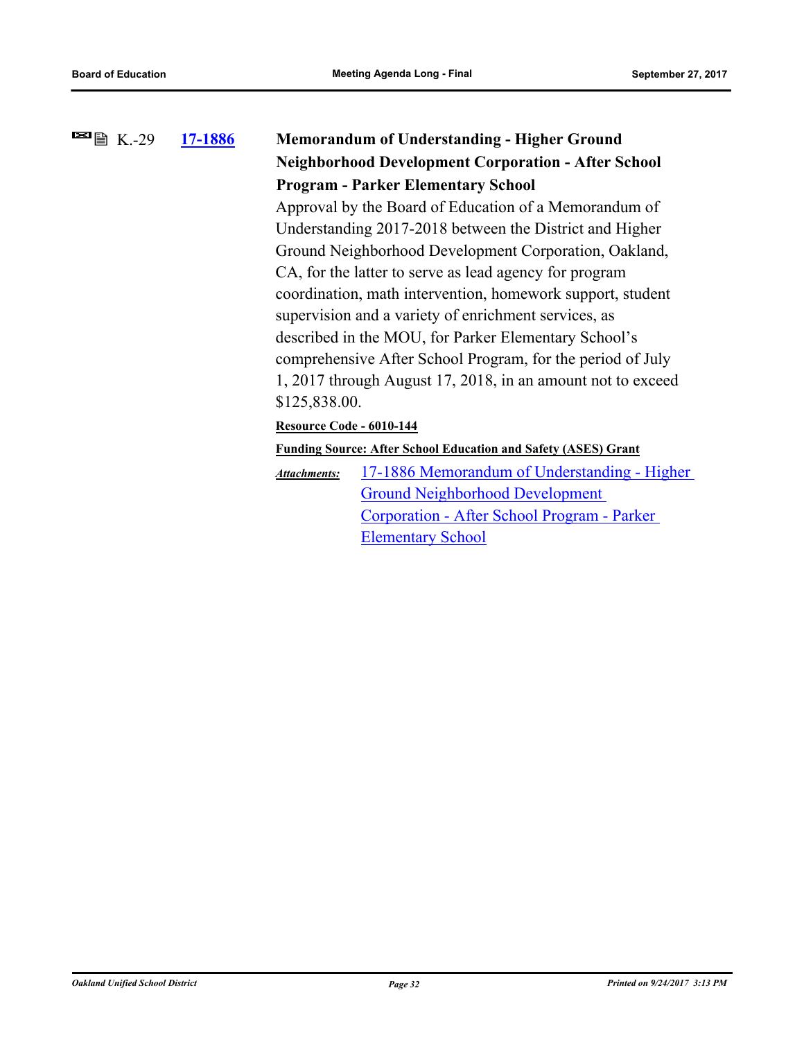# **[17-1886](http://ousd.legistar.com/gateway.aspx?m=l&id=/matter.aspx?key=41379) Memorandum of Understanding - Higher Ground Neighborhood Development Corporation - After School Program - Parker Elementary School**  $\blacksquare$   $\blacksquare$   $\blacksquare$  K.-29 Approval by the Board of Education of a Memorandum of Understanding 2017-2018 between the District and Higher Ground Neighborhood Development Corporation, Oakland,

CA, for the latter to serve as lead agency for program coordination, math intervention, homework support, student supervision and a variety of enrichment services, as described in the MOU, for Parker Elementary School's comprehensive After School Program, for the period of July 1, 2017 through August 17, 2018, in an amount not to exceed \$125,838.00.

### **Resource Code - 6010-144**

**Funding Source: After School Education and Safety (ASES) Grant**

[17-1886 Memorandum of Understanding - Higher](http://ousd.legistar.com/gateway.aspx?M=F&ID=86205.pdf)  Ground Neighborhood Development Corporation - After School Program - Parker Elementary School *Attachments:*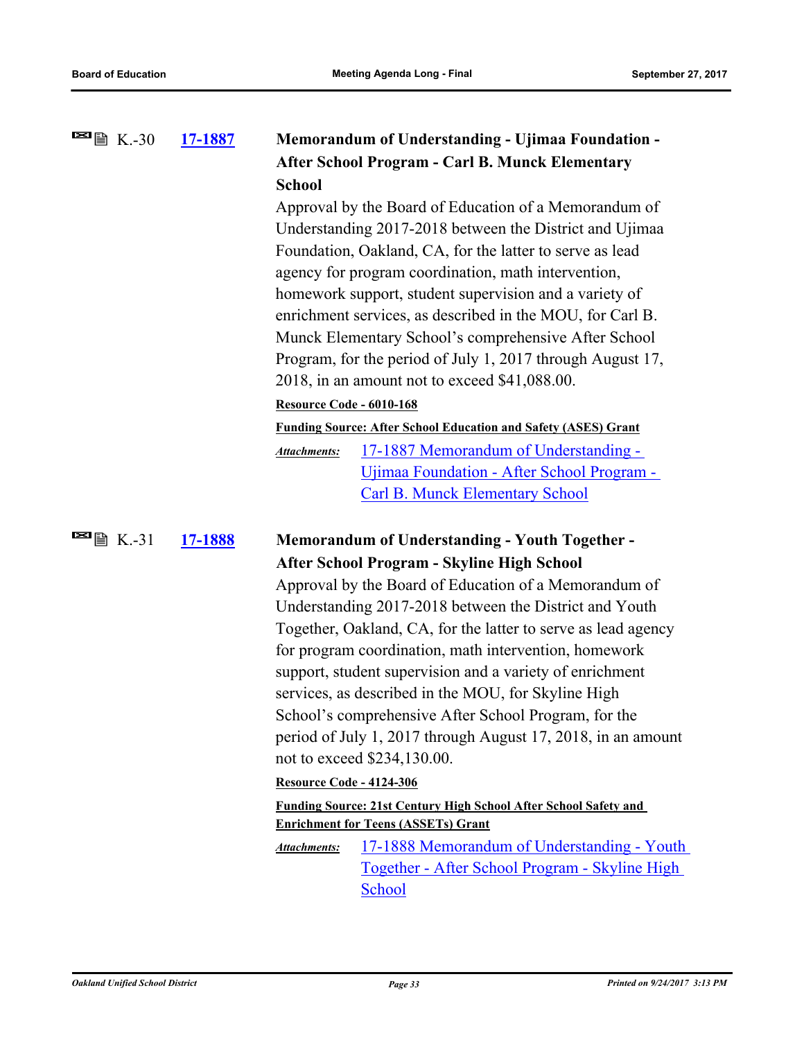| $\blacksquare$ $\blacksquare$ K.-30                | 17-1887 | <b>Memorandum of Understanding - Ujimaa Foundation -</b><br><b>After School Program - Carl B. Munck Elementary</b><br><b>School</b><br>Approval by the Board of Education of a Memorandum of<br>Understanding 2017-2018 between the District and Ujimaa<br>Foundation, Oakland, CA, for the latter to serve as lead<br>agency for program coordination, math intervention,<br>homework support, student supervision and a variety of<br>enrichment services, as described in the MOU, for Carl B.<br>Munck Elementary School's comprehensive After School<br>Program, for the period of July 1, 2017 through August 17,<br>2018, in an amount not to exceed \$41,088.00. |                                                                                                                                                                                                                                                                                                                                                                                                                                                                                                                                                                                                                                                                                                                                                  |
|----------------------------------------------------|---------|--------------------------------------------------------------------------------------------------------------------------------------------------------------------------------------------------------------------------------------------------------------------------------------------------------------------------------------------------------------------------------------------------------------------------------------------------------------------------------------------------------------------------------------------------------------------------------------------------------------------------------------------------------------------------|--------------------------------------------------------------------------------------------------------------------------------------------------------------------------------------------------------------------------------------------------------------------------------------------------------------------------------------------------------------------------------------------------------------------------------------------------------------------------------------------------------------------------------------------------------------------------------------------------------------------------------------------------------------------------------------------------------------------------------------------------|
|                                                    |         | Resource Code - 6010-168                                                                                                                                                                                                                                                                                                                                                                                                                                                                                                                                                                                                                                                 |                                                                                                                                                                                                                                                                                                                                                                                                                                                                                                                                                                                                                                                                                                                                                  |
|                                                    |         |                                                                                                                                                                                                                                                                                                                                                                                                                                                                                                                                                                                                                                                                          | <b>Funding Source: After School Education and Safety (ASES) Grant</b>                                                                                                                                                                                                                                                                                                                                                                                                                                                                                                                                                                                                                                                                            |
|                                                    |         | <b>Attachments:</b>                                                                                                                                                                                                                                                                                                                                                                                                                                                                                                                                                                                                                                                      | 17-1887 Memorandum of Understanding -<br><u> Ujimaa Foundation - After School Program -</u><br><b>Carl B. Munck Elementary School</b>                                                                                                                                                                                                                                                                                                                                                                                                                                                                                                                                                                                                            |
| $\blacksquare$ $\blacksquare$ $\blacksquare$ K.-31 | 17-1888 |                                                                                                                                                                                                                                                                                                                                                                                                                                                                                                                                                                                                                                                                          | <b>Memorandum of Understanding - Youth Together -</b>                                                                                                                                                                                                                                                                                                                                                                                                                                                                                                                                                                                                                                                                                            |
|                                                    |         |                                                                                                                                                                                                                                                                                                                                                                                                                                                                                                                                                                                                                                                                          | <b>After School Program - Skyline High School</b>                                                                                                                                                                                                                                                                                                                                                                                                                                                                                                                                                                                                                                                                                                |
|                                                    |         | <b>Resource Code - 4124-306</b><br><b>Attachments:</b>                                                                                                                                                                                                                                                                                                                                                                                                                                                                                                                                                                                                                   | Approval by the Board of Education of a Memorandum of<br>Understanding 2017-2018 between the District and Youth<br>Together, Oakland, CA, for the latter to serve as lead agency<br>for program coordination, math intervention, homework<br>support, student supervision and a variety of enrichment<br>services, as described in the MOU, for Skyline High<br>School's comprehensive After School Program, for the<br>period of July 1, 2017 through August 17, 2018, in an amount<br>not to exceed \$234,130.00.<br>Funding Source: 21st Century High School After School Safety and<br><b>Enrichment for Teens (ASSETs) Grant</b><br>17-1888 Memorandum of Understanding - Youth<br>Together - After School Program - Skyline High<br>School |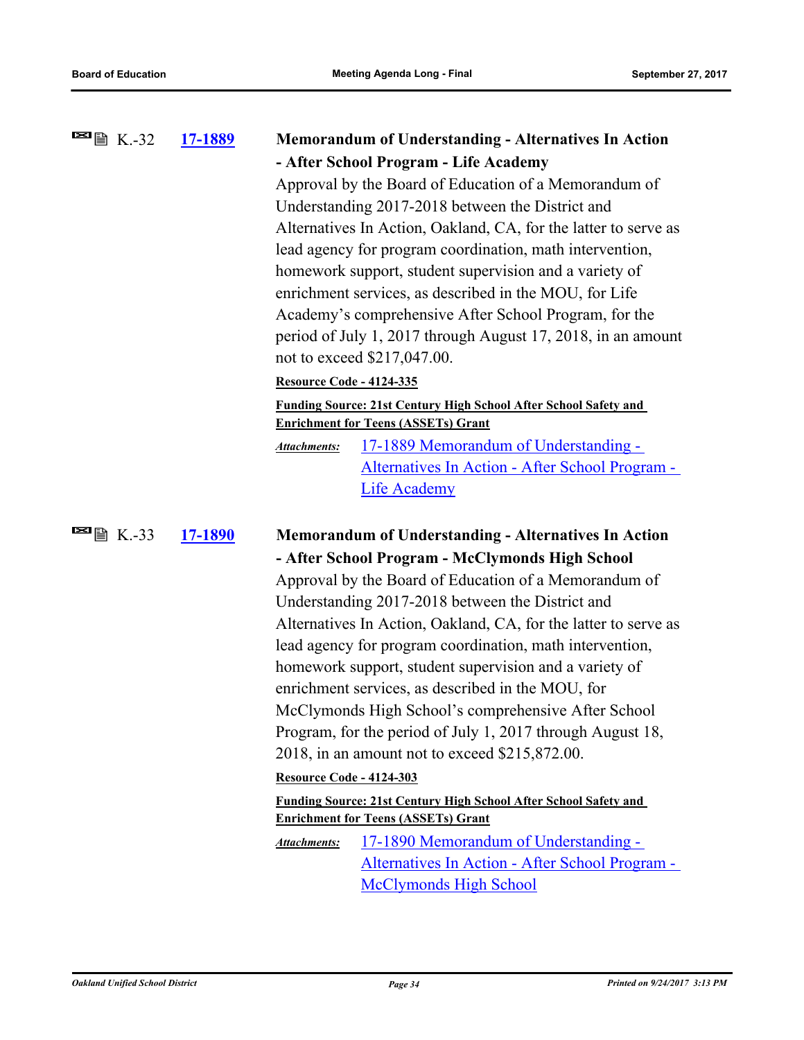| <b>■</b> ■ K.-32       | 17-1889 |                                       | <b>Memorandum of Understanding - Alternatives In Action</b>                                                                                                                                                                                                                                                                                                                                                                                                                                                          |
|------------------------|---------|---------------------------------------|----------------------------------------------------------------------------------------------------------------------------------------------------------------------------------------------------------------------------------------------------------------------------------------------------------------------------------------------------------------------------------------------------------------------------------------------------------------------------------------------------------------------|
|                        |         | - After School Program - Life Academy |                                                                                                                                                                                                                                                                                                                                                                                                                                                                                                                      |
|                        |         |                                       | Approval by the Board of Education of a Memorandum of<br>Understanding 2017-2018 between the District and<br>Alternatives In Action, Oakland, CA, for the latter to serve as<br>lead agency for program coordination, math intervention,<br>homework support, student supervision and a variety of<br>enrichment services, as described in the MOU, for Life<br>Academy's comprehensive After School Program, for the<br>period of July 1, 2017 through August 17, 2018, in an amount<br>not to exceed \$217,047.00. |
|                        |         | <b>Resource Code - 4124-335</b>       |                                                                                                                                                                                                                                                                                                                                                                                                                                                                                                                      |
|                        |         |                                       | <b>Funding Source: 21st Century High School After School Safety and</b><br><b>Enrichment for Teens (ASSETs) Grant</b>                                                                                                                                                                                                                                                                                                                                                                                                |
|                        |         | <b>Attachments:</b>                   | 17-1889 Memorandum of Understanding -                                                                                                                                                                                                                                                                                                                                                                                                                                                                                |
|                        |         |                                       | Alternatives In Action - After School Program -                                                                                                                                                                                                                                                                                                                                                                                                                                                                      |
|                        |         |                                       | <b>Life Academy</b>                                                                                                                                                                                                                                                                                                                                                                                                                                                                                                  |
| $\blacksquare$ 图 K.-33 | 17-1890 |                                       | <b>Memorandum of Understanding - Alternatives In Action</b>                                                                                                                                                                                                                                                                                                                                                                                                                                                          |
|                        |         |                                       | - After School Program - McClymonds High School                                                                                                                                                                                                                                                                                                                                                                                                                                                                      |
|                        |         |                                       | Approval by the Board of Education of a Memorandum of                                                                                                                                                                                                                                                                                                                                                                                                                                                                |
|                        |         |                                       | Understanding 2017-2018 between the District and                                                                                                                                                                                                                                                                                                                                                                                                                                                                     |
|                        |         |                                       | Alternatives In Action, Oakland, CA, for the latter to serve as                                                                                                                                                                                                                                                                                                                                                                                                                                                      |
|                        |         |                                       | lead agency for program coordination, math intervention,                                                                                                                                                                                                                                                                                                                                                                                                                                                             |
|                        |         |                                       | homework support, student supervision and a variety of                                                                                                                                                                                                                                                                                                                                                                                                                                                               |
|                        |         |                                       | enrichment services, as described in the MOU, for                                                                                                                                                                                                                                                                                                                                                                                                                                                                    |
|                        |         |                                       | McClymonds High School's comprehensive After School                                                                                                                                                                                                                                                                                                                                                                                                                                                                  |
|                        |         |                                       | Program, for the period of July 1, 2017 through August 18,                                                                                                                                                                                                                                                                                                                                                                                                                                                           |
|                        |         |                                       | 2018, in an amount not to exceed \$215,872.00.                                                                                                                                                                                                                                                                                                                                                                                                                                                                       |
|                        |         | <b>Resource Code - 4124-303</b>       |                                                                                                                                                                                                                                                                                                                                                                                                                                                                                                                      |
|                        |         |                                       | Funding Source: 21st Century High School After School Safety and<br><b>Enrichment for Teens (ASSETs) Grant</b>                                                                                                                                                                                                                                                                                                                                                                                                       |
|                        |         | Attachments:                          | 17-1890 Memorandum of Understanding -                                                                                                                                                                                                                                                                                                                                                                                                                                                                                |
|                        |         |                                       | Alternatives In Action - After School Program -                                                                                                                                                                                                                                                                                                                                                                                                                                                                      |
|                        |         |                                       | <b>McClymonds High School</b>                                                                                                                                                                                                                                                                                                                                                                                                                                                                                        |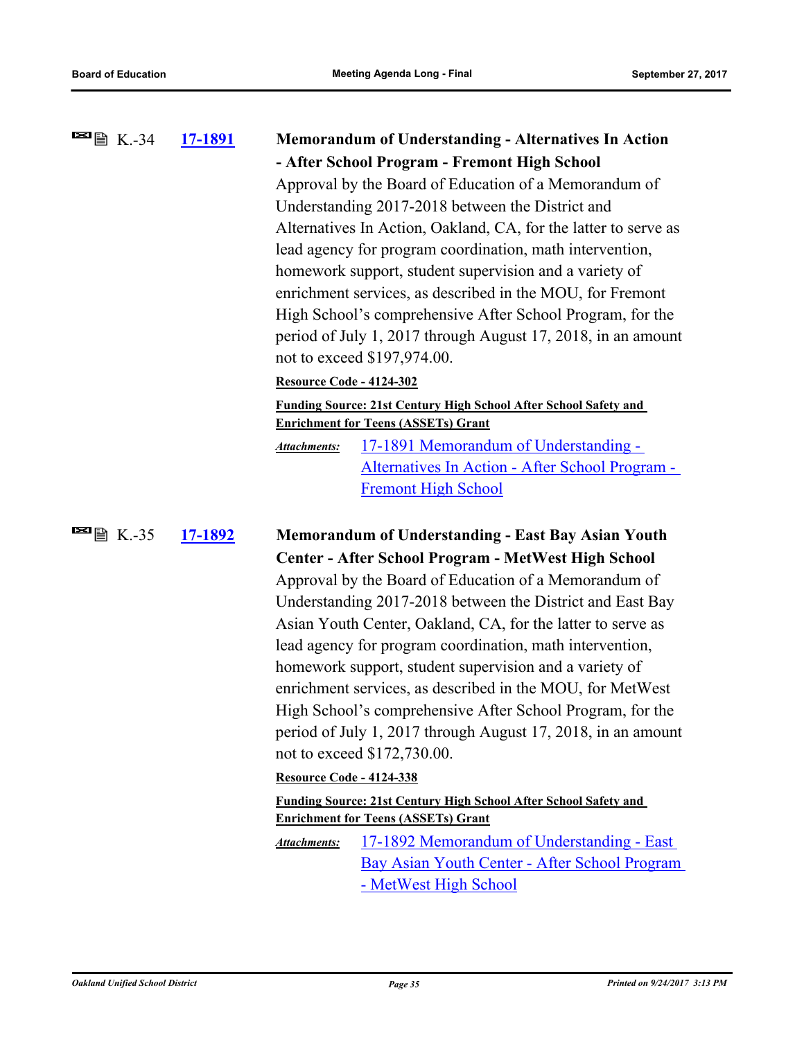| $\blacksquare$ $\blacksquare$ $\blacksquare$ K.-34 | 17-1891        |                                                                                                                        | <b>Memorandum of Understanding - Alternatives In Action</b>                                                    |  |
|----------------------------------------------------|----------------|------------------------------------------------------------------------------------------------------------------------|----------------------------------------------------------------------------------------------------------------|--|
|                                                    |                |                                                                                                                        | - After School Program - Fremont High School                                                                   |  |
|                                                    |                |                                                                                                                        | Approval by the Board of Education of a Memorandum of                                                          |  |
|                                                    |                |                                                                                                                        | Understanding 2017-2018 between the District and                                                               |  |
|                                                    |                |                                                                                                                        | Alternatives In Action, Oakland, CA, for the latter to serve as                                                |  |
|                                                    |                |                                                                                                                        | lead agency for program coordination, math intervention,                                                       |  |
|                                                    |                |                                                                                                                        | homework support, student supervision and a variety of                                                         |  |
|                                                    |                | enrichment services, as described in the MOU, for Fremont<br>High School's comprehensive After School Program, for the |                                                                                                                |  |
|                                                    |                |                                                                                                                        |                                                                                                                |  |
|                                                    |                |                                                                                                                        | period of July 1, 2017 through August 17, 2018, in an amount                                                   |  |
|                                                    |                |                                                                                                                        | not to exceed \$197,974.00.                                                                                    |  |
|                                                    |                | <b>Resource Code - 4124-302</b>                                                                                        |                                                                                                                |  |
|                                                    |                |                                                                                                                        | Funding Source: 21st Century High School After School Safety and<br><b>Enrichment for Teens (ASSETs) Grant</b> |  |
|                                                    |                | <b>Attachments:</b>                                                                                                    | 17-1891 Memorandum of Understanding -                                                                          |  |
|                                                    |                |                                                                                                                        | Alternatives In Action - After School Program -                                                                |  |
|                                                    |                |                                                                                                                        | <b>Fremont High School</b>                                                                                     |  |
|                                                    |                |                                                                                                                        |                                                                                                                |  |
| $\blacksquare$ $\blacksquare$ $\blacksquare$ K.-35 | <u>17-1892</u> | <b>Memorandum of Understanding - East Bay Asian Youth</b>                                                              |                                                                                                                |  |
|                                                    |                |                                                                                                                        | Center - After School Program - MetWest High School                                                            |  |
|                                                    |                |                                                                                                                        | Approval by the Board of Education of a Memorandum of                                                          |  |
|                                                    |                |                                                                                                                        | Understanding 2017-2018 between the District and East Bay                                                      |  |
|                                                    |                | Asian Youth Center, Oakland, CA, for the latter to serve as                                                            |                                                                                                                |  |
|                                                    |                |                                                                                                                        | lead agency for program coordination, math intervention,                                                       |  |
|                                                    |                |                                                                                                                        | homework support, student supervision and a variety of                                                         |  |
|                                                    |                |                                                                                                                        | enrichment services, as described in the MOU, for MetWest                                                      |  |
|                                                    |                |                                                                                                                        | High School's comprehensive After School Program, for the                                                      |  |
|                                                    |                |                                                                                                                        | period of July 1, 2017 through August 17, 2018, in an amount                                                   |  |
|                                                    |                |                                                                                                                        | not to exceed \$172,730.00.                                                                                    |  |
|                                                    |                | <b>Resource Code - 4124-338</b>                                                                                        |                                                                                                                |  |
|                                                    |                |                                                                                                                        | Funding Source: 21st Century High School After School Safety and<br><b>Enrichment for Teens (ASSETs) Grant</b> |  |
|                                                    |                | Attachments:                                                                                                           | 17-1892 Memorandum of Understanding - East                                                                     |  |
|                                                    |                |                                                                                                                        | Bay Asian Youth Center - After School Program                                                                  |  |
|                                                    |                |                                                                                                                        | - MetWest High School                                                                                          |  |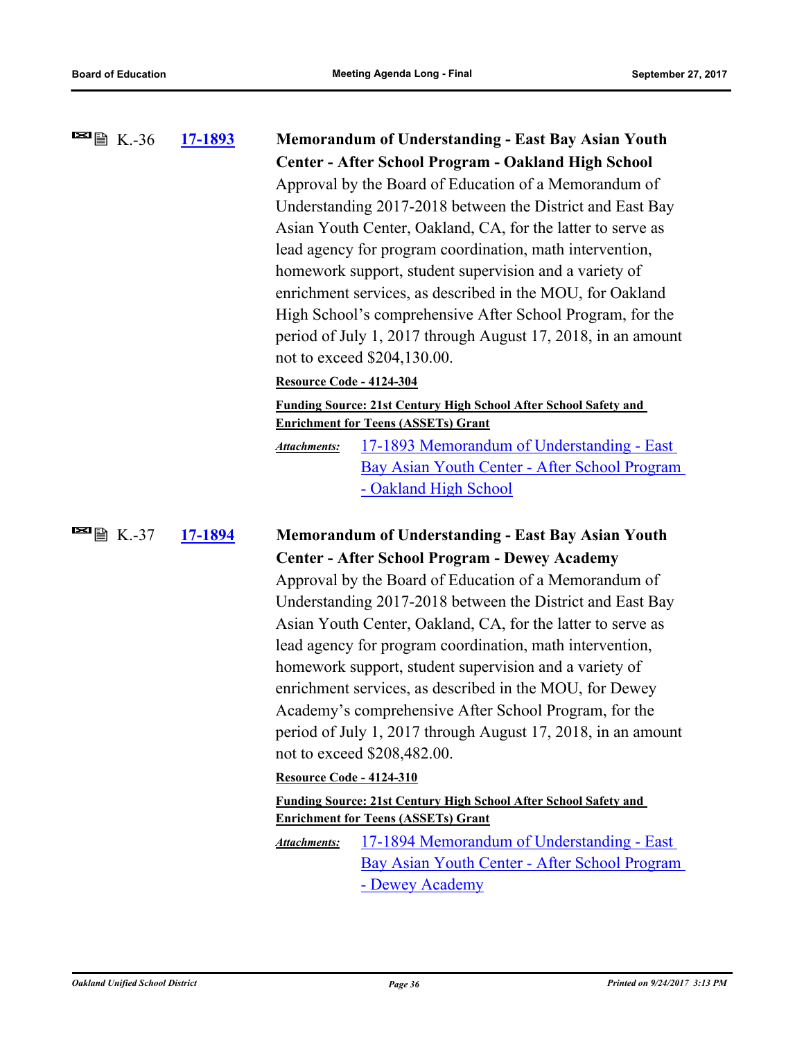| $\blacksquare$ $\blacksquare$ $\blacksquare$ K.-36 | 17-1893 | <b>Memorandum of Understanding - East Bay Asian Youth</b>                                                              |  |
|----------------------------------------------------|---------|------------------------------------------------------------------------------------------------------------------------|--|
|                                                    |         | Center - After School Program - Oakland High School                                                                    |  |
|                                                    |         | Approval by the Board of Education of a Memorandum of                                                                  |  |
|                                                    |         | Understanding 2017-2018 between the District and East Bay                                                              |  |
|                                                    |         | Asian Youth Center, Oakland, CA, for the latter to serve as                                                            |  |
|                                                    |         | lead agency for program coordination, math intervention,                                                               |  |
|                                                    |         | homework support, student supervision and a variety of                                                                 |  |
|                                                    |         | enrichment services, as described in the MOU, for Oakland<br>High School's comprehensive After School Program, for the |  |
|                                                    |         |                                                                                                                        |  |
|                                                    |         | period of July 1, 2017 through August 17, 2018, in an amount                                                           |  |
|                                                    |         | not to exceed \$204,130.00.                                                                                            |  |
|                                                    |         | Resource Code - 4124-304                                                                                               |  |
|                                                    |         | Funding Source: 21st Century High School After School Safety and<br><b>Enrichment for Teens (ASSETs) Grant</b>         |  |
|                                                    |         | 17-1893 Memorandum of Understanding - East<br><b>Attachments:</b>                                                      |  |
|                                                    |         | Bay Asian Youth Center - After School Program                                                                          |  |
|                                                    |         | - Oakland High School                                                                                                  |  |
|                                                    |         |                                                                                                                        |  |
| $\blacksquare$ $\blacksquare$ $\blacksquare$ K.-37 | 17-1894 | <b>Memorandum of Understanding - East Bay Asian Youth</b>                                                              |  |
|                                                    |         | <b>Center - After School Program - Dewey Academy</b>                                                                   |  |
|                                                    |         | Approval by the Board of Education of a Memorandum of                                                                  |  |
|                                                    |         | Understanding 2017-2018 between the District and East Bay                                                              |  |
|                                                    |         | Asian Youth Center, Oakland, CA, for the latter to serve as                                                            |  |
|                                                    |         | lead agency for program coordination, math intervention,                                                               |  |
|                                                    |         | homework support, student supervision and a variety of                                                                 |  |
|                                                    |         | enrichment services, as described in the MOU, for Dewey                                                                |  |
|                                                    |         | Academy's comprehensive After School Program, for the                                                                  |  |
|                                                    |         | period of July 1, 2017 through August 17, 2018, in an amount                                                           |  |
|                                                    |         | not to exceed \$208,482.00.                                                                                            |  |
|                                                    |         | Resource Code - 4124-310                                                                                               |  |
|                                                    |         | <b>Funding Source: 21st Century High School After School Safety and</b><br><b>Enrichment for Teens (ASSETs) Grant</b>  |  |
|                                                    |         | 17-1894 Memorandum of Understanding - East<br>Attachments:                                                             |  |
|                                                    |         | Bay Asian Youth Center - After School Program                                                                          |  |
|                                                    |         |                                                                                                                        |  |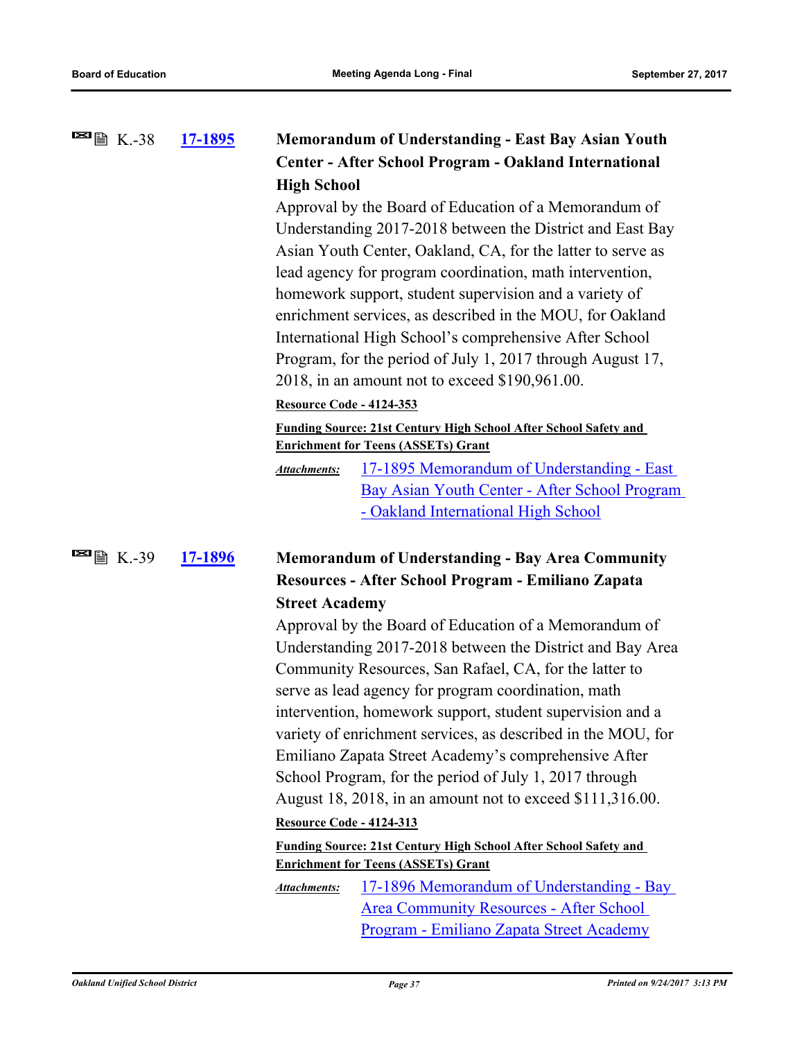| <b>E</b> ■ K.-38                    | 17-1895                                                 |                                                                                                                                                                                                                                             | Memorandum of Understanding - East Bay Asian Youth                                          |
|-------------------------------------|---------------------------------------------------------|---------------------------------------------------------------------------------------------------------------------------------------------------------------------------------------------------------------------------------------------|---------------------------------------------------------------------------------------------|
|                                     |                                                         |                                                                                                                                                                                                                                             | Center - After School Program - Oakland International                                       |
|                                     |                                                         | <b>High School</b>                                                                                                                                                                                                                          |                                                                                             |
|                                     |                                                         |                                                                                                                                                                                                                                             | Approval by the Board of Education of a Memorandum of                                       |
|                                     |                                                         |                                                                                                                                                                                                                                             | Understanding 2017-2018 between the District and East Bay                                   |
|                                     |                                                         |                                                                                                                                                                                                                                             | Asian Youth Center, Oakland, CA, for the latter to serve as                                 |
|                                     |                                                         |                                                                                                                                                                                                                                             | lead agency for program coordination, math intervention,                                    |
|                                     |                                                         | homework support, student supervision and a variety of<br>enrichment services, as described in the MOU, for Oakland<br>International High School's comprehensive After School<br>Program, for the period of July 1, 2017 through August 17, |                                                                                             |
|                                     |                                                         |                                                                                                                                                                                                                                             |                                                                                             |
|                                     |                                                         |                                                                                                                                                                                                                                             |                                                                                             |
|                                     |                                                         |                                                                                                                                                                                                                                             |                                                                                             |
|                                     |                                                         |                                                                                                                                                                                                                                             | 2018, in an amount not to exceed \$190,961.00.                                              |
|                                     |                                                         | <b>Resource Code - 4124-353</b>                                                                                                                                                                                                             |                                                                                             |
|                                     |                                                         |                                                                                                                                                                                                                                             | <b>Funding Source: 21st Century High School After School Safety and</b>                     |
|                                     |                                                         |                                                                                                                                                                                                                                             | <b>Enrichment for Teens (ASSETs) Grant</b>                                                  |
|                                     |                                                         | <b>Attachments:</b>                                                                                                                                                                                                                         | <u> 17-1895 Memorandum of Understanding - East</u>                                          |
|                                     |                                                         |                                                                                                                                                                                                                                             | Bay Asian Youth Center - After School Program                                               |
|                                     |                                                         |                                                                                                                                                                                                                                             | - Oakland International High School                                                         |
|                                     | <b>Memorandum of Understanding - Bay Area Community</b> |                                                                                                                                                                                                                                             |                                                                                             |
| $\blacksquare$ $\blacksquare$ K.-39 | 17-1896                                                 |                                                                                                                                                                                                                                             |                                                                                             |
|                                     |                                                         |                                                                                                                                                                                                                                             | Resources - After School Program - Emiliano Zapata                                          |
|                                     |                                                         | <b>Street Academy</b>                                                                                                                                                                                                                       |                                                                                             |
|                                     |                                                         |                                                                                                                                                                                                                                             | Approval by the Board of Education of a Memorandum of                                       |
|                                     |                                                         |                                                                                                                                                                                                                                             | Understanding 2017-2018 between the District and Bay Area                                   |
|                                     |                                                         |                                                                                                                                                                                                                                             | Community Resources, San Rafael, CA, for the latter to                                      |
|                                     |                                                         |                                                                                                                                                                                                                                             | serve as lead agency for program coordination, math                                         |
|                                     |                                                         |                                                                                                                                                                                                                                             | intervention, homework support, student supervision and a                                   |
|                                     |                                                         |                                                                                                                                                                                                                                             | variety of enrichment services, as described in the MOU, for                                |
|                                     |                                                         |                                                                                                                                                                                                                                             | Emiliano Zapata Street Academy's comprehensive After                                        |
|                                     |                                                         |                                                                                                                                                                                                                                             | School Program, for the period of July 1, 2017 through                                      |
|                                     |                                                         |                                                                                                                                                                                                                                             | August 18, 2018, in an amount not to exceed \$111,316.00.                                   |
|                                     |                                                         | <b>Resource Code - 4124-313</b>                                                                                                                                                                                                             |                                                                                             |
|                                     |                                                         |                                                                                                                                                                                                                                             | <b>Funding Source: 21st Century High School After School Safety and</b>                     |
|                                     |                                                         |                                                                                                                                                                                                                                             | <b>Enrichment for Teens (ASSETs) Grant</b>                                                  |
|                                     |                                                         | <b>Attachments:</b>                                                                                                                                                                                                                         | 17-1896 Memorandum of Understanding - Bay<br><b>Area Community Resources - After School</b> |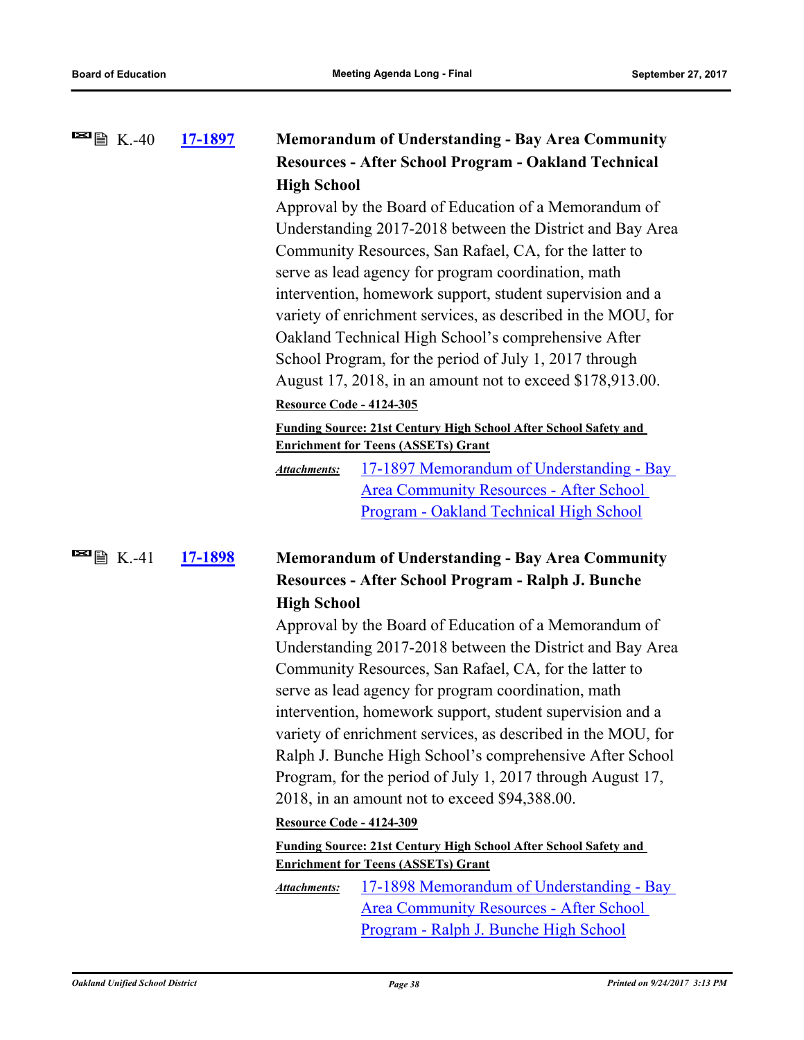| $\blacksquare$ $\blacksquare$ $\blacksquare$ K.-40 | 17-1897 |                                                              | <b>Memorandum of Understanding - Bay Area Community</b>                 |
|----------------------------------------------------|---------|--------------------------------------------------------------|-------------------------------------------------------------------------|
|                                                    |         |                                                              | <b>Resources - After School Program - Oakland Technical</b>             |
|                                                    |         | <b>High School</b>                                           |                                                                         |
|                                                    |         |                                                              | Approval by the Board of Education of a Memorandum of                   |
|                                                    |         |                                                              | Understanding 2017-2018 between the District and Bay Area               |
|                                                    |         |                                                              | Community Resources, San Rafael, CA, for the latter to                  |
|                                                    |         |                                                              | serve as lead agency for program coordination, math                     |
|                                                    |         |                                                              | intervention, homework support, student supervision and a               |
|                                                    |         | variety of enrichment services, as described in the MOU, for |                                                                         |
|                                                    |         |                                                              | Oakland Technical High School's comprehensive After                     |
|                                                    |         |                                                              | School Program, for the period of July 1, 2017 through                  |
|                                                    |         |                                                              | August 17, 2018, in an amount not to exceed \$178,913.00.               |
|                                                    |         | <b>Resource Code - 4124-305</b>                              |                                                                         |
|                                                    |         |                                                              | <b>Funding Source: 21st Century High School After School Safety and</b> |
|                                                    |         |                                                              | <b>Enrichment for Teens (ASSETs) Grant</b>                              |
|                                                    |         | <b>Attachments:</b>                                          | 17-1897 Memorandum of Understanding - Bay                               |
|                                                    |         |                                                              | <b>Area Community Resources - After School</b>                          |
|                                                    |         |                                                              | Program - Oakland Technical High School                                 |
| $\blacksquare$ $\blacksquare$ $\blacksquare$ K.-41 | 17-1898 |                                                              | <b>Memorandum of Understanding - Bay Area Community</b>                 |
|                                                    |         |                                                              | Resources - After School Program - Ralph J. Bunche                      |
|                                                    |         | <b>High School</b>                                           |                                                                         |
|                                                    |         |                                                              | Approval by the Board of Education of a Memorandum of                   |
|                                                    |         |                                                              | Understanding 2017-2018 between the District and Bay Area               |
|                                                    |         |                                                              | Community Resources, San Rafael, CA, for the latter to                  |
|                                                    |         |                                                              | serve as lead agency for program coordination, math                     |
|                                                    |         |                                                              | intervention, homework support, student supervision and a               |
|                                                    |         |                                                              | variety of enrichment services, as described in the MOU, for            |
|                                                    |         |                                                              | Ralph J. Bunche High School's comprehensive After School                |
|                                                    |         |                                                              | Program, for the period of July 1, 2017 through August 17,              |
|                                                    |         |                                                              | 2018, in an amount not to exceed \$94,388.00.                           |
|                                                    |         | <b>Resource Code - 4124-309</b>                              |                                                                         |
|                                                    |         |                                                              | <b>Funding Source: 21st Century High School After School Safety and</b> |
|                                                    |         |                                                              | <b>Enrichment for Teens (ASSETs) Grant</b>                              |
|                                                    |         | Attachments:                                                 | 17-1898 Memorandum of Understanding - Bay                               |
|                                                    |         |                                                              | <b>Area Community Resources - After School</b>                          |

Program - Ralph J. Bunche High School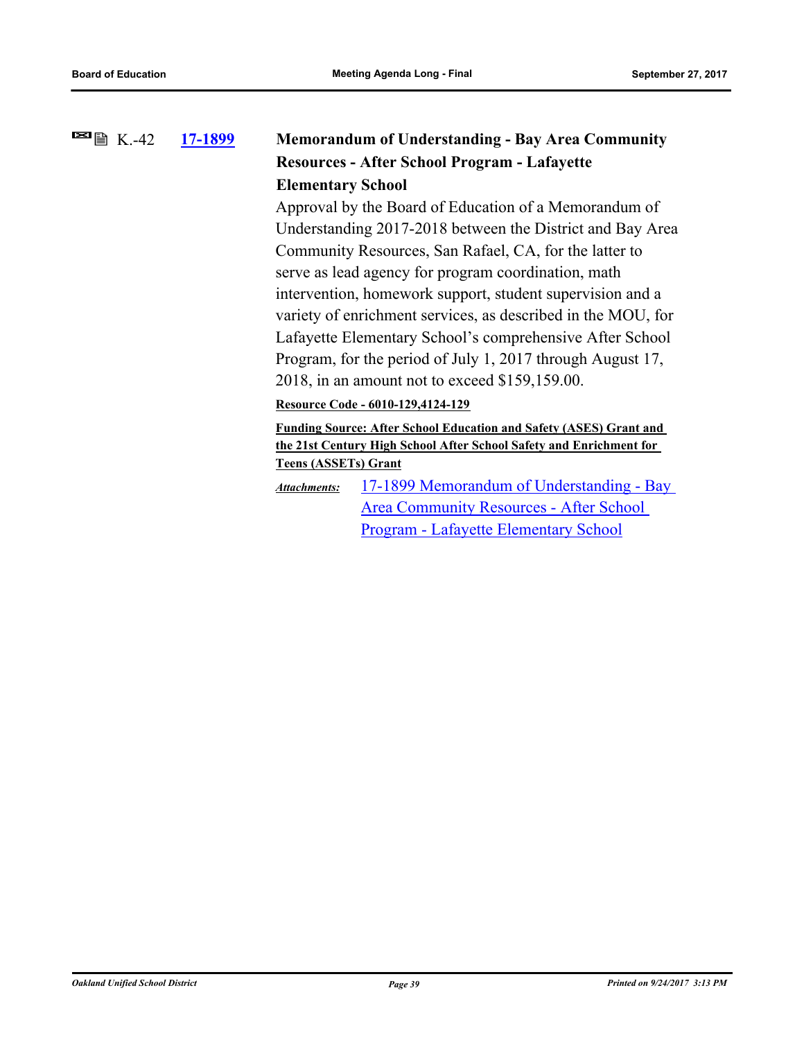### **[17-1899](http://ousd.legistar.com/gateway.aspx?m=l&id=/matter.aspx?key=41392) Memorandum of Understanding - Bay Area Community Resources - After School Program - Lafayette Elementary School**  $\blacksquare$   $\blacksquare$   $\blacksquare$   $\blacksquare$   $\blacksquare$   $\blacksquare$   $\blacksquare$   $\blacksquare$   $\blacksquare$   $\blacksquare$   $\blacksquare$   $\blacksquare$   $\blacksquare$   $\blacksquare$   $\blacksquare$   $\blacksquare$   $\blacksquare$   $\blacksquare$   $\blacksquare$   $\blacksquare$   $\blacksquare$   $\blacksquare$   $\blacksquare$   $\blacksquare$   $\blacksquare$   $\blacksquare$   $\blacksquare$   $\blacksquare$   $\blacksquare$   $\blacksquare$   $\blacksquare$   $\blacks$

Approval by the Board of Education of a Memorandum of Understanding 2017-2018 between the District and Bay Area Community Resources, San Rafael, CA, for the latter to serve as lead agency for program coordination, math intervention, homework support, student supervision and a variety of enrichment services, as described in the MOU, for Lafayette Elementary School's comprehensive After School Program, for the period of July 1, 2017 through August 17, 2018, in an amount not to exceed \$159,159.00.

**Resource Code - 6010-129,4124-129**

**Funding Source: After School Education and Safety (ASES) Grant and the 21st Century High School After School Safety and Enrichment for Teens (ASSETs) Grant**

[17-1899 Memorandum of Understanding - Bay](http://ousd.legistar.com/gateway.aspx?M=F&ID=86217.pdf)  Area Community Resources - After School Program - Lafayette Elementary School *Attachments:*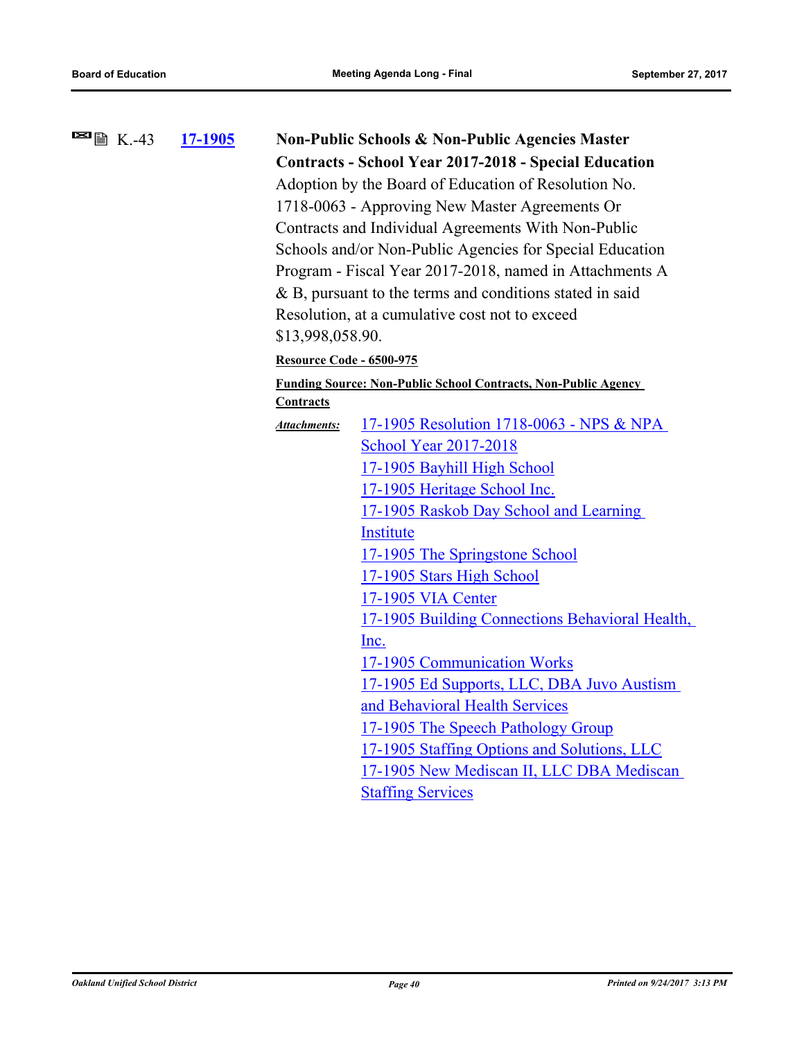| <b>⊠</b> ■ K.-43 | <u>17-1905</u> |                                                             | <b>Non-Public Schools &amp; Non-Public Agencies Master</b>            |  |  |  |
|------------------|----------------|-------------------------------------------------------------|-----------------------------------------------------------------------|--|--|--|
|                  |                |                                                             | <b>Contracts - School Year 2017-2018 - Special Education</b>          |  |  |  |
|                  |                | Adoption by the Board of Education of Resolution No.        |                                                                       |  |  |  |
|                  |                |                                                             | 1718-0063 - Approving New Master Agreements Or                        |  |  |  |
|                  |                | Contracts and Individual Agreements With Non-Public         |                                                                       |  |  |  |
|                  |                |                                                             | Schools and/or Non-Public Agencies for Special Education              |  |  |  |
|                  |                |                                                             | Program - Fiscal Year 2017-2018, named in Attachments A               |  |  |  |
|                  |                | $\&$ B, pursuant to the terms and conditions stated in said |                                                                       |  |  |  |
|                  |                |                                                             | Resolution, at a cumulative cost not to exceed                        |  |  |  |
|                  |                | \$13,998,058.90.                                            |                                                                       |  |  |  |
|                  |                | <b>Resource Code - 6500-975</b>                             |                                                                       |  |  |  |
|                  |                |                                                             | <b>Funding Source: Non-Public School Contracts, Non-Public Agency</b> |  |  |  |
|                  |                | <b>Contracts</b>                                            |                                                                       |  |  |  |
|                  |                | Attachments:                                                | 17-1905 Resolution 1718-0063 - NPS & NPA                              |  |  |  |
|                  |                |                                                             | <b>School Year 2017-2018</b>                                          |  |  |  |
|                  |                |                                                             | 17-1905 Bayhill High School                                           |  |  |  |
|                  |                |                                                             | 17-1905 Heritage School Inc.                                          |  |  |  |
|                  |                |                                                             | 17-1905 Raskob Day School and Learning                                |  |  |  |
|                  |                |                                                             | Institute                                                             |  |  |  |
|                  |                |                                                             | 17-1905 The Springstone School                                        |  |  |  |
|                  |                |                                                             | 17-1905 Stars High School                                             |  |  |  |
|                  |                |                                                             | 17-1905 VIA Center                                                    |  |  |  |
|                  |                |                                                             | 17-1905 Building Connections Behavioral Health,                       |  |  |  |
|                  |                |                                                             | Inc.                                                                  |  |  |  |
|                  |                |                                                             | 17-1905 Communication Works                                           |  |  |  |
|                  |                |                                                             | 17-1905 Ed Supports, LLC, DBA Juvo Austism                            |  |  |  |
|                  |                |                                                             | and Behavioral Health Services                                        |  |  |  |
|                  |                |                                                             | 17-1905 The Speech Pathology Group                                    |  |  |  |
|                  |                |                                                             | 17-1905 Staffing Options and Solutions, LLC                           |  |  |  |
|                  |                |                                                             | 17-1905 New Mediscan II, LLC DBA Mediscan                             |  |  |  |
|                  |                |                                                             | <b>Staffing Services</b>                                              |  |  |  |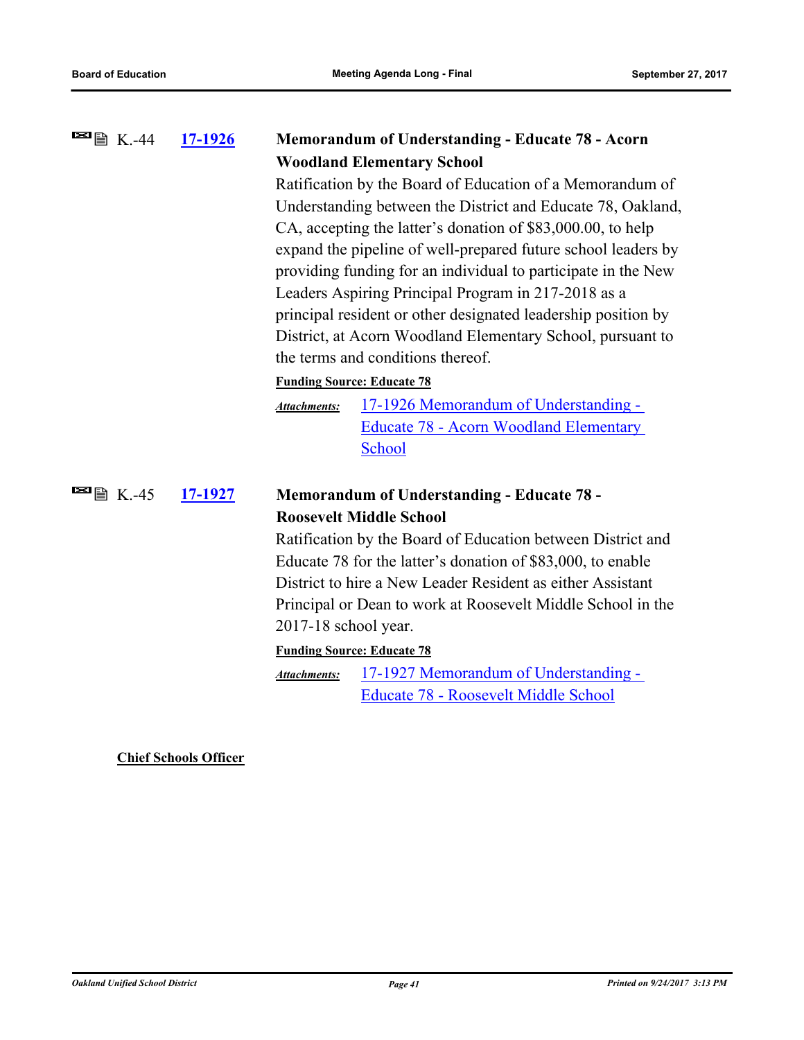#### **[17-1926](http://ousd.legistar.com/gateway.aspx?m=l&id=/matter.aspx?key=41419) Memorandum of Understanding - Educate 78 - Acorn Woodland Elementary School**  $\blacksquare$   $\blacksquare$   $\blacksquare$   $\blacksquare$   $\blacksquare$   $\blacksquare$   $\blacksquare$   $\blacksquare$   $\blacksquare$   $\blacksquare$   $\blacksquare$   $\blacksquare$   $\blacksquare$   $\blacksquare$   $\blacksquare$   $\blacksquare$   $\blacksquare$   $\blacksquare$   $\blacksquare$   $\blacksquare$   $\blacksquare$   $\blacksquare$   $\blacksquare$   $\blacksquare$   $\blacksquare$   $\blacksquare$   $\blacksquare$   $\blacksquare$   $\blacksquare$   $\blacksquare$   $\blacksquare$   $\blacks$

Ratification by the Board of Education of a Memorandum of Understanding between the District and Educate 78, Oakland, CA, accepting the latter's donation of \$83,000.00, to help expand the pipeline of well-prepared future school leaders by providing funding for an individual to participate in the New Leaders Aspiring Principal Program in 217-2018 as a principal resident or other designated leadership position by District, at Acorn Woodland Elementary School, pursuant to the terms and conditions thereof.

### **Funding Source: Educate 78**

17-1926 Memorandum of Understanding - [Educate 78 - Acorn Woodland Elementary](http://ousd.legistar.com/gateway.aspx?M=F&ID=86231.pdf)  **School** *Attachments:*

### **[17-1927](http://ousd.legistar.com/gateway.aspx?m=l&id=/matter.aspx?key=41420) Memorandum of Understanding - Educate 78 - Roosevelt Middle School**  $\blacksquare$   $\blacksquare$   $\blacksquare$  K.-45

Ratification by the Board of Education between District and Educate 78 for the latter's donation of \$83,000, to enable District to hire a New Leader Resident as either Assistant Principal or Dean to work at Roosevelt Middle School in the 2017-18 school year.

### **Funding Source: Educate 78**

[17-1927 Memorandum of Understanding -](http://ousd.legistar.com/gateway.aspx?M=F&ID=86232.pdf)  Educate 78 - Roosevelt Middle School *Attachments:*

**Chief Schools Officer**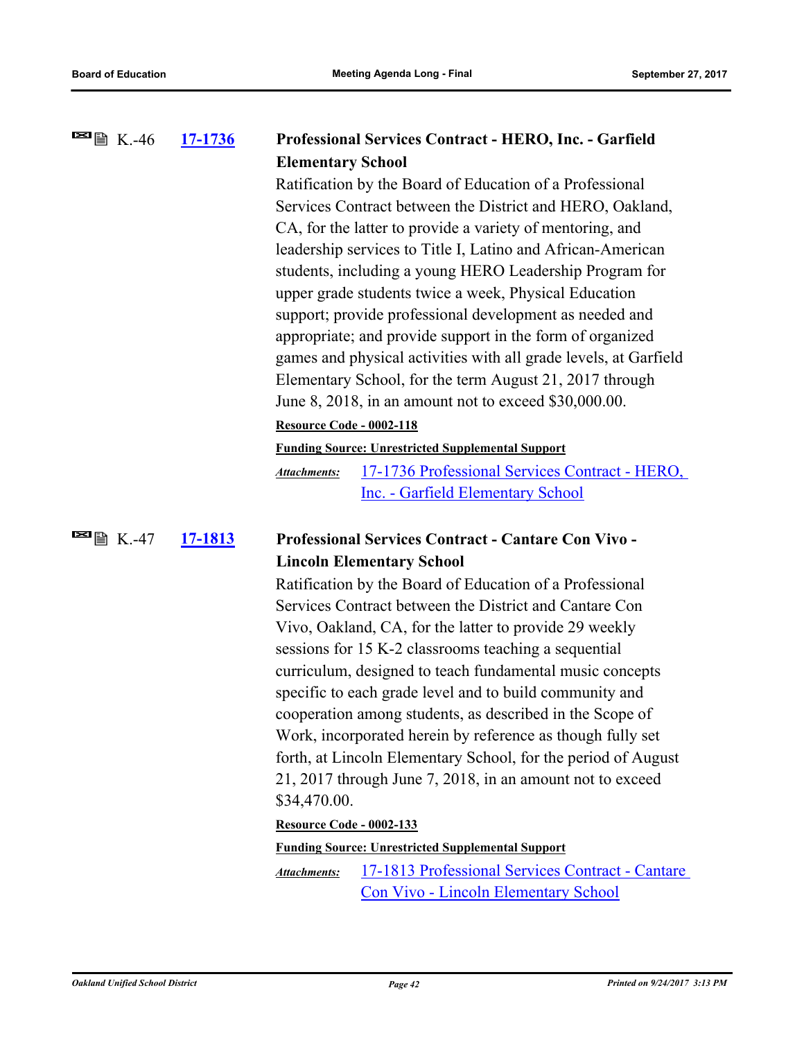| <b>■ K.</b> -46                                    | <u>17-1736</u> | Professional Services Contract - HERO, Inc. - Garfield                    |  |  |  |  |
|----------------------------------------------------|----------------|---------------------------------------------------------------------------|--|--|--|--|
|                                                    |                | <b>Elementary School</b>                                                  |  |  |  |  |
|                                                    |                | Ratification by the Board of Education of a Professional                  |  |  |  |  |
|                                                    |                | Services Contract between the District and HERO, Oakland,                 |  |  |  |  |
|                                                    |                | CA, for the latter to provide a variety of mentoring, and                 |  |  |  |  |
|                                                    |                | leadership services to Title I, Latino and African-American               |  |  |  |  |
|                                                    |                | students, including a young HERO Leadership Program for                   |  |  |  |  |
|                                                    |                | upper grade students twice a week, Physical Education                     |  |  |  |  |
|                                                    |                | support; provide professional development as needed and                   |  |  |  |  |
|                                                    |                | appropriate; and provide support in the form of organized                 |  |  |  |  |
|                                                    |                | games and physical activities with all grade levels, at Garfield          |  |  |  |  |
|                                                    |                | Elementary School, for the term August 21, 2017 through                   |  |  |  |  |
|                                                    |                | June $8, 2018$ , in an amount not to exceed \$30,000.00.                  |  |  |  |  |
|                                                    |                | <b>Resource Code - 0002-118</b>                                           |  |  |  |  |
|                                                    |                | <b>Funding Source: Unrestricted Supplemental Support</b>                  |  |  |  |  |
|                                                    |                | 17-1736 Professional Services Contract - HERO,<br><b>Attachments:</b>     |  |  |  |  |
|                                                    |                | Inc. - Garfield Elementary School                                         |  |  |  |  |
| $\blacksquare$ $\blacksquare$ $\blacksquare$ K.-47 | 17-1813        | <b>Professional Services Contract - Cantare Con Vivo -</b>                |  |  |  |  |
|                                                    |                | <b>Lincoln Elementary School</b>                                          |  |  |  |  |
|                                                    |                | Ratification by the Board of Education of a Professional                  |  |  |  |  |
|                                                    |                | Services Contract between the District and Cantare Con                    |  |  |  |  |
|                                                    |                | Vivo, Oakland, CA, for the latter to provide 29 weekly                    |  |  |  |  |
|                                                    |                | sessions for 15 K-2 classrooms teaching a sequential                      |  |  |  |  |
|                                                    |                | curriculum, designed to teach fundamental music concepts                  |  |  |  |  |
|                                                    |                | specific to each grade level and to build community and                   |  |  |  |  |
|                                                    |                | cooperation among students, as described in the Scope of                  |  |  |  |  |
|                                                    |                | Work, incorporated herein by reference as though fully set                |  |  |  |  |
|                                                    |                | forth, at Lincoln Elementary School, for the period of August             |  |  |  |  |
|                                                    |                | 21, 2017 through June 7, 2018, in an amount not to exceed<br>\$34,470.00. |  |  |  |  |
|                                                    |                | Resource Code - 0002-133                                                  |  |  |  |  |
|                                                    |                | <b>Funding Source: Unrestricted Supplemental Support</b>                  |  |  |  |  |
|                                                    |                | 17-1813 Professional Services Contract - Cantare<br><b>Attachments:</b>   |  |  |  |  |
|                                                    |                | <b>Con Vivo - Lincoln Elementary School</b>                               |  |  |  |  |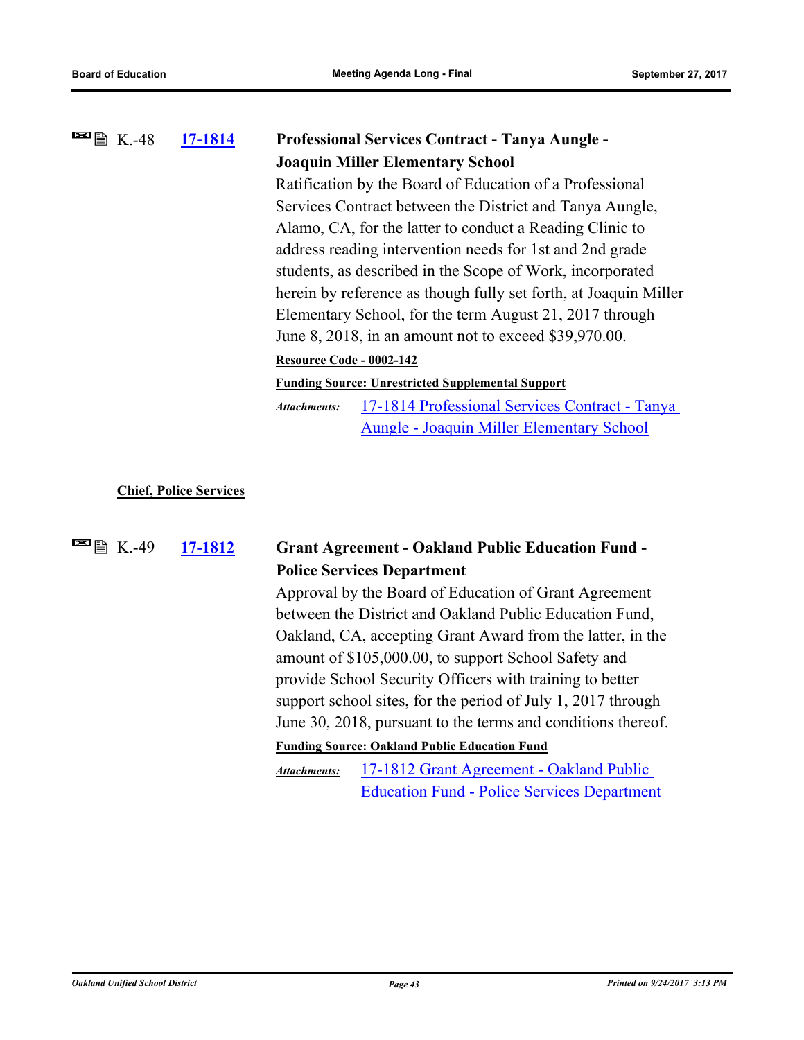### **[17-1814](http://ousd.legistar.com/gateway.aspx?m=l&id=/matter.aspx?key=41307) Professional Services Contract - Tanya Aungle - Joaquin Miller Elementary School**  $\blacksquare$   $\blacksquare$   $\blacksquare$   $\blacksquare$   $\blacksquare$   $\blacksquare$   $\blacksquare$   $\blacksquare$   $\blacksquare$   $\blacksquare$   $\blacksquare$   $\blacksquare$   $\blacksquare$   $\blacksquare$   $\blacksquare$   $\blacksquare$   $\blacksquare$   $\blacksquare$   $\blacksquare$   $\blacksquare$   $\blacksquare$   $\blacksquare$   $\blacksquare$   $\blacksquare$   $\blacksquare$   $\blacksquare$   $\blacksquare$   $\blacksquare$   $\blacksquare$   $\blacksquare$   $\blacksquare$   $\blacks$ Ratification by the Board of Education of a Professional

Services Contract between the District and Tanya Aungle, Alamo, CA, for the latter to conduct a Reading Clinic to address reading intervention needs for 1st and 2nd grade students, as described in the Scope of Work, incorporated herein by reference as though fully set forth, at Joaquin Miller Elementary School, for the term August 21, 2017 through June 8, 2018, in an amount not to exceed \$39,970.00.

### **Resource Code - 0002-142**

### **Funding Source: Unrestricted Supplemental Support**

[17-1814 Professional Services Contract - Tanya](http://ousd.legistar.com/gateway.aspx?M=F&ID=86219.pdf)  Aungle - Joaquin Miller Elementary School *Attachments:*

### **Chief, Police Services**

# $\blacksquare$   $\blacksquare$   $\blacksquare$   $K. -49$

# **[17-1812](http://ousd.legistar.com/gateway.aspx?m=l&id=/matter.aspx?key=41305) Grant Agreement - Oakland Public Education Fund - Police Services Department**

Approval by the Board of Education of Grant Agreement between the District and Oakland Public Education Fund, Oakland, CA, accepting Grant Award from the latter, in the amount of \$105,000.00, to support School Safety and provide School Security Officers with training to better support school sites, for the period of July 1, 2017 through June 30, 2018, pursuant to the terms and conditions thereof.

### **Funding Source: Oakland Public Education Fund**

17-1812 Grant Agreement - Oakland Public [Education Fund - Police Services Department](http://ousd.legistar.com/gateway.aspx?M=F&ID=86079.pdf) *Attachments:*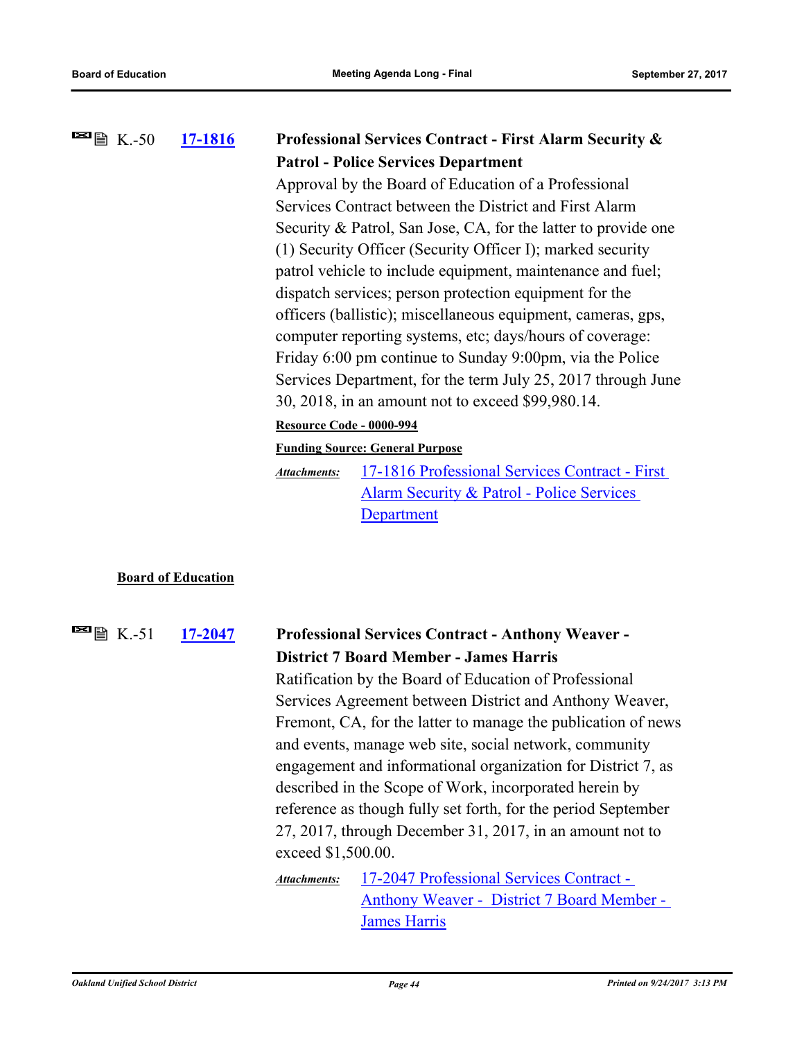#### **[17-1816](http://ousd.legistar.com/gateway.aspx?m=l&id=/matter.aspx?key=41309) Professional Services Contract - First Alarm Security & Patrol - Police Services Department**  $\blacksquare$   $\blacksquare$   $\blacksquare$  K.-50

Approval by the Board of Education of a Professional Services Contract between the District and First Alarm Security & Patrol, San Jose, CA, for the latter to provide one (1) Security Officer (Security Officer I); marked security patrol vehicle to include equipment, maintenance and fuel; dispatch services; person protection equipment for the officers (ballistic); miscellaneous equipment, cameras, gps, computer reporting systems, etc; days/hours of coverage: Friday 6:00 pm continue to Sunday 9:00pm, via the Police Services Department, for the term July 25, 2017 through June 30, 2018, in an amount not to exceed \$99,980.14.

### **Resource Code - 0000-994**

**Funding Source: General Purpose**

[17-1816 Professional Services Contract - First](http://ousd.legistar.com/gateway.aspx?M=F&ID=86220.pdf)  Alarm Security & Patrol - Police Services Department *Attachments:*

### **Board of Education**

**[17-2047](http://ousd.legistar.com/gateway.aspx?m=l&id=/matter.aspx?key=41541) Professional Services Contract - Anthony Weaver - District 7 Board Member - James Harris**  $\blacksquare$   $\blacksquare$   $\blacksquare$   $\blacksquare$   $\blacksquare$   $\blacksquare$   $\blacksquare$   $\blacksquare$   $\blacksquare$   $\blacksquare$   $\blacksquare$   $\blacksquare$   $\blacksquare$   $\blacksquare$   $\blacksquare$   $\blacksquare$   $\blacksquare$   $\blacksquare$   $\blacksquare$   $\blacksquare$   $\blacksquare$   $\blacksquare$   $\blacksquare$   $\blacksquare$   $\blacksquare$   $\blacksquare$   $\blacksquare$   $\blacksquare$   $\blacksquare$   $\blacksquare$   $\blacksquare$   $\blacks$ Ratification by the Board of Education of Professional Services Agreement between District and Anthony Weaver, Fremont, CA, for the latter to manage the publication of news and events, manage web site, social network, community engagement and informational organization for District 7, as described in the Scope of Work, incorporated herein by reference as though fully set forth, for the period September 27, 2017, through December 31, 2017, in an amount not to exceed \$1,500.00. 17-2047 Professional Services Contract - [Anthony Weaver - District 7 Board Member -](http://ousd.legistar.com/gateway.aspx?M=F&ID=86370.pdf)  James Harris *Attachments:*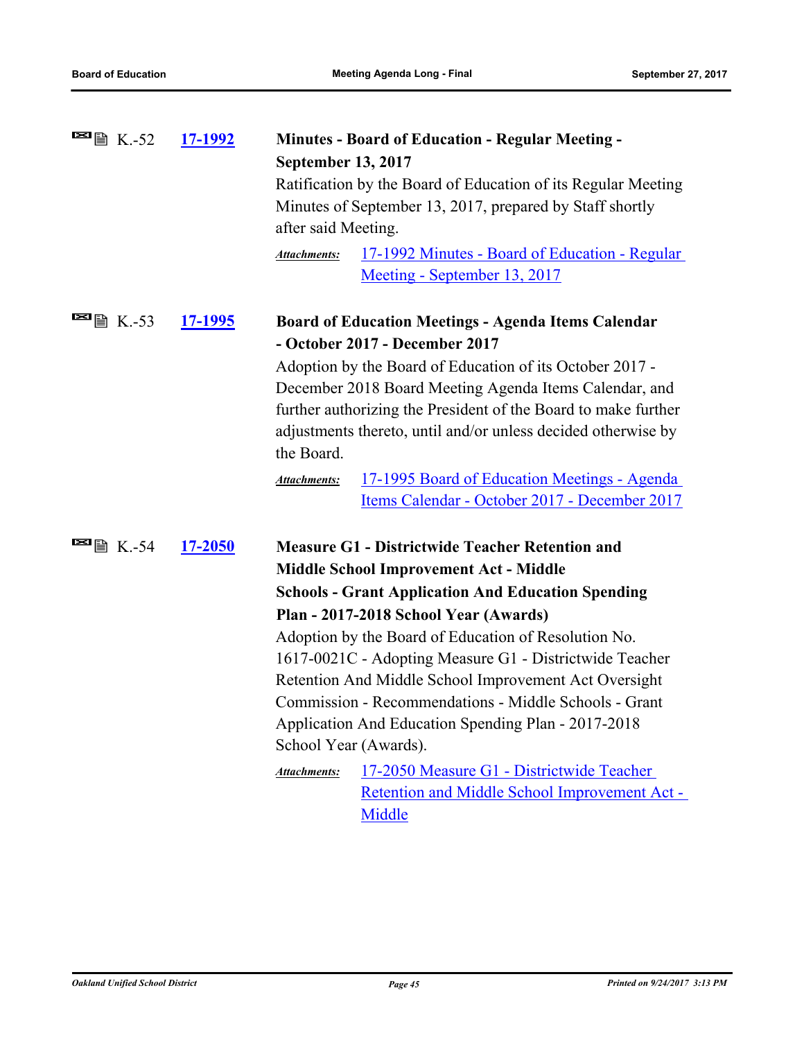| <b>■</b> ■ K.-52                                   | <u>17-1992</u> | <b>Minutes - Board of Education - Regular Meeting -</b>                       |  |  |
|----------------------------------------------------|----------------|-------------------------------------------------------------------------------|--|--|
|                                                    |                | <b>September 13, 2017</b>                                                     |  |  |
|                                                    |                | Ratification by the Board of Education of its Regular Meeting                 |  |  |
|                                                    |                | Minutes of September 13, 2017, prepared by Staff shortly                      |  |  |
|                                                    |                | after said Meeting.                                                           |  |  |
|                                                    |                | <u> 17-1992 Minutes - Board of Education - Regular</u><br><b>Attachments:</b> |  |  |
|                                                    |                | Meeting - September 13, 2017                                                  |  |  |
| $\blacksquare$ $\blacksquare$ $\blacksquare$ K.-53 | <u>17-1995</u> | <b>Board of Education Meetings - Agenda Items Calendar</b>                    |  |  |
|                                                    |                | - October 2017 - December 2017                                                |  |  |
|                                                    |                | Adoption by the Board of Education of its October 2017 -                      |  |  |
|                                                    |                | December 2018 Board Meeting Agenda Items Calendar, and                        |  |  |
|                                                    |                | further authorizing the President of the Board to make further                |  |  |
|                                                    |                | adjustments thereto, until and/or unless decided otherwise by                 |  |  |
|                                                    |                | the Board.                                                                    |  |  |
|                                                    |                | 17-1995 Board of Education Meetings - Agenda<br><b>Attachments:</b>           |  |  |
|                                                    |                | Items Calendar - October 2017 - December 2017                                 |  |  |
| <b>⊠</b> ■ K.-54                                   | <u>17-2050</u> | <b>Measure G1 - Districtwide Teacher Retention and</b>                        |  |  |
|                                                    |                | <b>Middle School Improvement Act - Middle</b>                                 |  |  |
|                                                    |                | <b>Schools - Grant Application And Education Spending</b>                     |  |  |
|                                                    |                | Plan - 2017-2018 School Year (Awards)                                         |  |  |
|                                                    |                | Adoption by the Board of Education of Resolution No.                          |  |  |
|                                                    |                | 1617-0021C - Adopting Measure G1 - Districtwide Teacher                       |  |  |
|                                                    |                | Retention And Middle School Improvement Act Oversight                         |  |  |
|                                                    |                | Commission - Recommendations - Middle Schools - Grant                         |  |  |
|                                                    |                | Application And Education Spending Plan - 2017-2018                           |  |  |
|                                                    |                | School Year (Awards).                                                         |  |  |
|                                                    |                | 17-2050 Measure G1 - Districtwide Teacher<br>Attachments:                     |  |  |
|                                                    |                | Retention and Middle School Improvement Act -                                 |  |  |
|                                                    |                | Middle                                                                        |  |  |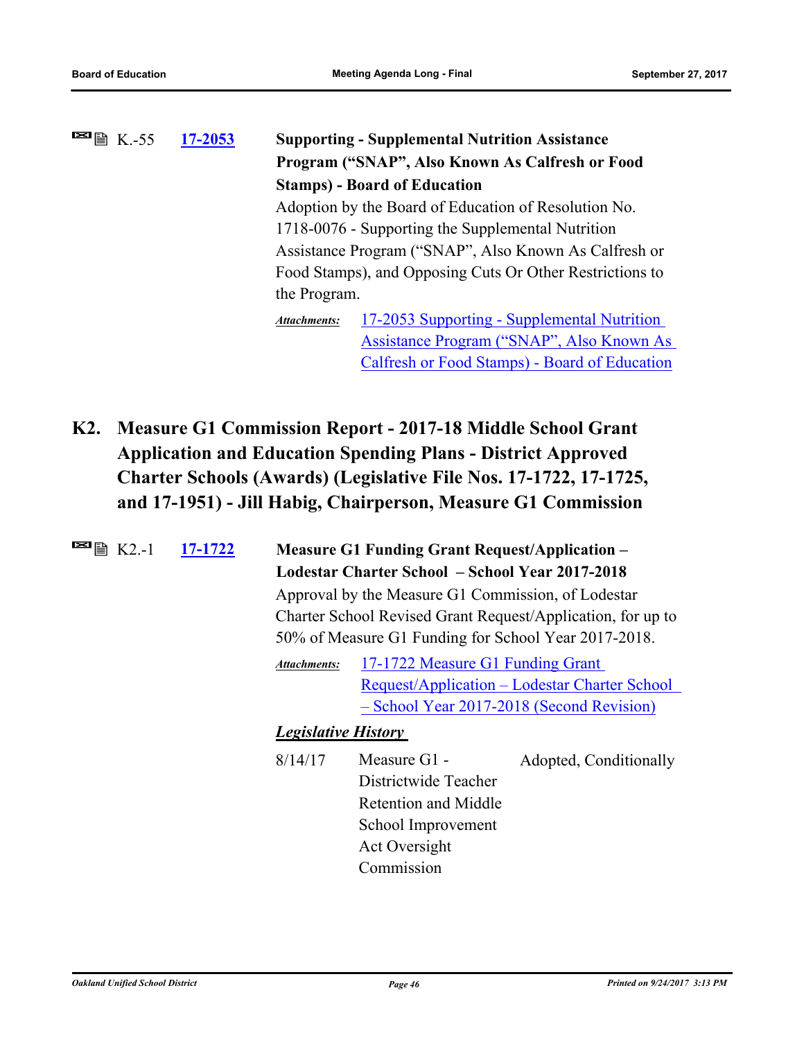| $\blacksquare$ $\blacksquare$ $\blacksquare$ $\blacksquare$ $\blacksquare$ $\blacksquare$ $\blacksquare$ $\blacksquare$ $\blacksquare$ $\blacksquare$ $\blacksquare$ $\blacksquare$ $\blacksquare$ $\blacksquare$ $\blacksquare$ $\blacksquare$ $\blacksquare$ $\blacksquare$ $\blacksquare$ $\blacksquare$ $\blacksquare$ $\blacksquare$ $\blacksquare$ $\blacksquare$ $\blacksquare$ $\blacksquare$ $\blacksquare$ $\blacksquare$ $\blacksquare$ $\blacksquare$ $\blacksquare$ $\blacks$ | 17-2053 | <b>Supporting - Supplemental Nutrition Assistance</b>                                                      |                                                          |  |
|--------------------------------------------------------------------------------------------------------------------------------------------------------------------------------------------------------------------------------------------------------------------------------------------------------------------------------------------------------------------------------------------------------------------------------------------------------------------------------------------|---------|------------------------------------------------------------------------------------------------------------|----------------------------------------------------------|--|
|                                                                                                                                                                                                                                                                                                                                                                                                                                                                                            |         | Program ("SNAP", Also Known As Calfresh or Food                                                            |                                                          |  |
|                                                                                                                                                                                                                                                                                                                                                                                                                                                                                            |         |                                                                                                            | <b>Stamps)</b> - Board of Education                      |  |
|                                                                                                                                                                                                                                                                                                                                                                                                                                                                                            |         |                                                                                                            | Adoption by the Board of Education of Resolution No.     |  |
|                                                                                                                                                                                                                                                                                                                                                                                                                                                                                            |         | 1718-0076 - Supporting the Supplemental Nutrition<br>Assistance Program ("SNAP", Also Known As Calfresh or |                                                          |  |
|                                                                                                                                                                                                                                                                                                                                                                                                                                                                                            |         |                                                                                                            |                                                          |  |
|                                                                                                                                                                                                                                                                                                                                                                                                                                                                                            |         |                                                                                                            | Food Stamps), and Opposing Cuts Or Other Restrictions to |  |
|                                                                                                                                                                                                                                                                                                                                                                                                                                                                                            |         | the Program.                                                                                               |                                                          |  |
|                                                                                                                                                                                                                                                                                                                                                                                                                                                                                            |         | Attachments:                                                                                               | 17-2053 Supporting - Supplemental Nutrition              |  |
|                                                                                                                                                                                                                                                                                                                                                                                                                                                                                            |         |                                                                                                            | Assistance Program ("SNAP", Also Known As                |  |
|                                                                                                                                                                                                                                                                                                                                                                                                                                                                                            |         |                                                                                                            | Calfresh or Food Stamps) - Board of Education            |  |

**K2. Measure G1 Commission Report - 2017-18 Middle School Grant Application and Education Spending Plans - District Approved Charter Schools (Awards) (Legislative File Nos. 17-1722, 17-1725, and 17-1951) - Jill Habig, Chairperson, Measure G1 Commission**

| $\blacksquare$ $\nblacksquare$ $K2.1$ | 17-1722 | <b>Measure G1 Funding Grant Request/Application –</b><br>Lodestar Charter School – School Year 2017-2018<br>Approval by the Measure G1 Commission, of Lodestar<br>Charter School Revised Grant Request/Application, for up to<br>50% of Measure G1 Funding for School Year 2017-2018. |                                                                                                                   |                                                                                                    |
|---------------------------------------|---------|---------------------------------------------------------------------------------------------------------------------------------------------------------------------------------------------------------------------------------------------------------------------------------------|-------------------------------------------------------------------------------------------------------------------|----------------------------------------------------------------------------------------------------|
|                                       |         | <b>Attachments:</b>                                                                                                                                                                                                                                                                   | 17-1722 Measure G1 Funding Grant                                                                                  | <u> Request/Application – Lodestar Charter School</u><br>- School Year 2017-2018 (Second Revision) |
|                                       |         | <b>Legislative History</b>                                                                                                                                                                                                                                                            |                                                                                                                   |                                                                                                    |
|                                       |         | 8/14/17                                                                                                                                                                                                                                                                               | Measure G1 -<br>Districtwide Teacher<br>Retention and Middle<br>School Improvement<br>Act Oversight<br>Commission | Adopted, Conditionally                                                                             |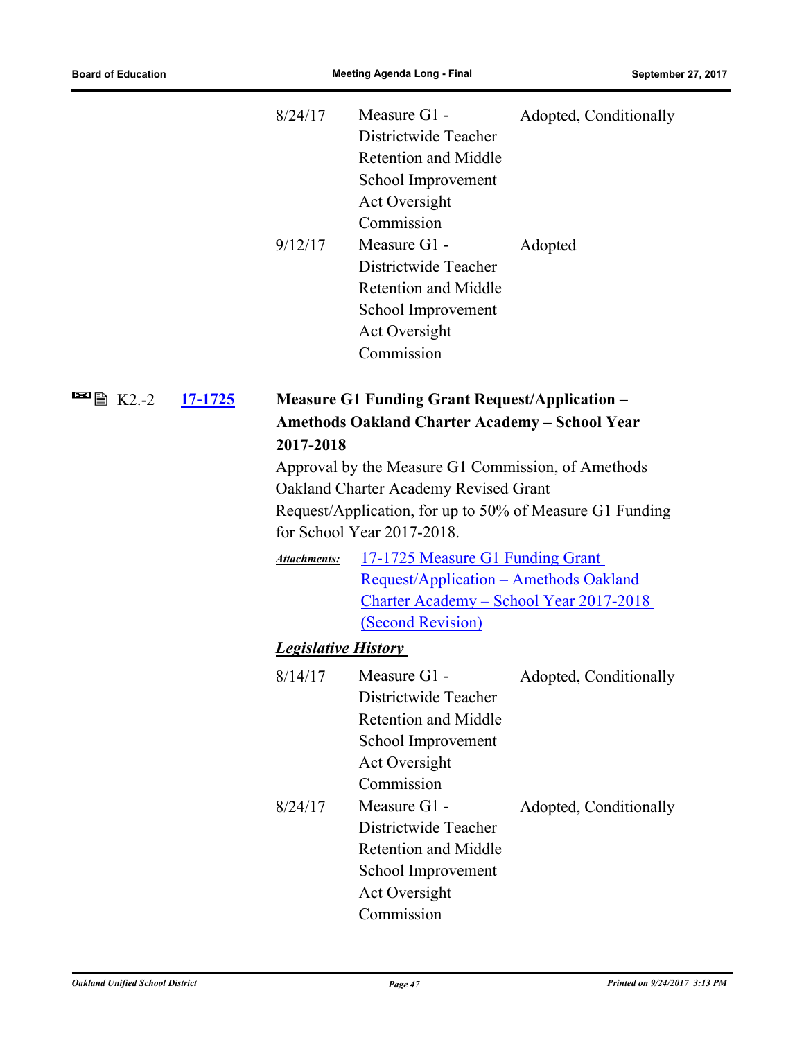|                                                                        | 8/24/17                    | Measure G1 -<br>Districtwide Teacher<br><b>Retention and Middle</b><br>School Improvement<br>Act Oversight<br>Commission                                                              | Adopted, Conditionally |
|------------------------------------------------------------------------|----------------------------|---------------------------------------------------------------------------------------------------------------------------------------------------------------------------------------|------------------------|
|                                                                        | 9/12/17                    | Measure G1 -<br>Districtwide Teacher<br><b>Retention and Middle</b><br>School Improvement<br>Act Oversight<br>Commission                                                              | Adopted                |
| $\blacksquare$ $\blacksquare$ $\blacksquare$ $K2.-2$<br><u>17-1725</u> | 2017-2018                  | <b>Measure G1 Funding Grant Request/Application -</b><br><b>Amethods Oakland Charter Academy - School Year</b>                                                                        |                        |
|                                                                        |                            | Approval by the Measure G1 Commission, of Amethods<br>Oakland Charter Academy Revised Grant<br>Request/Application, for up to 50% of Measure G1 Funding<br>for School Year 2017-2018. |                        |
|                                                                        | <b>Attachments:</b>        | 17-1725 Measure G1 Funding Grant<br>Request/Application - Amethods Oakland<br><u> Charter Academy – School Year 2017-2018</u><br>(Second Revision)                                    |                        |
|                                                                        | <b>Legislative History</b> |                                                                                                                                                                                       |                        |
|                                                                        | 8/14/17                    | Measure G1 -<br>Districtwide Teacher<br><b>Retention and Middle</b><br>School Improvement<br>Act Oversight<br>Commission                                                              | Adopted, Conditionally |
|                                                                        | 8/24/17                    | Measure G1 -<br>Districtwide Teacher<br><b>Retention and Middle</b><br>School Improvement<br>Act Oversight<br>Commission                                                              | Adopted, Conditionally |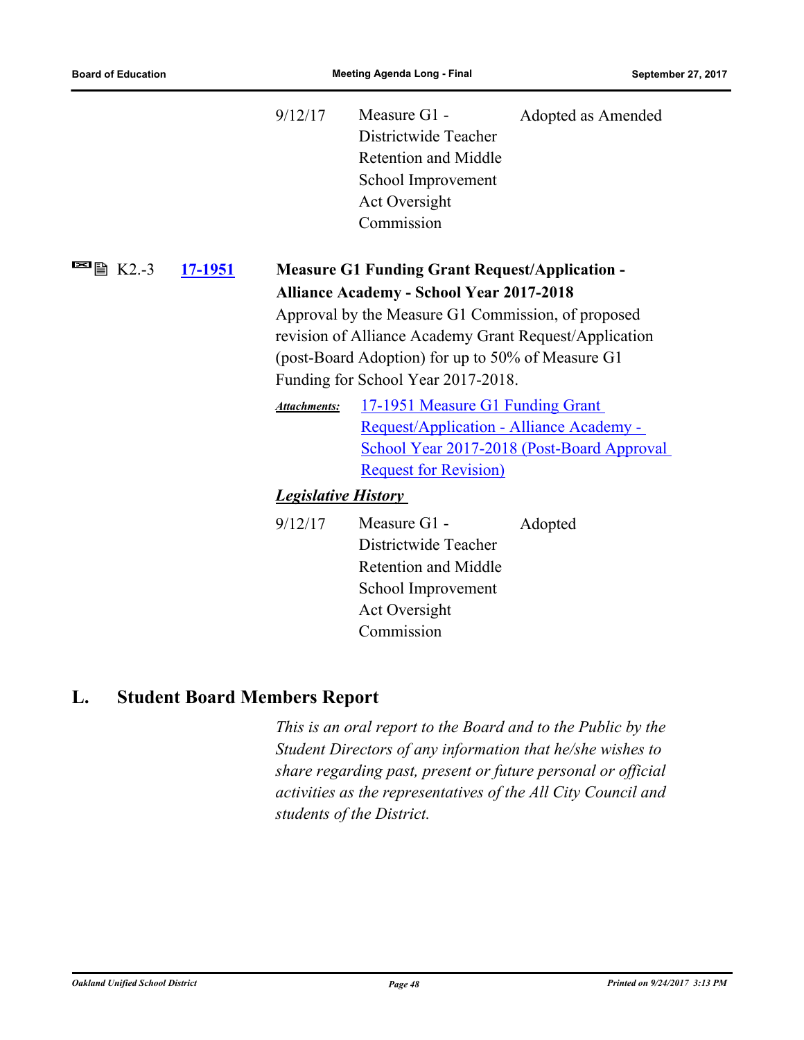|                                     |                                                   | 9/12/17                                                | Measure G1 -<br>Districtwide Teacher<br><b>Retention and Middle</b><br>School Improvement<br>Act Oversight<br>Commission | Adopted as Amended                         |  |  |
|-------------------------------------|---------------------------------------------------|--------------------------------------------------------|--------------------------------------------------------------------------------------------------------------------------|--------------------------------------------|--|--|
| $\blacksquare$ $\blacksquare$ K2.-3 | 17-1951                                           |                                                        | <b>Measure G1 Funding Grant Request/Application -</b>                                                                    |                                            |  |  |
|                                     |                                                   |                                                        | <b>Alliance Academy - School Year 2017-2018</b>                                                                          |                                            |  |  |
|                                     |                                                   |                                                        | Approval by the Measure G1 Commission, of proposed                                                                       |                                            |  |  |
|                                     |                                                   | revision of Alliance Academy Grant Request/Application |                                                                                                                          |                                            |  |  |
|                                     | (post-Board Adoption) for up to 50% of Measure G1 |                                                        |                                                                                                                          |                                            |  |  |
|                                     |                                                   | Funding for School Year 2017-2018.                     |                                                                                                                          |                                            |  |  |
|                                     |                                                   | <b>Attachments:</b>                                    | 17-1951 Measure G1 Funding Grant                                                                                         |                                            |  |  |
|                                     |                                                   |                                                        | Request/Application - Alliance Academy -                                                                                 |                                            |  |  |
|                                     |                                                   |                                                        |                                                                                                                          | School Year 2017-2018 (Post-Board Approval |  |  |
|                                     |                                                   |                                                        | <b>Request for Revision</b> )                                                                                            |                                            |  |  |
|                                     |                                                   | <b>Legislative History</b>                             |                                                                                                                          |                                            |  |  |
|                                     |                                                   | 9/12/17                                                | Measure G1 -                                                                                                             | Adopted                                    |  |  |
|                                     |                                                   |                                                        | Districtwide Teacher                                                                                                     |                                            |  |  |
|                                     |                                                   |                                                        | <b>Retention and Middle</b>                                                                                              |                                            |  |  |
|                                     |                                                   |                                                        | School Improvement                                                                                                       |                                            |  |  |
|                                     |                                                   |                                                        | Act Oversight                                                                                                            |                                            |  |  |
|                                     |                                                   |                                                        | Commission                                                                                                               |                                            |  |  |

# **L. Student Board Members Report**

*This is an oral report to the Board and to the Public by the Student Directors of any information that he/she wishes to share regarding past, present or future personal or official activities as the representatives of the All City Council and students of the District.*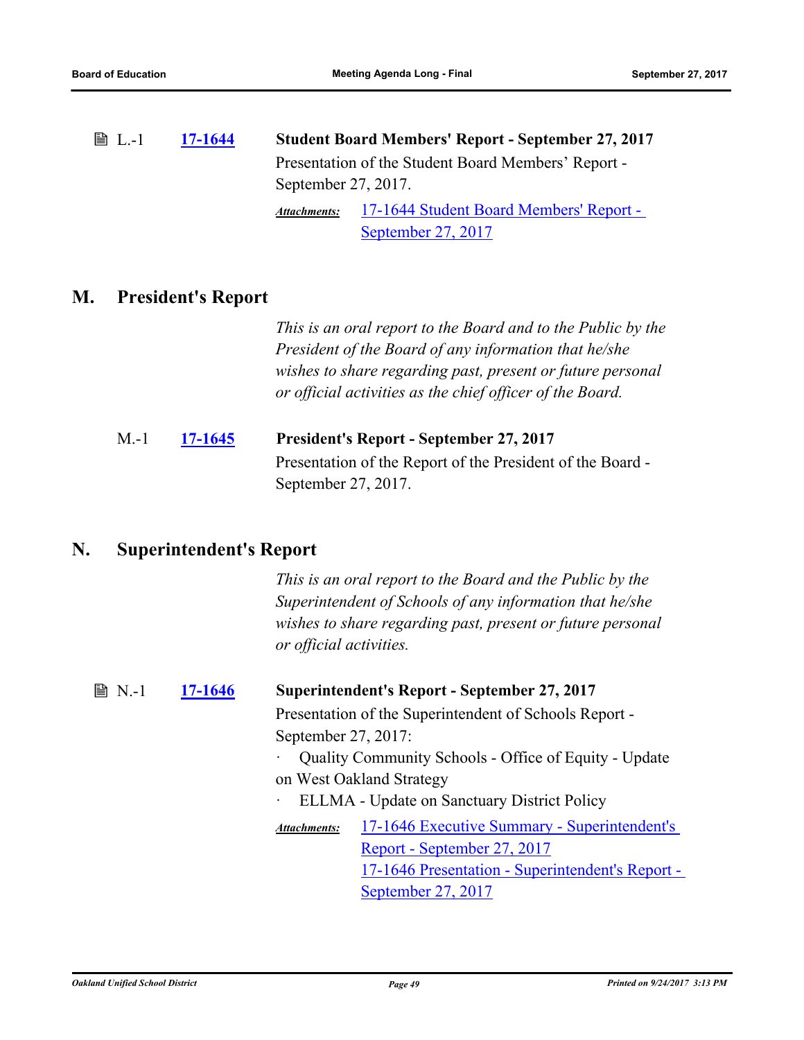L.-1 **[17-1644](http://ousd.legistar.com/gateway.aspx?m=l&id=/matter.aspx?key=41137) Student Board Members' Report - September 27, 2017** Presentation of the Student Board Members' Report - September 27, 2017.

[17-1644 Student Board Members' Report -](http://ousd.legistar.com/gateway.aspx?M=F&ID=86368.pdf)  September 27, 2017 *Attachments:*

# **M. President's Report**

*This is an oral report to the Board and to the Public by the President of the Board of any information that he/she wishes to share regarding past, present or future personal or official activities as the chief officer of the Board.*

# M.-1 **[17-1645](http://ousd.legistar.com/gateway.aspx?m=l&id=/matter.aspx?key=41138) President's Report - September 27, 2017** Presentation of the Report of the President of the Board - September 27, 2017.

# **N. Superintendent's Report**

*This is an oral report to the Board and the Public by the Superintendent of Schools of any information that he/she wishes to share regarding past, present or future personal or official activities.*

# N.-1 **[17-1646](http://ousd.legistar.com/gateway.aspx?m=l&id=/matter.aspx?key=41139) Superintendent's Report - September 27, 2017**

Presentation of the Superintendent of Schools Report - September 27, 2017:

- · Quality Community Schools Office of Equity Update on West Oakland Strategy
	- ELLMA Update on Sanctuary District Policy

[17-1646 Executive Summary - Superintendent's](http://ousd.legistar.com/gateway.aspx?M=F&ID=86365.pdf)  Report - September 27, 2017 [17-1646 Presentation - Superintendent's Report -](http://ousd.legistar.com/gateway.aspx?M=F&ID=86366.pptx)  September 27, 2017 *Attachments:*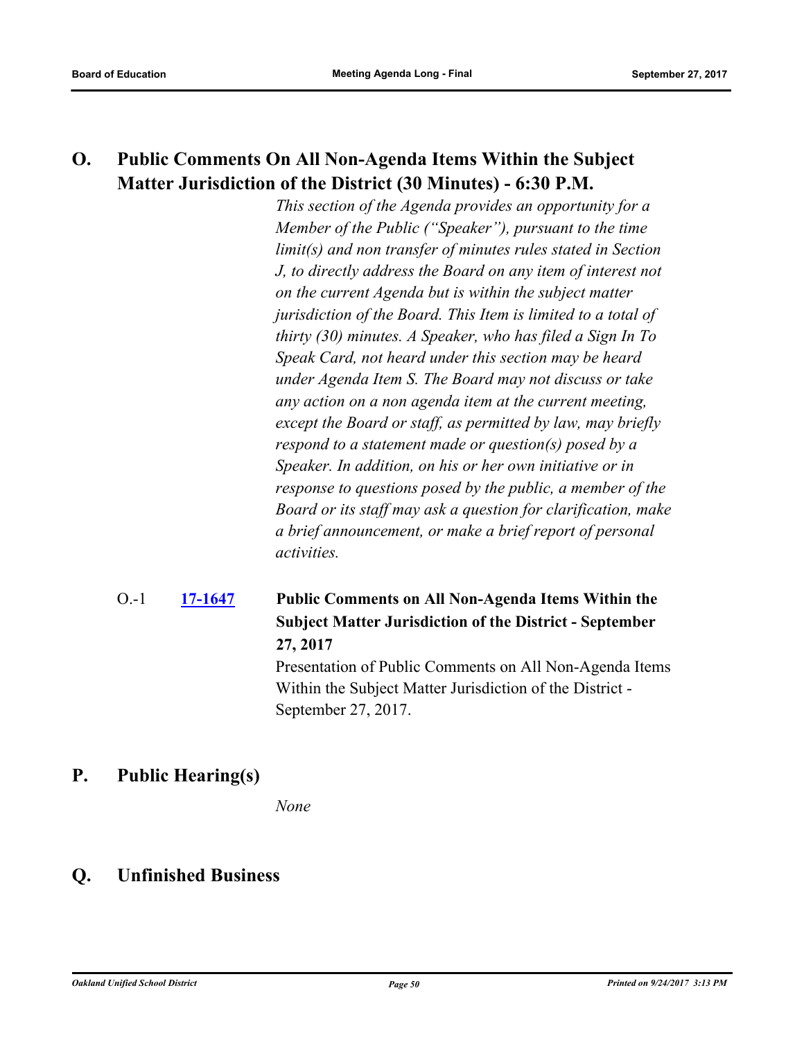# **O. Public Comments On All Non-Agenda Items Within the Subject Matter Jurisdiction of the District (30 Minutes) - 6:30 P.M.**

*This section of the Agenda provides an opportunity for a Member of the Public ("Speaker"), pursuant to the time limit(s) and non transfer of minutes rules stated in Section J, to directly address the Board on any item of interest not on the current Agenda but is within the subject matter jurisdiction of the Board. This Item is limited to a total of thirty (30) minutes. A Speaker, who has filed a Sign In To Speak Card, not heard under this section may be heard under Agenda Item S. The Board may not discuss or take any action on a non agenda item at the current meeting, except the Board or staff, as permitted by law, may briefly respond to a statement made or question(s) posed by a Speaker. In addition, on his or her own initiative or in response to questions posed by the public, a member of the Board or its staff may ask a question for clarification, make a brief announcement, or make a brief report of personal activities.*

### **[17-1647](http://ousd.legistar.com/gateway.aspx?m=l&id=/matter.aspx?key=41140) Public Comments on All Non-Agenda Items Within the Subject Matter Jurisdiction of the District - September 27, 2017** O.-1

Presentation of Public Comments on All Non-Agenda Items Within the Subject Matter Jurisdiction of the District - September 27, 2017.

# **P. Public Hearing(s)**

*None*

# **Q. Unfinished Business**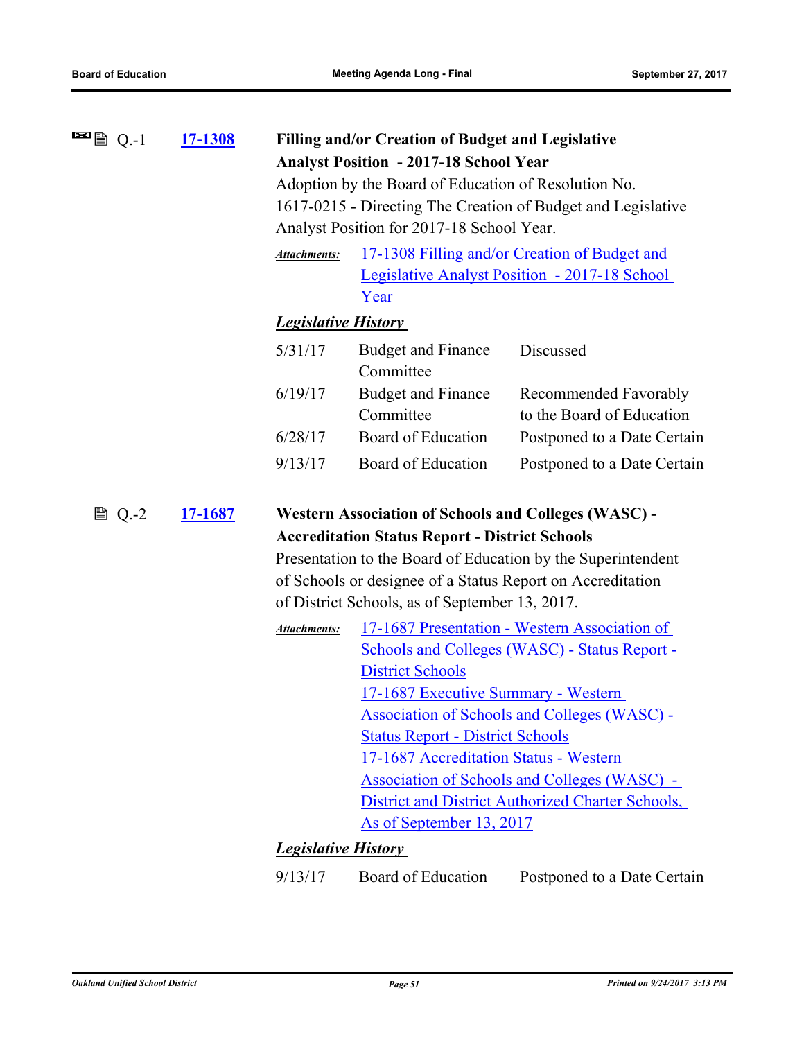| $\blacksquare$ $Q.-1$ | <u>17-1308</u> | <b>Filling and/or Creation of Budget and Legislative</b> |                                                             |                                                              |  |  |
|-----------------------|----------------|----------------------------------------------------------|-------------------------------------------------------------|--------------------------------------------------------------|--|--|
|                       |                |                                                          | <b>Analyst Position - 2017-18 School Year</b>               |                                                              |  |  |
|                       |                |                                                          | Adoption by the Board of Education of Resolution No.        |                                                              |  |  |
|                       |                |                                                          |                                                             | 1617-0215 - Directing The Creation of Budget and Legislative |  |  |
|                       |                |                                                          | Analyst Position for 2017-18 School Year.                   |                                                              |  |  |
|                       |                | <b>Attachments:</b>                                      | 17-1308 Filling and/or Creation of Budget and               |                                                              |  |  |
|                       |                |                                                          |                                                             | Legislative Analyst Position - 2017-18 School                |  |  |
|                       |                |                                                          | Year                                                        |                                                              |  |  |
|                       |                | <b>Legislative History</b>                               |                                                             |                                                              |  |  |
|                       |                | 5/31/17                                                  | <b>Budget and Finance</b><br>Committee                      | Discussed                                                    |  |  |
|                       |                | 6/19/17                                                  | <b>Budget and Finance</b><br>Committee                      | Recommended Favorably<br>to the Board of Education           |  |  |
|                       |                | 6/28/17                                                  | Board of Education                                          | Postponed to a Date Certain                                  |  |  |
|                       |                | 9/13/17                                                  | Board of Education                                          | Postponed to a Date Certain                                  |  |  |
| ■ Q.-2                | <u>17-1687</u> |                                                          | <b>Western Association of Schools and Colleges (WASC) -</b> |                                                              |  |  |
|                       |                |                                                          | <b>Accreditation Status Report - District Schools</b>       |                                                              |  |  |
|                       |                |                                                          |                                                             | Presentation to the Board of Education by the Superintendent |  |  |
|                       |                |                                                          |                                                             | of Schools or designee of a Status Report on Accreditation   |  |  |
|                       |                |                                                          | of District Schools, as of September 13, 2017.              |                                                              |  |  |
|                       |                | <b>Attachments:</b>                                      |                                                             | 17-1687 Presentation - Western Association of                |  |  |
|                       |                |                                                          | <b>Schools and Colleges (WASC) - Status Report -</b>        |                                                              |  |  |
|                       |                |                                                          | <b>District Schools</b>                                     |                                                              |  |  |
|                       |                |                                                          | 17-1687 Executive Summary - Western                         |                                                              |  |  |
|                       |                |                                                          |                                                             | <b>Association of Schools and Colleges (WASC) -</b>          |  |  |
|                       |                |                                                          | <b>Status Report - District Schools</b>                     |                                                              |  |  |
|                       |                |                                                          | 17-1687 Accreditation Status - Western                      |                                                              |  |  |
|                       |                |                                                          |                                                             | <b>Association of Schools and Colleges (WASC) -</b>          |  |  |
|                       |                |                                                          | As of September 13, 2017                                    | <b>District and District Authorized Charter Schools,</b>     |  |  |
|                       |                |                                                          |                                                             |                                                              |  |  |
|                       |                | <b>Legislative History</b>                               |                                                             |                                                              |  |  |
|                       |                | 9/13/17                                                  | Board of Education                                          | Postponed to a Date Certain                                  |  |  |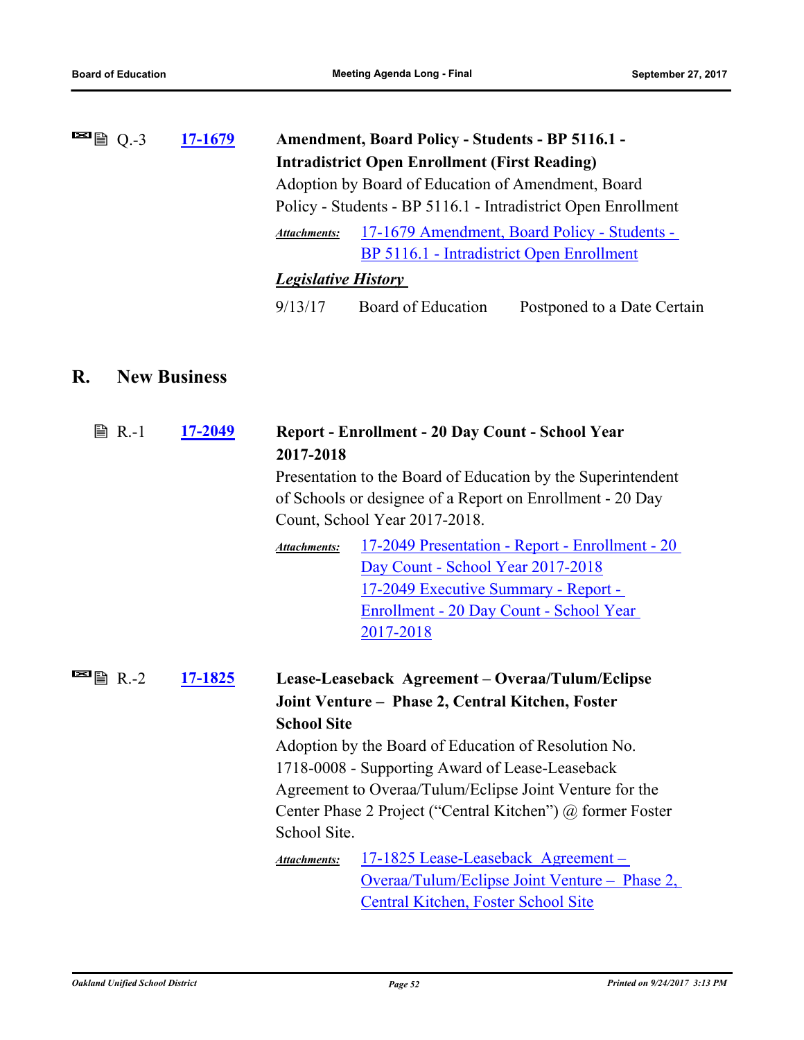| $\blacksquare$ $\blacksquare$ Q.-3 | 17-1679 | <b>Amendment, Board Policy - Students - BP 5116.1 -</b>             |                                           |                             |
|------------------------------------|---------|---------------------------------------------------------------------|-------------------------------------------|-----------------------------|
|                                    |         | <b>Intradistrict Open Enrollment (First Reading)</b>                |                                           |                             |
|                                    |         | Adoption by Board of Education of Amendment, Board                  |                                           |                             |
|                                    |         | Policy - Students - BP 5116.1 - Intradistrict Open Enrollment       |                                           |                             |
|                                    |         | 17-1679 Amendment, Board Policy - Students -<br><b>Attachments:</b> |                                           |                             |
|                                    |         |                                                                     | BP 5116.1 - Intradistrict Open Enrollment |                             |
| <b>Legislative History</b>         |         |                                                                     |                                           |                             |
|                                    |         | 9/13/17                                                             | Board of Education                        | Postponed to a Date Certain |
|                                    |         |                                                                     |                                           |                             |

# **R. New Business**

| <b>■ R.-1</b>                      | <u>17-2049</u> | Report - Enrollment - 20 Day Count - School Year<br>2017-2018<br>Presentation to the Board of Education by the Superintendent<br>of Schools or designee of a Report on Enrollment - 20 Day<br>Count, School Year 2017-2018. |                                                                                                                                                                                                              |  |
|------------------------------------|----------------|-----------------------------------------------------------------------------------------------------------------------------------------------------------------------------------------------------------------------------|--------------------------------------------------------------------------------------------------------------------------------------------------------------------------------------------------------------|--|
|                                    |                | <b>Attachments:</b>                                                                                                                                                                                                         | <u> 17-2049 Presentation - Report - Enrollment - 20</u><br>Day Count - School Year 2017-2018<br><u> 17-2049 Executive Summary - Report -</u><br><u> Enrollment - 20 Day Count - School Year</u><br>2017-2018 |  |
| $\blacksquare$ $\blacksquare$ R.-2 | 17-1825        |                                                                                                                                                                                                                             | Lease-Leaseback Agreement – Overaa/Tulum/Eclipse                                                                                                                                                             |  |
|                                    |                |                                                                                                                                                                                                                             | Joint Venture - Phase 2, Central Kitchen, Foster                                                                                                                                                             |  |
|                                    |                | <b>School Site</b>                                                                                                                                                                                                          |                                                                                                                                                                                                              |  |
|                                    |                |                                                                                                                                                                                                                             | Adoption by the Board of Education of Resolution No.                                                                                                                                                         |  |
|                                    |                |                                                                                                                                                                                                                             | 1718-0008 - Supporting Award of Lease-Leaseback                                                                                                                                                              |  |
|                                    |                |                                                                                                                                                                                                                             | Agreement to Overaa/Tulum/Eclipse Joint Venture for the                                                                                                                                                      |  |
|                                    |                |                                                                                                                                                                                                                             | Center Phase 2 Project ("Central Kitchen") @ former Foster                                                                                                                                                   |  |
|                                    |                | School Site.                                                                                                                                                                                                                |                                                                                                                                                                                                              |  |
|                                    |                | Attachments:                                                                                                                                                                                                                | 17-1825 Lease-Leaseback Agreement-                                                                                                                                                                           |  |
|                                    |                |                                                                                                                                                                                                                             | <u> Overaa/Tulum/Eclipse Joint Venture – Phase 2,</u>                                                                                                                                                        |  |
|                                    |                |                                                                                                                                                                                                                             | <b>Central Kitchen, Foster School Site</b>                                                                                                                                                                   |  |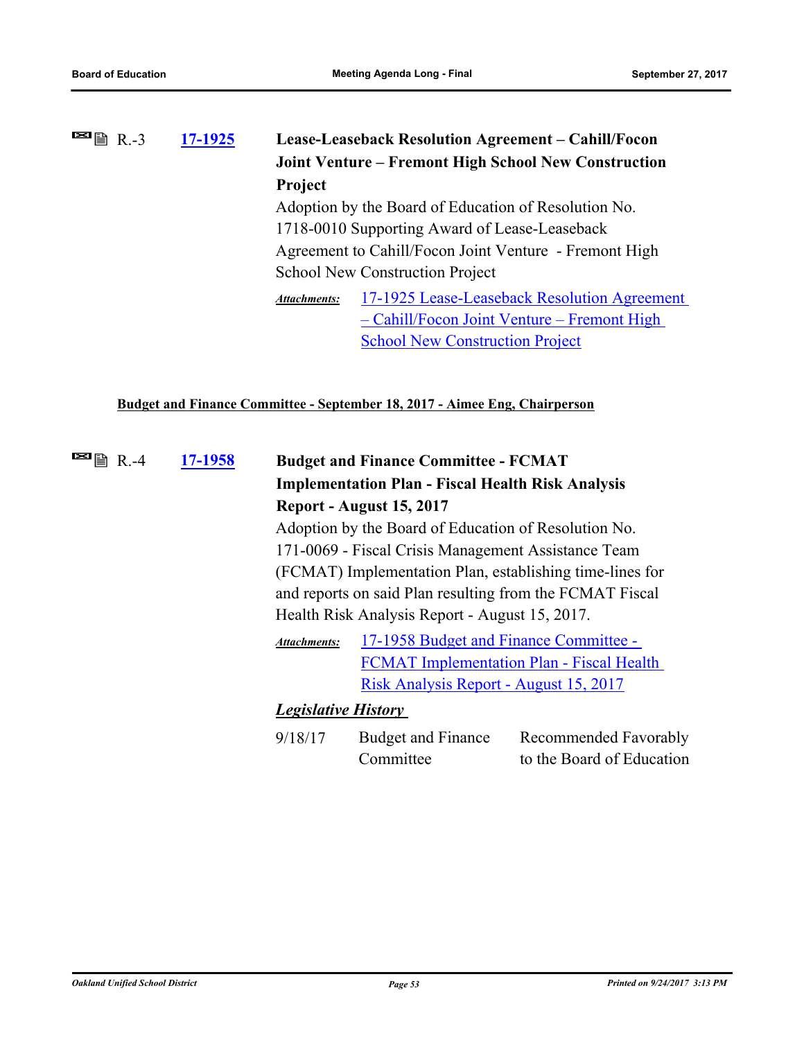# **[17-1925](http://ousd.legistar.com/gateway.aspx?m=l&id=/matter.aspx?key=41418) Lease-Leaseback Resolution Agreement – Cahill/Focon Joint Venture – Fremont High School New Construction Project**  $\blacksquare$ 图 R.-3 Adoption by the Board of Education of Resolution No. 1718-0010 Supporting Award of Lease-Leaseback Agreement to Cahill/Focon Joint Venture - Fremont High School New Construction Project [17-1925 Lease-Leaseback Resolution Agreement](http://ousd.legistar.com/gateway.aspx?M=F&ID=86278.pdf)  – Cahill/Focon Joint Venture – Fremont High School New Construction Project *Attachments:*

### **Budget and Finance Committee - September 18, 2017 - Aimee Eng, Chairperson**

| $\blacksquare$ 图 R.-4 | 17-1958 | <b>Budget and Finance Committee - FCMAT</b>                                                                                                                                                                                                                                                    |                                                          |                           |
|-----------------------|---------|------------------------------------------------------------------------------------------------------------------------------------------------------------------------------------------------------------------------------------------------------------------------------------------------|----------------------------------------------------------|---------------------------|
|                       |         |                                                                                                                                                                                                                                                                                                | <b>Implementation Plan - Fiscal Health Risk Analysis</b> |                           |
|                       |         | Report - August 15, 2017<br>Adoption by the Board of Education of Resolution No.                                                                                                                                                                                                               |                                                          |                           |
|                       |         |                                                                                                                                                                                                                                                                                                |                                                          |                           |
|                       |         | 171-0069 - Fiscal Crisis Management Assistance Team<br>(FCMAT) Implementation Plan, establishing time-lines for<br>and reports on said Plan resulting from the FCMAT Fiscal<br>Health Risk Analysis Report - August 15, 2017.<br>17-1958 Budget and Finance Committee -<br><b>Attachments:</b> |                                                          |                           |
|                       |         |                                                                                                                                                                                                                                                                                                |                                                          |                           |
|                       |         |                                                                                                                                                                                                                                                                                                |                                                          |                           |
|                       |         |                                                                                                                                                                                                                                                                                                |                                                          |                           |
|                       |         |                                                                                                                                                                                                                                                                                                |                                                          |                           |
|                       |         |                                                                                                                                                                                                                                                                                                | <b>FCMAT</b> Implementation Plan - Fiscal Health         |                           |
|                       |         |                                                                                                                                                                                                                                                                                                | Risk Analysis Report - August 15, 2017                   |                           |
|                       |         | <b>Legislative History</b>                                                                                                                                                                                                                                                                     |                                                          |                           |
|                       |         | 9/18/17                                                                                                                                                                                                                                                                                        | <b>Budget and Finance</b>                                | Recommended Favorably     |
|                       |         |                                                                                                                                                                                                                                                                                                | Committee                                                | to the Board of Education |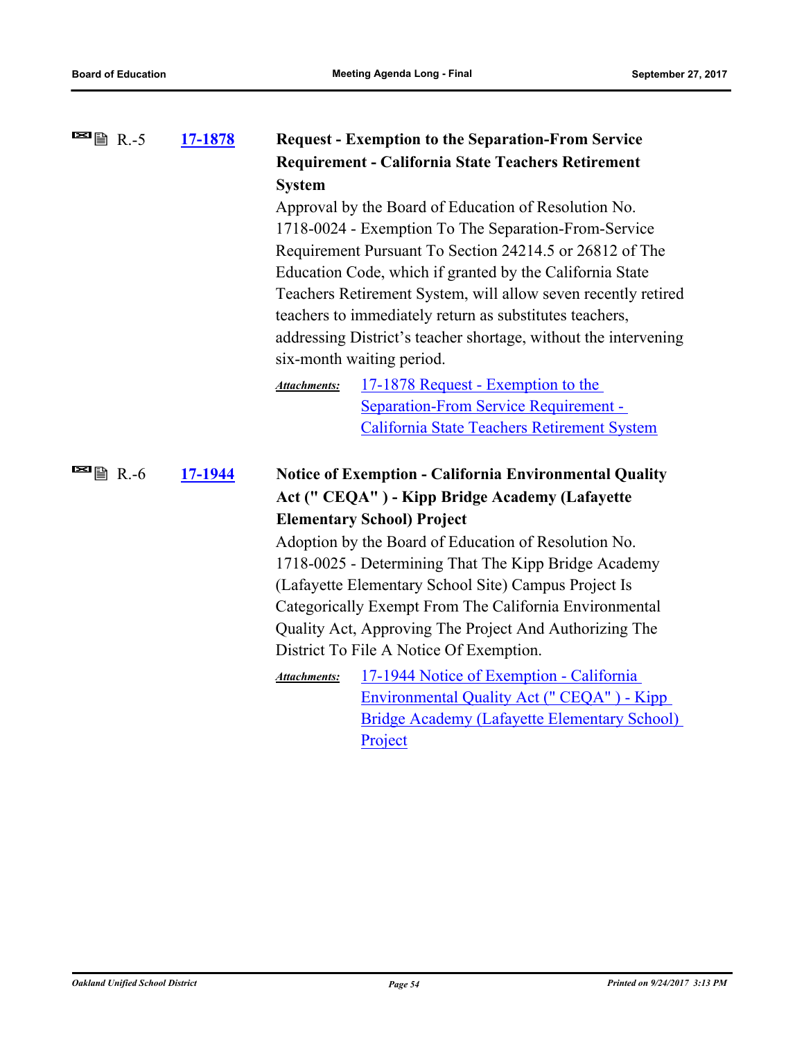| <b>E</b> 图 R.-5       | 17-1878 | <b>Request - Exemption to the Separation-From Service</b><br><b>Requirement - California State Teachers Retirement</b><br><b>System</b><br>Approval by the Board of Education of Resolution No.<br>1718-0024 - Exemption To The Separation-From-Service<br>Requirement Pursuant To Section 24214.5 or 26812 of The<br>Education Code, which if granted by the California State<br>Teachers Retirement System, will allow seven recently retired<br>teachers to immediately return as substitutes teachers,<br>addressing District's teacher shortage, without the intervening<br>six-month waiting period.<br>17-1878 Request - Exemption to the<br><b>Attachments:</b><br>Separation-From Service Requirement - |                                                                                                                                                                                                                                                                                                                                                                                                                                                                                                                                                                                                                                                              |
|-----------------------|---------|------------------------------------------------------------------------------------------------------------------------------------------------------------------------------------------------------------------------------------------------------------------------------------------------------------------------------------------------------------------------------------------------------------------------------------------------------------------------------------------------------------------------------------------------------------------------------------------------------------------------------------------------------------------------------------------------------------------|--------------------------------------------------------------------------------------------------------------------------------------------------------------------------------------------------------------------------------------------------------------------------------------------------------------------------------------------------------------------------------------------------------------------------------------------------------------------------------------------------------------------------------------------------------------------------------------------------------------------------------------------------------------|
|                       |         |                                                                                                                                                                                                                                                                                                                                                                                                                                                                                                                                                                                                                                                                                                                  | California State Teachers Retirement System                                                                                                                                                                                                                                                                                                                                                                                                                                                                                                                                                                                                                  |
| $\blacksquare$ 图 R.-6 | 17-1944 | <b>Attachments:</b>                                                                                                                                                                                                                                                                                                                                                                                                                                                                                                                                                                                                                                                                                              | <b>Notice of Exemption - California Environmental Quality</b><br>Act ("CEQA") - Kipp Bridge Academy (Lafayette<br><b>Elementary School) Project</b><br>Adoption by the Board of Education of Resolution No.<br>1718-0025 - Determining That The Kipp Bridge Academy<br>(Lafayette Elementary School Site) Campus Project Is<br>Categorically Exempt From The California Environmental<br>Quality Act, Approving The Project And Authorizing The<br>District To File A Notice Of Exemption.<br>17-1944 Notice of Exemption - California<br><b>Environmental Quality Act ("CEQA") - Kipp</b><br><b>Bridge Academy (Lafayette Elementary School)</b><br>Project |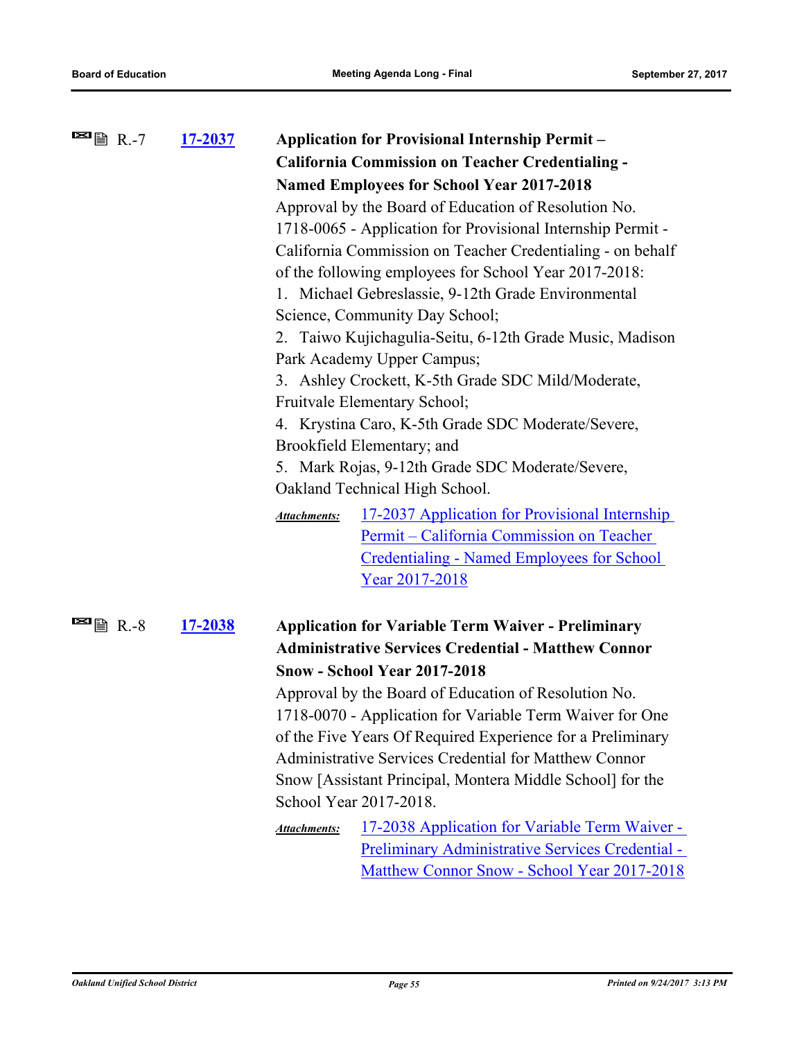| <sup>■</sup> ■ R.-7                                                        | <u>17-2037</u> |                                                                                                                                                                      | <b>Application for Provisional Internship Permit -</b>      |  |
|----------------------------------------------------------------------------|----------------|----------------------------------------------------------------------------------------------------------------------------------------------------------------------|-------------------------------------------------------------|--|
|                                                                            |                |                                                                                                                                                                      | California Commission on Teacher Credentialing -            |  |
|                                                                            |                |                                                                                                                                                                      | <b>Named Employees for School Year 2017-2018</b>            |  |
|                                                                            |                |                                                                                                                                                                      | Approval by the Board of Education of Resolution No.        |  |
|                                                                            |                |                                                                                                                                                                      | 1718-0065 - Application for Provisional Internship Permit - |  |
|                                                                            |                |                                                                                                                                                                      | California Commission on Teacher Credentialing - on behalf  |  |
|                                                                            |                |                                                                                                                                                                      | of the following employees for School Year 2017-2018:       |  |
|                                                                            |                |                                                                                                                                                                      | 1. Michael Gebreslassie, 9-12th Grade Environmental         |  |
|                                                                            |                |                                                                                                                                                                      | Science, Community Day School;                              |  |
|                                                                            |                |                                                                                                                                                                      | 2. Taiwo Kujichagulia-Seitu, 6-12th Grade Music, Madison    |  |
|                                                                            |                |                                                                                                                                                                      | Park Academy Upper Campus;                                  |  |
|                                                                            |                |                                                                                                                                                                      | 3. Ashley Crockett, K-5th Grade SDC Mild/Moderate,          |  |
|                                                                            |                | Fruitvale Elementary School;<br>4. Krystina Caro, K-5th Grade SDC Moderate/Severe,<br>Brookfield Elementary; and<br>5. Mark Rojas, 9-12th Grade SDC Moderate/Severe, |                                                             |  |
|                                                                            |                |                                                                                                                                                                      |                                                             |  |
|                                                                            |                |                                                                                                                                                                      |                                                             |  |
|                                                                            |                |                                                                                                                                                                      |                                                             |  |
|                                                                            |                |                                                                                                                                                                      | Oakland Technical High School.                              |  |
|                                                                            |                | <b>Attachments:</b>                                                                                                                                                  | 17-2037 Application for Provisional Internship              |  |
|                                                                            |                |                                                                                                                                                                      | Permit – California Commission on Teacher                   |  |
|                                                                            |                |                                                                                                                                                                      | <b>Credentialing - Named Employees for School</b>           |  |
|                                                                            |                |                                                                                                                                                                      | Year 2017-2018                                              |  |
| $\blacksquare$ $\blacksquare$ $\blacksquare$ $\blacksquare$ $\blacksquare$ | <u>17-2038</u> |                                                                                                                                                                      | <b>Application for Variable Term Waiver - Preliminary</b>   |  |
|                                                                            |                |                                                                                                                                                                      | <b>Administrative Services Credential - Matthew Connor</b>  |  |
|                                                                            |                |                                                                                                                                                                      | <b>Snow - School Year 2017-2018</b>                         |  |
|                                                                            |                |                                                                                                                                                                      | Approval by the Board of Education of Resolution No.        |  |
|                                                                            |                |                                                                                                                                                                      | 1718-0070 - Application for Variable Term Waiver for One    |  |
|                                                                            |                |                                                                                                                                                                      | of the Five Years Of Required Experience for a Preliminary  |  |
|                                                                            |                |                                                                                                                                                                      | Administrative Services Credential for Matthew Connor       |  |
|                                                                            |                |                                                                                                                                                                      | Snow [Assistant Principal, Montera Middle School] for the   |  |
|                                                                            |                |                                                                                                                                                                      | School Year 2017-2018.                                      |  |
|                                                                            |                | <b>Attachments:</b>                                                                                                                                                  | <u>17-2038 Application for Variable Term Waiver -</u>       |  |
|                                                                            |                |                                                                                                                                                                      | Preliminary Administrative Services Credential -            |  |
|                                                                            |                |                                                                                                                                                                      | Matthew Connor Snow - School Year 2017-2018                 |  |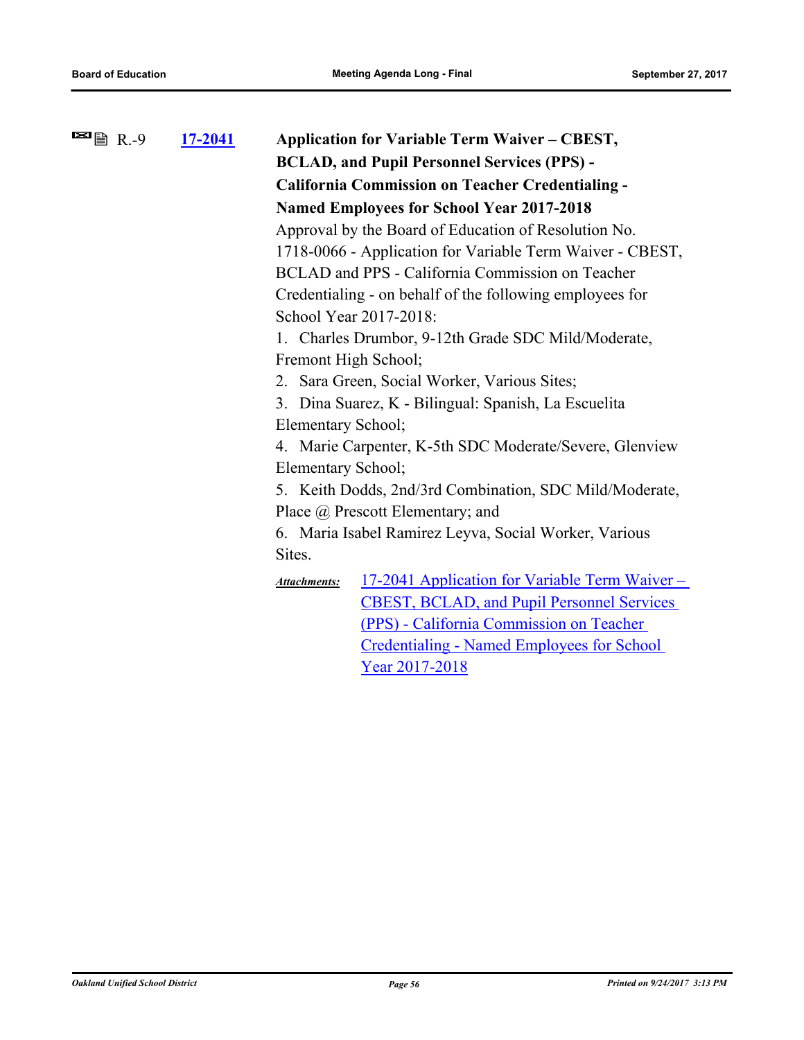| $\blacksquare$ $\blacksquare$ $\blacksquare$ R.-9 | 17-2041 | <b>Application for Variable Term Waiver – CBEST,</b>                         |
|---------------------------------------------------|---------|------------------------------------------------------------------------------|
|                                                   |         | <b>BCLAD, and Pupil Personnel Services (PPS) -</b>                           |
|                                                   |         | <b>California Commission on Teacher Credentialing -</b>                      |
|                                                   |         | <b>Named Employees for School Year 2017-2018</b>                             |
|                                                   |         | Approval by the Board of Education of Resolution No.                         |
|                                                   |         | 1718-0066 - Application for Variable Term Waiver - CBEST,                    |
|                                                   |         | BCLAD and PPS - California Commission on Teacher                             |
|                                                   |         | Credentialing - on behalf of the following employees for                     |
|                                                   |         | School Year 2017-2018:                                                       |
|                                                   |         | 1. Charles Drumbor, 9-12th Grade SDC Mild/Moderate,                          |
|                                                   |         | Fremont High School;                                                         |
|                                                   |         | 2. Sara Green, Social Worker, Various Sites;                                 |
|                                                   |         | 3. Dina Suarez, K - Bilingual: Spanish, La Escuelita                         |
|                                                   |         | Elementary School;                                                           |
|                                                   |         | 4. Marie Carpenter, K-5th SDC Moderate/Severe, Glenview                      |
|                                                   |         | Elementary School;                                                           |
|                                                   |         | 5. Keith Dodds, 2nd/3rd Combination, SDC Mild/Moderate,                      |
|                                                   |         | Place @ Prescott Elementary; and                                             |
|                                                   |         | 6. Maria Isabel Ramirez Leyva, Social Worker, Various                        |
|                                                   |         | Sites.                                                                       |
|                                                   |         | <u>17-2041 Application for Variable Term Waiver –</u><br><b>Attachments:</b> |
|                                                   |         | <b>CBEST, BCLAD, and Pupil Personnel Services</b>                            |
|                                                   |         | (PPS) - California Commission on Teacher                                     |
|                                                   |         | <b>Credentialing - Named Employees for School</b>                            |
|                                                   |         | Year 2017-2018                                                               |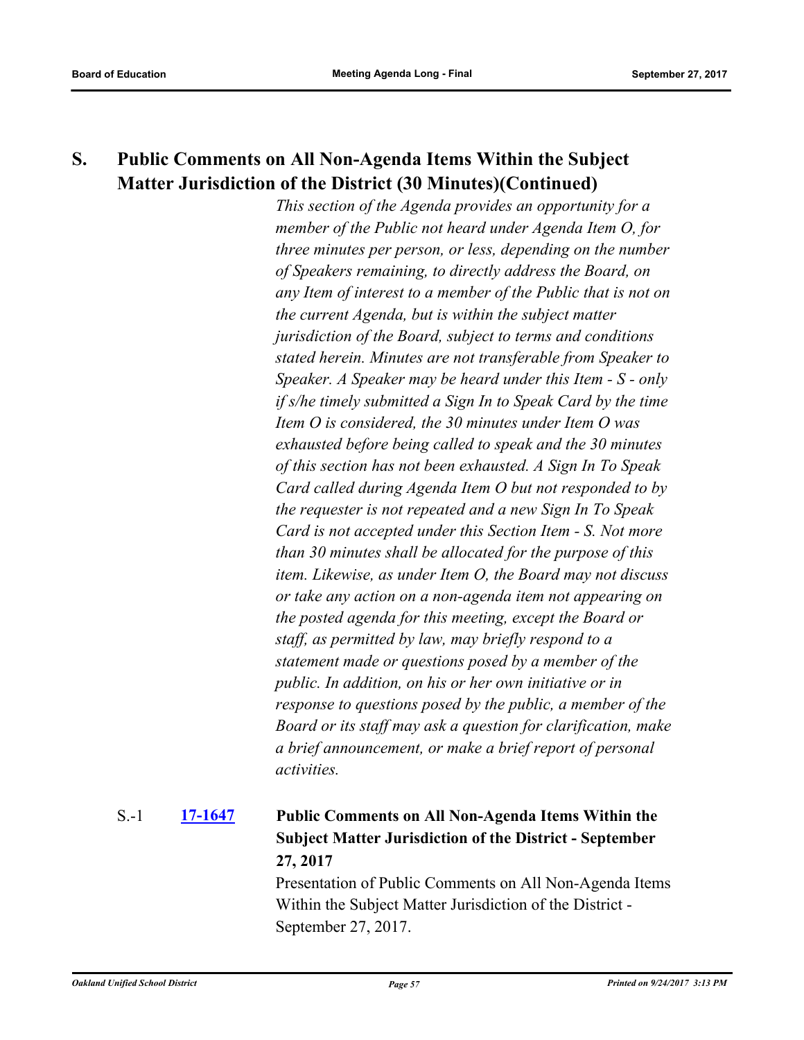# **S. Public Comments on All Non-Agenda Items Within the Subject Matter Jurisdiction of the District (30 Minutes)(Continued)**

*This section of the Agenda provides an opportunity for a member of the Public not heard under Agenda Item O, for three minutes per person, or less, depending on the number of Speakers remaining, to directly address the Board, on any Item of interest to a member of the Public that is not on the current Agenda, but is within the subject matter jurisdiction of the Board, subject to terms and conditions stated herein. Minutes are not transferable from Speaker to Speaker. A Speaker may be heard under this Item - S - only if s/he timely submitted a Sign In to Speak Card by the time Item O is considered, the 30 minutes under Item O was exhausted before being called to speak and the 30 minutes of this section has not been exhausted. A Sign In To Speak Card called during Agenda Item O but not responded to by the requester is not repeated and a new Sign In To Speak Card is not accepted under this Section Item - S. Not more than 30 minutes shall be allocated for the purpose of this item. Likewise, as under Item O, the Board may not discuss or take any action on a non-agenda item not appearing on the posted agenda for this meeting, except the Board or staff, as permitted by law, may briefly respond to a statement made or questions posed by a member of the public. In addition, on his or her own initiative or in response to questions posed by the public, a member of the Board or its staff may ask a question for clarification, make a brief announcement, or make a brief report of personal activities.*

# **[17-1647](http://ousd.legistar.com/gateway.aspx?m=l&id=/matter.aspx?key=41140) Public Comments on All Non-Agenda Items Within the Subject Matter Jurisdiction of the District - September 27, 2017** S.-1

Presentation of Public Comments on All Non-Agenda Items Within the Subject Matter Jurisdiction of the District - September 27, 2017.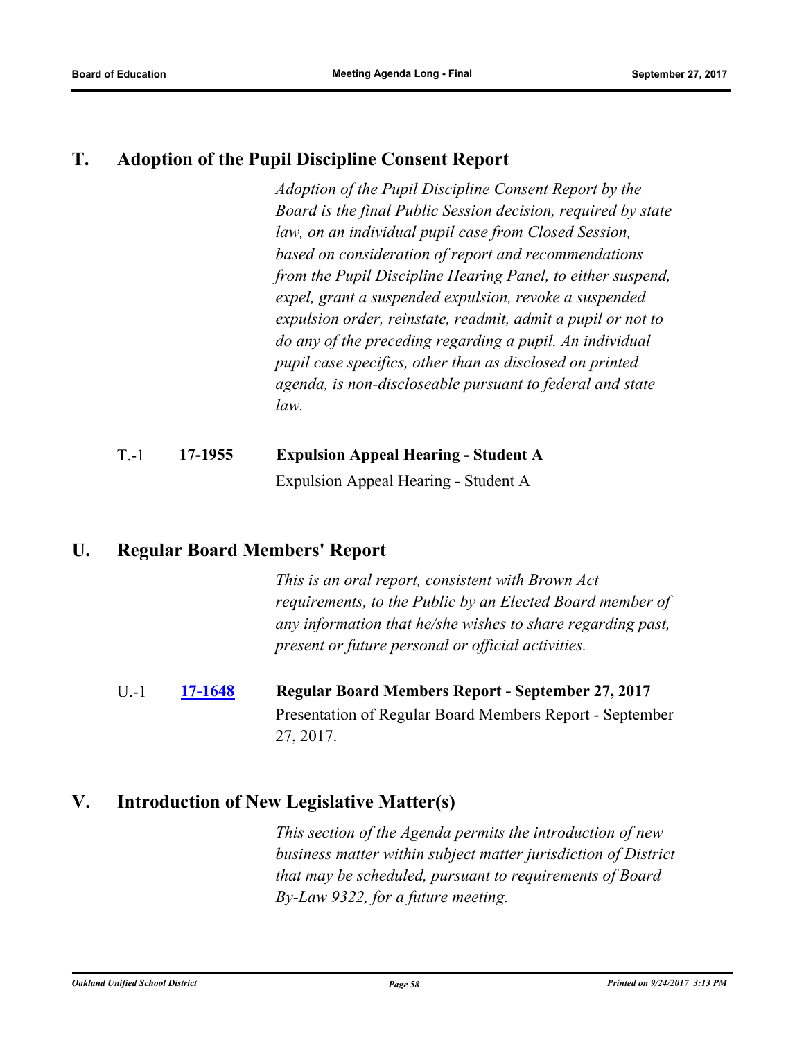# **T. Adoption of the Pupil Discipline Consent Report**

*Adoption of the Pupil Discipline Consent Report by the Board is the final Public Session decision, required by state law, on an individual pupil case from Closed Session, based on consideration of report and recommendations from the Pupil Discipline Hearing Panel, to either suspend, expel, grant a suspended expulsion, revoke a suspended expulsion order, reinstate, readmit, admit a pupil or not to do any of the preceding regarding a pupil. An individual pupil case specifics, other than as disclosed on printed agenda, is non-discloseable pursuant to federal and state law.*

# T.-1 **17-1955 Expulsion Appeal Hearing - Student A** Expulsion Appeal Hearing - Student A

# **U. Regular Board Members' Report**

*This is an oral report, consistent with Brown Act requirements, to the Public by an Elected Board member of any information that he/she wishes to share regarding past, present or future personal or official activities.*

U.-1 **[17-1648](http://ousd.legistar.com/gateway.aspx?m=l&id=/matter.aspx?key=41141) Regular Board Members Report - September 27, 2017** Presentation of Regular Board Members Report - September 27, 2017.

# **V. Introduction of New Legislative Matter(s)**

*This section of the Agenda permits the introduction of new business matter within subject matter jurisdiction of District that may be scheduled, pursuant to requirements of Board By-Law 9322, for a future meeting.*